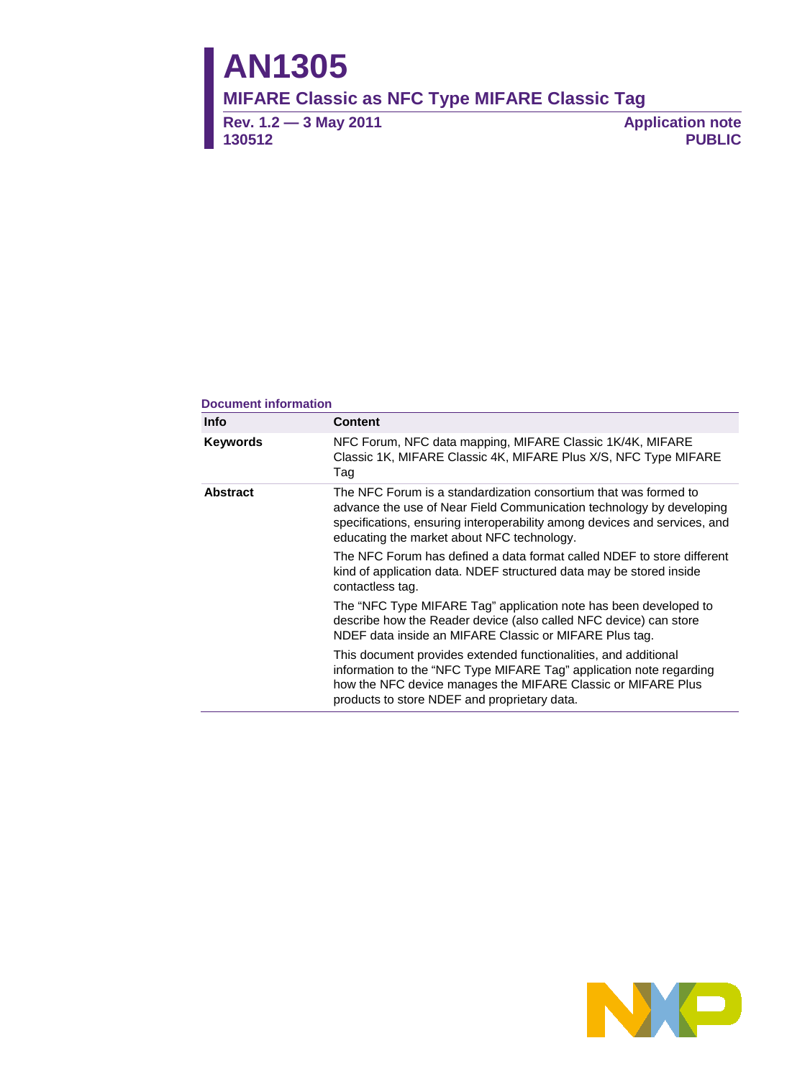# **AN1305**

**MIFARE Classic as NFC Type MIFARE Classic Tag**

**Rev. 1.2 — 3 May 2011 130512**

**Application note PUBLIC**

#### **Document information**

| <b>Info</b>                                                                                                                                                                                                                                                                            | <b>Content</b>                                                                                                                                                                                                                                         |  |  |  |  |  |
|----------------------------------------------------------------------------------------------------------------------------------------------------------------------------------------------------------------------------------------------------------------------------------------|--------------------------------------------------------------------------------------------------------------------------------------------------------------------------------------------------------------------------------------------------------|--|--|--|--|--|
| Keywords                                                                                                                                                                                                                                                                               | NFC Forum, NFC data mapping, MIFARE Classic 1K/4K, MIFARE<br>Classic 1K, MIFARE Classic 4K, MIFARE Plus X/S, NFC Type MIFARE<br>Tag                                                                                                                    |  |  |  |  |  |
| <b>Abstract</b><br>The NFC Forum is a standardization consortium that was formed to<br>advance the use of Near Field Communication technology by developing<br>specifications, ensuring interoperability among devices and services, and<br>educating the market about NFC technology. |                                                                                                                                                                                                                                                        |  |  |  |  |  |
|                                                                                                                                                                                                                                                                                        | The NFC Forum has defined a data format called NDEF to store different<br>kind of application data. NDEF structured data may be stored inside<br>contactless tag.                                                                                      |  |  |  |  |  |
|                                                                                                                                                                                                                                                                                        | The "NFC Type MIFARE Tag" application note has been developed to<br>describe how the Reader device (also called NFC device) can store<br>NDEF data inside an MIFARE Classic or MIFARE Plus tag.                                                        |  |  |  |  |  |
|                                                                                                                                                                                                                                                                                        | This document provides extended functionalities, and additional<br>information to the "NFC Type MIFARE Tag" application note regarding<br>how the NFC device manages the MIFARE Classic or MIFARE Plus<br>products to store NDEF and proprietary data. |  |  |  |  |  |

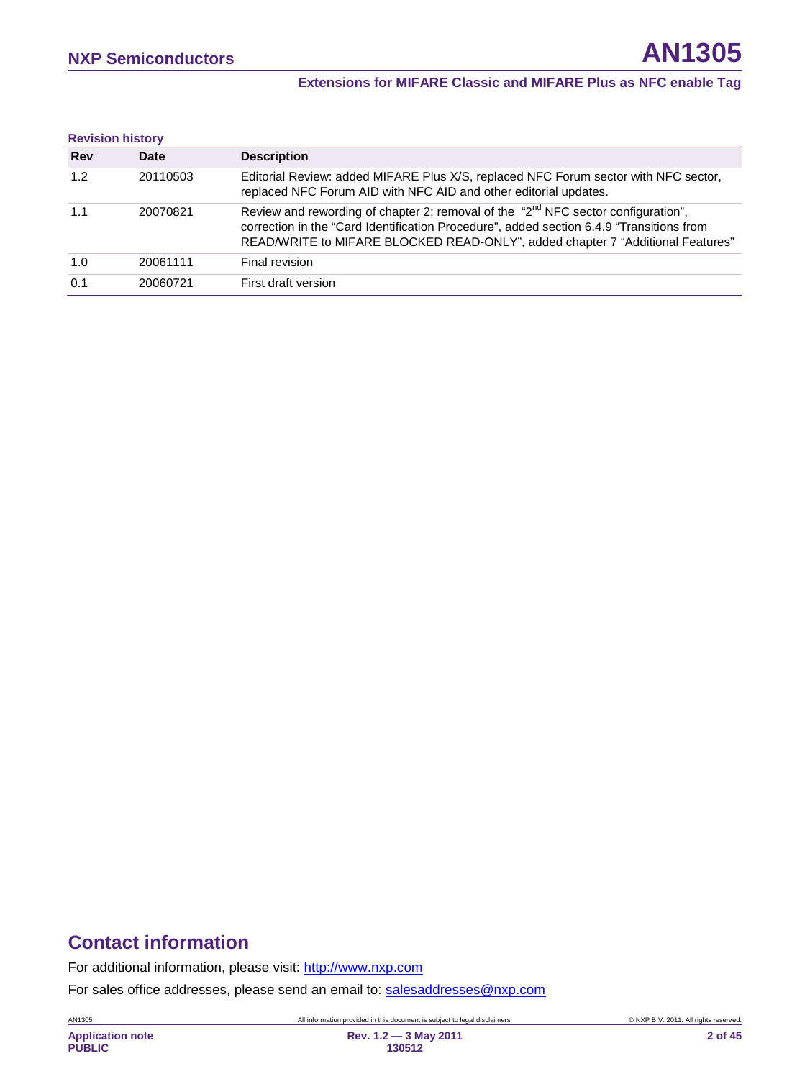#### **Extensions for MIFARE Classic and MIFARE Plus as NFC enable Tag**

| <b>Revision history</b> |          |                                                                                                                                                                                                                                                                             |
|-------------------------|----------|-----------------------------------------------------------------------------------------------------------------------------------------------------------------------------------------------------------------------------------------------------------------------------|
| <b>Rev</b>              | Date     | <b>Description</b>                                                                                                                                                                                                                                                          |
| 1.2                     | 20110503 | Editorial Review: added MIFARE Plus X/S, replaced NFC Forum sector with NFC sector,<br>replaced NFC Forum AID with NFC AID and other editorial updates.                                                                                                                     |
| 1.1                     | 20070821 | Review and rewording of chapter 2: removal of the "2 <sup>nd</sup> NFC sector configuration",<br>correction in the "Card Identification Procedure", added section 6.4.9 "Transitions from<br>READ/WRITE to MIFARE BLOCKED READ-ONLY", added chapter 7 "Additional Features" |
| 1.0                     | 20061111 | Final revision                                                                                                                                                                                                                                                              |
| 0.1                     | 20060721 | First draft version                                                                                                                                                                                                                                                         |

# **Contact information**

For additional information, please visit: [http://www.nxp.com](http://www.nxp.com/)

For sales office addresses, please send an email to: [salesaddresses@nxp.com](mailto:salesaddresses@nxp.com)

AN1305 All information provided in this document is subject to legal disclaimers. © NXP B.V. 2011. All rights reserved.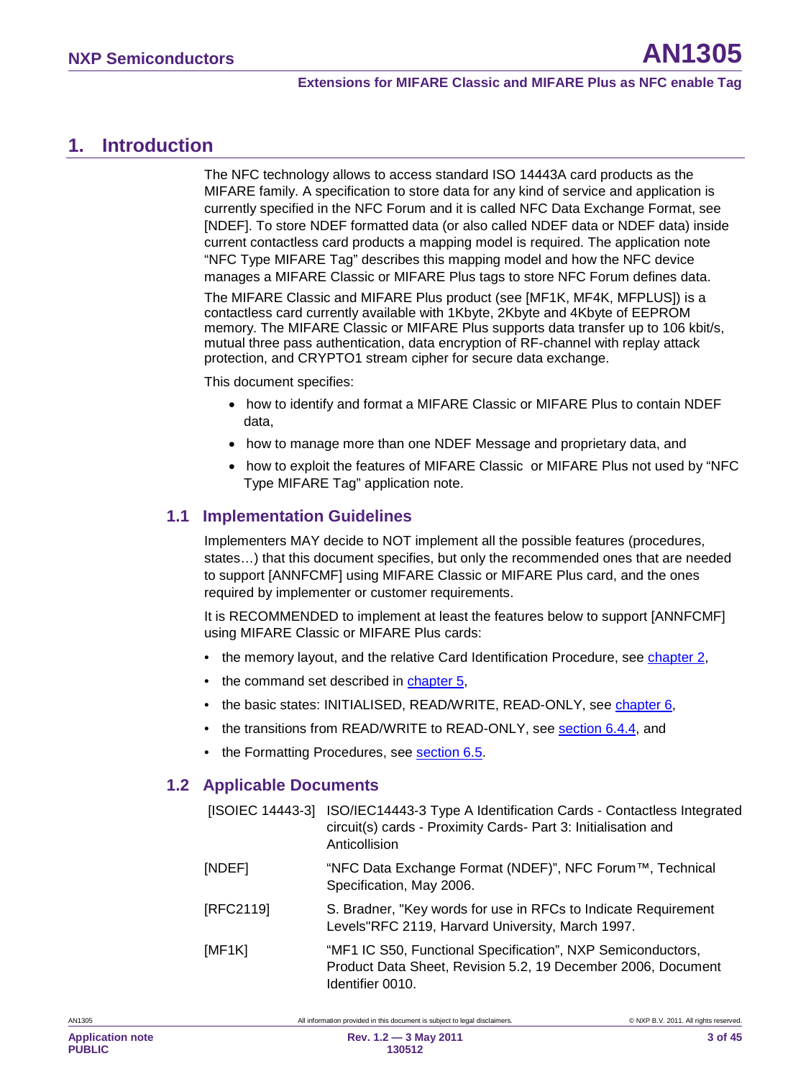<span id="page-2-0"></span>The NFC technology allows to access standard ISO 14443A card products as the MIFARE family. A specification to store data for any kind of service and application is currently specified in the NFC Forum and it is called NFC Data Exchange Format, see [NDEF]. To store NDEF formatted data (or also called NDEF data or NDEF data) inside current contactless card products a mapping model is required. The application note "NFC Type MIFARE Tag" describes this mapping model and how the NFC device manages a MIFARE Classic or MIFARE Plus tags to store NFC Forum defines data.

The MIFARE Classic and MIFARE Plus product (see [MF1K, MF4K, MFPLUS]) is a contactless card currently available with 1Kbyte, 2Kbyte and 4Kbyte of EEPROM memory. The MIFARE Classic or MIFARE Plus supports data transfer up to 106 kbit/s, mutual three pass authentication, data encryption of RF-channel with replay attack protection, and CRYPTO1 stream cipher for secure data exchange.

This document specifies:

- how to identify and format a MIFARE Classic or MIFARE Plus to contain NDEF data,
- how to manage more than one NDEF Message and proprietary data, and
- how to exploit the features of MIFARE Classic or MIFARE Plus not used by "NFC Type MIFARE Tag" application note.

### <span id="page-2-1"></span>**1.1 Implementation Guidelines**

Implementers MAY decide to NOT implement all the possible features (procedures, states…) that this document specifies, but only the recommended ones that are needed to support [ANNFCMF] using MIFARE Classic or MIFARE Plus card, and the ones required by implementer or customer requirements.

It is RECOMMENDED to implement at least the features below to support [ANNFCMF] using MIFARE Classic or MIFARE Plus cards:

- the memory layout, and the relative Card Identification Procedure, see <u>chapter [2](#page-5-0)</u>,
- the command set described in **chapter [5](#page-14-0)**,
- the basic states: INITIALISED, READ/WRITE, READ-ONLY, see <u>chapter [6](#page-14-1)</u>,
- the transitions from READ/WRITE to READ-ONLY, see <u>section [6.4.4](#page-27-0)</u>, and
- <span id="page-2-2"></span>• the Formatting Procedures, see **section [6.5](#page-30-0)**.

### **1.2 Applicable Documents**

|           | [ISOIEC 14443-3] ISO/IEC14443-3 Type A Identification Cards - Contactless Integrated<br>circuit(s) cards - Proximity Cards- Part 3: Initialisation and<br>Anticollision |
|-----------|-------------------------------------------------------------------------------------------------------------------------------------------------------------------------|
| [NDEF]    | "NFC Data Exchange Format (NDEF)", NFC Forum™, Technical<br>Specification, May 2006.                                                                                    |
| [RFC2119] | S. Bradner, "Key words for use in RFCs to Indicate Requirement<br>Levels"RFC 2119, Harvard University, March 1997.                                                      |
| [MF1K]    | "MF1 IC S50, Functional Specification", NXP Semiconductors,<br>Product Data Sheet, Revision 5.2, 19 December 2006, Document<br>Identifier 0010.                         |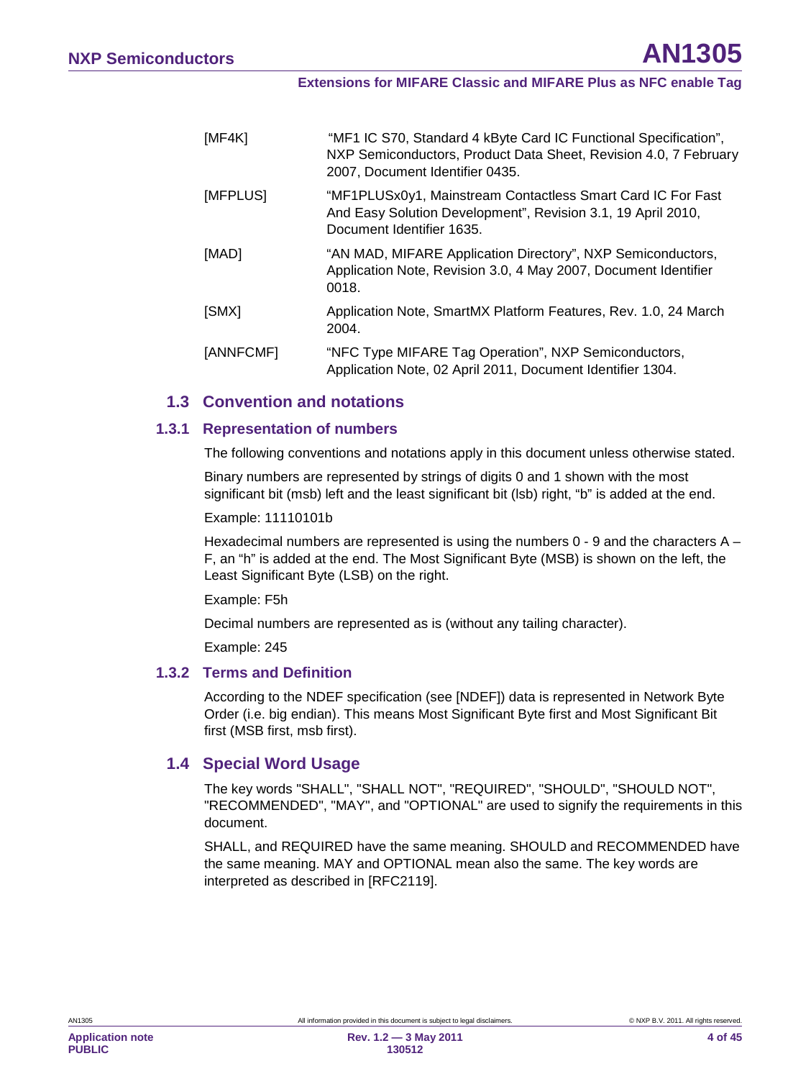| [MF4K]    | "MF1 IC S70, Standard 4 kByte Card IC Functional Specification",<br>NXP Semiconductors, Product Data Sheet, Revision 4.0, 7 February<br>2007, Document Identifier 0435. |
|-----------|-------------------------------------------------------------------------------------------------------------------------------------------------------------------------|
| [MFPLUS]  | "MF1PLUSx0y1, Mainstream Contactless Smart Card IC For Fast<br>And Easy Solution Development", Revision 3.1, 19 April 2010,<br>Document Identifier 1635.                |
| [MAD]     | "AN MAD, MIFARE Application Directory", NXP Semiconductors,<br>Application Note, Revision 3.0, 4 May 2007, Document Identifier<br>0018.                                 |
| [SMX]     | Application Note, SmartMX Platform Features, Rev. 1.0, 24 March<br>2004.                                                                                                |
| [ANNFCMF] | "NFC Type MIFARE Tag Operation", NXP Semiconductors,<br>Application Note, 02 April 2011, Document Identifier 1304.                                                      |

#### <span id="page-3-0"></span>**1.3 Convention and notations**

#### **1.3.1 Representation of numbers**

<span id="page-3-1"></span>The following conventions and notations apply in this document unless otherwise stated.

Binary numbers are represented by strings of digits 0 and 1 shown with the most significant bit (msb) left and the least significant bit (lsb) right, "b" is added at the end.

#### Example: 11110101b

Hexadecimal numbers are represented is using the numbers  $0 - 9$  and the characters  $A -$ F, an "h" is added at the end. The Most Significant Byte (MSB) is shown on the left, the Least Significant Byte (LSB) on the right.

#### Example: F5h

Decimal numbers are represented as is (without any tailing character).

<span id="page-3-2"></span>Example: 245

#### **1.3.2 Terms and Definition**

According to the NDEF specification (see [NDEF]) data is represented in Network Byte Order (i.e. big endian). This means Most Significant Byte first and Most Significant Bit first (MSB first, msb first).

#### <span id="page-3-3"></span>**1.4 Special Word Usage**

The key words "SHALL", "SHALL NOT", "REQUIRED", "SHOULD", "SHOULD NOT", "RECOMMENDED", "MAY", and "OPTIONAL" are used to signify the requirements in this document.

SHALL, and REQUIRED have the same meaning. SHOULD and RECOMMENDED have the same meaning. MAY and OPTIONAL mean also the same. The key words are interpreted as described in [RFC2119].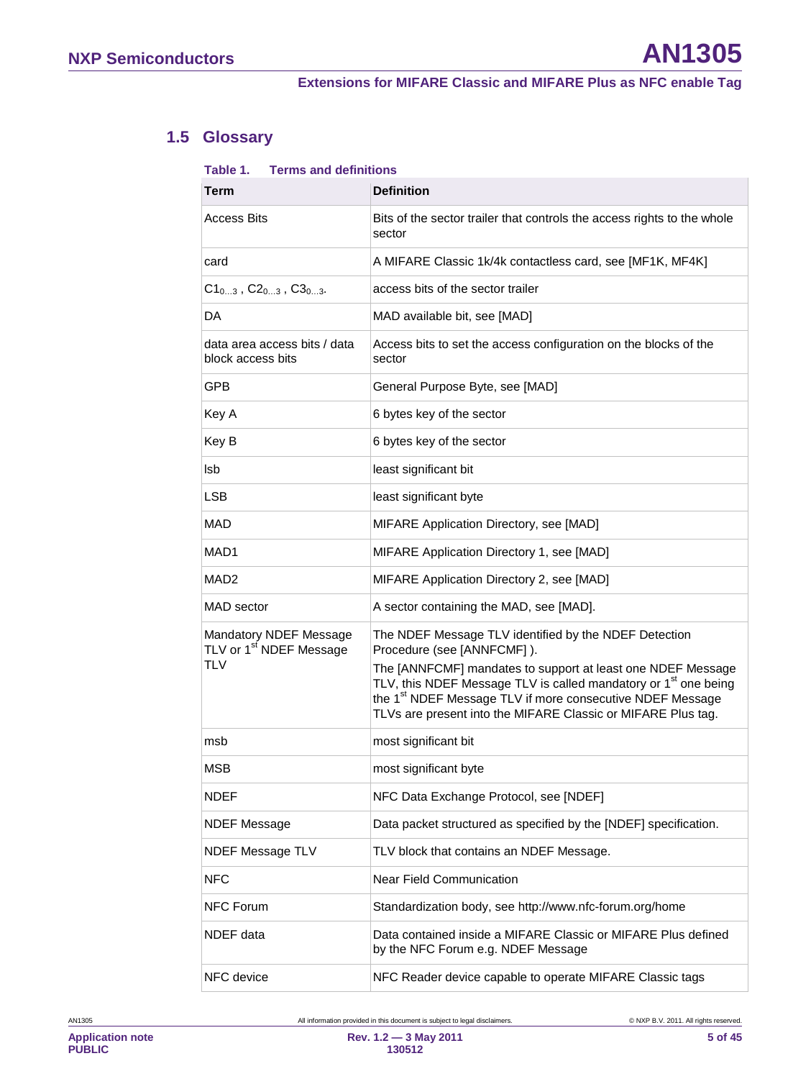# **1.5 Glossary**

#### <span id="page-4-0"></span>**Table 1. Terms and definitions**

| Term                                                                        | <b>Definition</b>                                                                                                                                                                                                                                                                                                                                                          |
|-----------------------------------------------------------------------------|----------------------------------------------------------------------------------------------------------------------------------------------------------------------------------------------------------------------------------------------------------------------------------------------------------------------------------------------------------------------------|
| Access Bits                                                                 | Bits of the sector trailer that controls the access rights to the whole<br>sector                                                                                                                                                                                                                                                                                          |
| card                                                                        | A MIFARE Classic 1k/4k contactless card, see [MF1K, MF4K]                                                                                                                                                                                                                                                                                                                  |
| $C1_{03}$ , $C2_{03}$ , $C3_{03}$ .                                         | access bits of the sector trailer                                                                                                                                                                                                                                                                                                                                          |
| DA                                                                          | MAD available bit, see [MAD]                                                                                                                                                                                                                                                                                                                                               |
| data area access bits / data<br>block access bits                           | Access bits to set the access configuration on the blocks of the<br>sector                                                                                                                                                                                                                                                                                                 |
| <b>GPB</b>                                                                  | General Purpose Byte, see [MAD]                                                                                                                                                                                                                                                                                                                                            |
| Key A                                                                       | 6 bytes key of the sector                                                                                                                                                                                                                                                                                                                                                  |
| Key B                                                                       | 6 bytes key of the sector                                                                                                                                                                                                                                                                                                                                                  |
| lsb                                                                         | least significant bit                                                                                                                                                                                                                                                                                                                                                      |
| LSB                                                                         | least significant byte                                                                                                                                                                                                                                                                                                                                                     |
| <b>MAD</b>                                                                  | MIFARE Application Directory, see [MAD]                                                                                                                                                                                                                                                                                                                                    |
| MAD1                                                                        | MIFARE Application Directory 1, see [MAD]                                                                                                                                                                                                                                                                                                                                  |
| MAD2                                                                        | MIFARE Application Directory 2, see [MAD]                                                                                                                                                                                                                                                                                                                                  |
| MAD sector                                                                  | A sector containing the MAD, see [MAD].                                                                                                                                                                                                                                                                                                                                    |
| Mandatory NDEF Message<br>TLV or 1 <sup>st</sup> NDEF Message<br><b>TLV</b> | The NDEF Message TLV identified by the NDEF Detection<br>Procedure (see [ANNFCMF]).<br>The [ANNFCMF] mandates to support at least one NDEF Message<br>TLV, this NDEF Message TLV is called mandatory or 1 <sup>st</sup> one being<br>the 1 <sup>st</sup> NDEF Message TLV if more consecutive NDEF Message<br>TLVs are present into the MIFARE Classic or MIFARE Plus tag. |
| msb                                                                         | most significant bit                                                                                                                                                                                                                                                                                                                                                       |
| MSB                                                                         | most significant byte                                                                                                                                                                                                                                                                                                                                                      |
| <b>NDEF</b>                                                                 | NFC Data Exchange Protocol, see [NDEF]                                                                                                                                                                                                                                                                                                                                     |
| <b>NDEF Message</b>                                                         | Data packet structured as specified by the [NDEF] specification.                                                                                                                                                                                                                                                                                                           |
| <b>NDEF Message TLV</b>                                                     | TLV block that contains an NDEF Message.                                                                                                                                                                                                                                                                                                                                   |
| <b>NFC</b>                                                                  | Near Field Communication                                                                                                                                                                                                                                                                                                                                                   |
| <b>NFC Forum</b>                                                            | Standardization body, see http://www.nfc-forum.org/home                                                                                                                                                                                                                                                                                                                    |
| NDEF data                                                                   | Data contained inside a MIFARE Classic or MIFARE Plus defined<br>by the NFC Forum e.g. NDEF Message                                                                                                                                                                                                                                                                        |
| NFC device                                                                  | NFC Reader device capable to operate MIFARE Classic tags                                                                                                                                                                                                                                                                                                                   |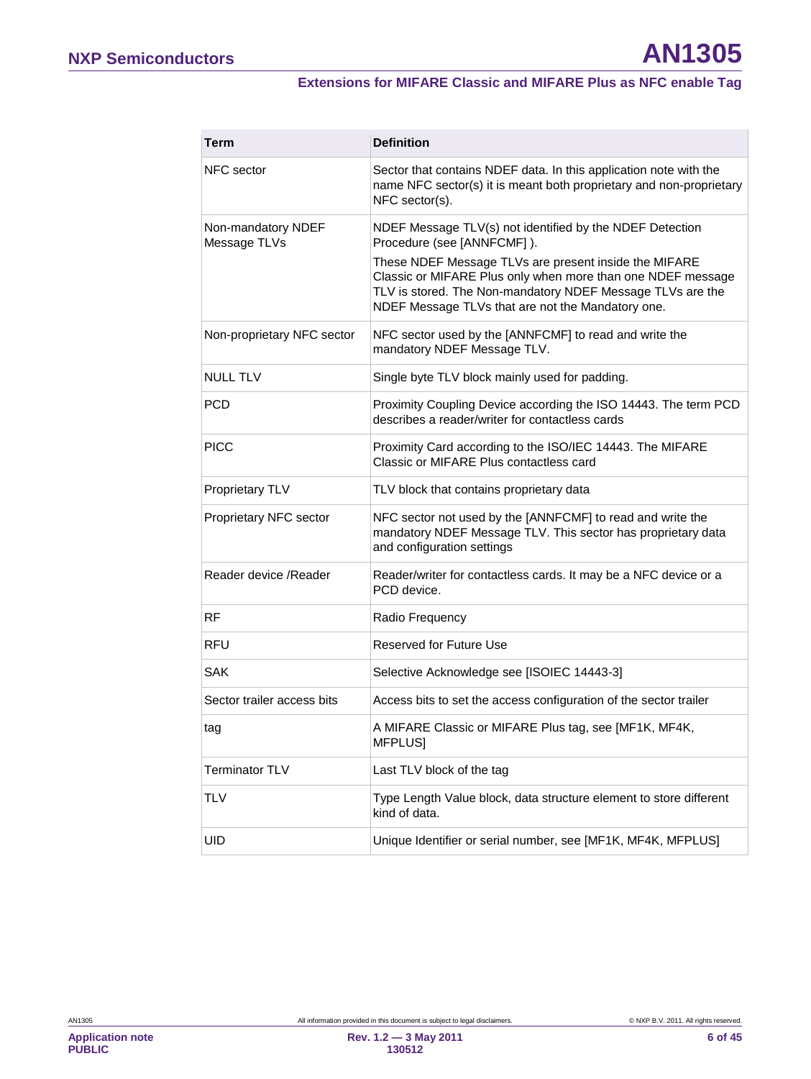### **Extensions for MIFARE Classic and MIFARE Plus as NFC enable Tag**

<span id="page-5-0"></span>

| Term                               | <b>Definition</b>                                                                                                                                                                                                                                                                                                                 |
|------------------------------------|-----------------------------------------------------------------------------------------------------------------------------------------------------------------------------------------------------------------------------------------------------------------------------------------------------------------------------------|
| NFC sector                         | Sector that contains NDEF data. In this application note with the<br>name NFC sector(s) it is meant both proprietary and non-proprietary<br>NFC sector(s).                                                                                                                                                                        |
| Non-mandatory NDEF<br>Message TLVs | NDEF Message TLV(s) not identified by the NDEF Detection<br>Procedure (see [ANNFCMF]).<br>These NDEF Message TLVs are present inside the MIFARE<br>Classic or MIFARE Plus only when more than one NDEF message<br>TLV is stored. The Non-mandatory NDEF Message TLVs are the<br>NDEF Message TLVs that are not the Mandatory one. |
| Non-proprietary NFC sector         | NFC sector used by the [ANNFCMF] to read and write the<br>mandatory NDEF Message TLV.                                                                                                                                                                                                                                             |
| <b>NULL TLV</b>                    | Single byte TLV block mainly used for padding.                                                                                                                                                                                                                                                                                    |
| <b>PCD</b>                         | Proximity Coupling Device according the ISO 14443. The term PCD<br>describes a reader/writer for contactless cards                                                                                                                                                                                                                |
| <b>PICC</b>                        | Proximity Card according to the ISO/IEC 14443. The MIFARE<br>Classic or MIFARE Plus contactless card                                                                                                                                                                                                                              |
| Proprietary TLV                    | TLV block that contains proprietary data                                                                                                                                                                                                                                                                                          |
| Proprietary NFC sector             | NFC sector not used by the [ANNFCMF] to read and write the<br>mandatory NDEF Message TLV. This sector has proprietary data<br>and configuration settings                                                                                                                                                                          |
| Reader device / Reader             | Reader/writer for contactless cards. It may be a NFC device or a<br>PCD device.                                                                                                                                                                                                                                                   |
| <b>RF</b>                          | Radio Frequency                                                                                                                                                                                                                                                                                                                   |
| <b>RFU</b>                         | <b>Reserved for Future Use</b>                                                                                                                                                                                                                                                                                                    |
| <b>SAK</b>                         | Selective Acknowledge see [ISOIEC 14443-3]                                                                                                                                                                                                                                                                                        |
| Sector trailer access bits         | Access bits to set the access configuration of the sector trailer                                                                                                                                                                                                                                                                 |
| tag                                | A MIFARE Classic or MIFARE Plus tag, see [MF1K, MF4K,<br><b>MFPLUSI</b>                                                                                                                                                                                                                                                           |
| Terminator TLV                     | Last TLV block of the tag                                                                                                                                                                                                                                                                                                         |
| <b>TLV</b>                         | Type Length Value block, data structure element to store different<br>kind of data.                                                                                                                                                                                                                                               |
| UID                                | Unique Identifier or serial number, see [MF1K, MF4K, MFPLUS]                                                                                                                                                                                                                                                                      |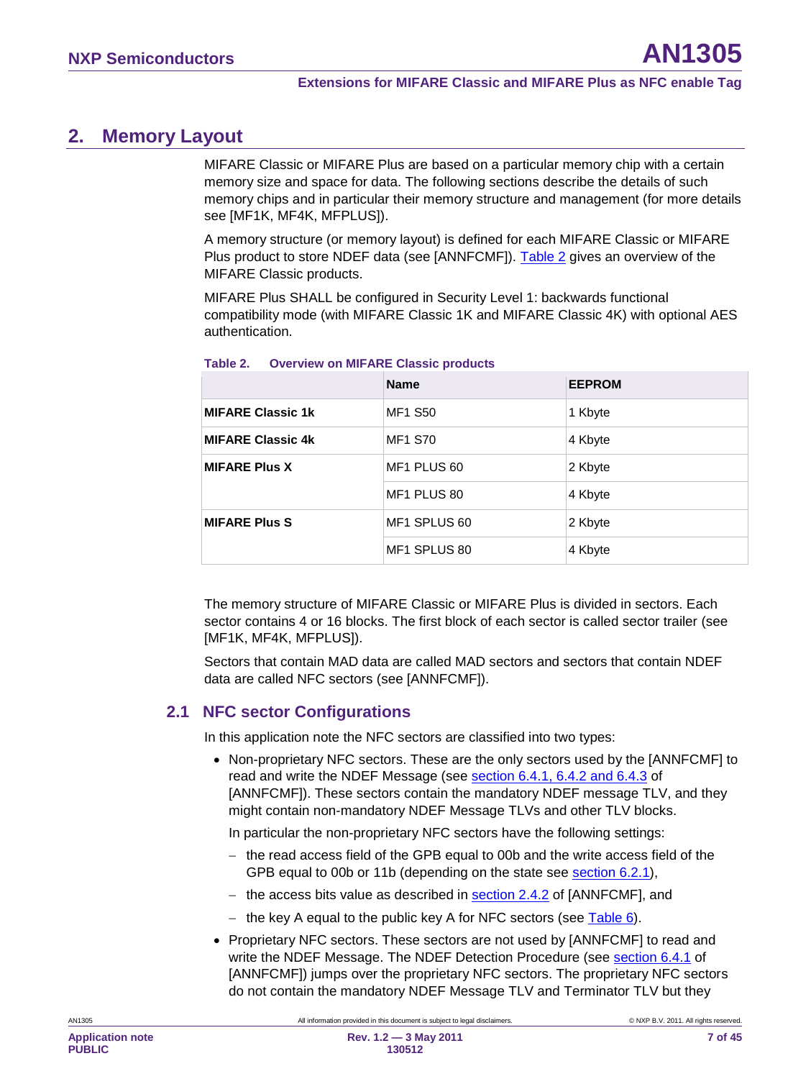# <span id="page-6-2"></span>**2. Memory Layout**

MIFARE Classic or MIFARE Plus are based on a particular memory chip with a certain memory size and space for data. The following sections describe the details of such memory chips and in particular their memory structure and management (for more details see [MF1K, MF4K, MFPLUS]).

A memory structure (or memory layout) is defined for each MIFARE Classic or MIFARE Plus product to store NDEF data (see [ANNFCMF]). [Table 2](#page-6-0) gives an overview of the MIFARE Classic products.

MIFARE Plus SHALL be configured in Security Level 1: backwards functional compatibility mode (with MIFARE Classic 1K and MIFARE Classic 4K) with optional AES authentication.

|                          | <b>Name</b>    | <b>EEPROM</b> |
|--------------------------|----------------|---------------|
| <b>MIFARE Classic 1k</b> | <b>MF1 S50</b> | 1 Kbyte       |
| <b>MIFARE Classic 4k</b> | <b>MF1 S70</b> | 4 Kbyte       |
| <b>MIFARE Plus X</b>     | MF1 PLUS 60    | 2 Kbyte       |
|                          | MF1 PLUS 80    | 4 Kbyte       |
| <b>MIFARE Plus S</b>     | MF1 SPLUS 60   | 2 Kbyte       |
|                          | MF1 SPLUS 80   | 4 Kbyte       |

#### <span id="page-6-0"></span>**Table 2. Overview on MIFARE Classic products**

The memory structure of MIFARE Classic or MIFARE Plus is divided in sectors. Each sector contains 4 or 16 blocks. The first block of each sector is called sector trailer (see [MF1K, MF4K, MFPLUS]).

Sectors that contain MAD data are called MAD sectors and sectors that contain NDEF data are called NFC sectors (see [ANNFCMF]).

### <span id="page-6-1"></span>**2.1 NFC sector Configurations**

In this application note the NFC sectors are classified into two types:

• Non-proprietary NFC sectors. These are the only sectors used by the [ANNFCMF] to read and write the NDEF Message (see **section 6.4.1, 6.4.2 and 6.4.3** of [ANNFCMF]). These sectors contain the mandatory NDEF message TLV, and they might contain non-mandatory NDEF Message TLVs and other TLV blocks.

In particular the non-proprietary NFC sectors have the following settings:

- − the read access field of the GPB equal to 00b and the write access field of the GPB equal to 00b or 11b (depending on the state see **section [6.2.1](#page-21-0)**),
- − the access bits value as described in <u>section 2.4.2</u> of [ANNFCMF], and
- − the key A equal to the public key A for NFC sectors (see <u>Table 6</u>).
- Proprietary NFC sectors. These sectors are not used by [ANNFCMF] to read and write the NDEF Message. The NDEF Detection Procedure (see section 6.4.1 of [ANNFCMF]) jumps over the proprietary NFC sectors. The proprietary NFC sectors do not contain the mandatory NDEF Message TLV and Terminator TLV but they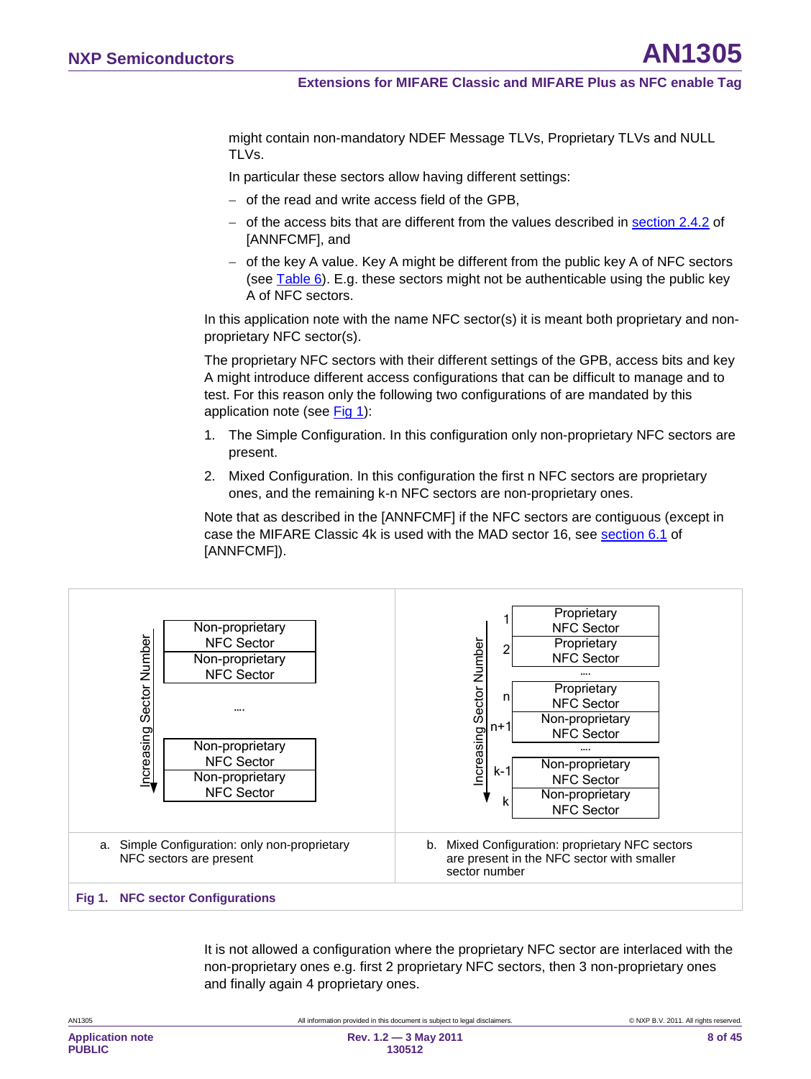might contain non-mandatory NDEF Message TLVs, Proprietary TLVs and NULL TLVs.

In particular these sectors allow having different settings:

- − of the read and write access field of the GPB,
- − of the access bits that are different from the values described in <u>section 2.4.2</u> of [ANNFCMF], and
- − of the key A value. Key A might be different from the public key A of NFC sectors (see <u>Table 6</u>). E.g. these sectors might not be authenticable using the public key A of NFC sectors.

In this application note with the name NFC sector(s) it is meant both proprietary and nonproprietary NFC sector(s).

The proprietary NFC sectors with their different settings of the GPB, access bits and key A might introduce different access configurations that can be difficult to manage and to test. For this reason only the following two configurations of are mandated by this application note (see [Fig 1\)](#page-7-0):

- 1. The Simple Configuration. In this configuration only non-proprietary NFC sectors are present.
- 2. Mixed Configuration. In this configuration the first n NFC sectors are proprietary ones, and the remaining k-n NFC sectors are non-proprietary ones.

Note that as described in the [ANNFCMF] if the NFC sectors are contiguous (except in case the MIFARE Classic 4k is used with the MAD sector 16, see section 6.1 of [ANNFCMF]).



It is not allowed a configuration where the proprietary NFC sector are interlaced with the non-proprietary ones e.g. first 2 proprietary NFC sectors, then 3 non-proprietary ones and finally again 4 proprietary ones.

<span id="page-7-0"></span>

| AN1305                                   | All information provided in this document is subject to legal disclaimers. | C NXP B.V. 2011. All rights reserved |
|------------------------------------------|----------------------------------------------------------------------------|--------------------------------------|
| <b>Application note</b><br><b>PUBLIC</b> | Rev. $1.2 - 3$ May 2011<br>130512                                          | 8 of 45                              |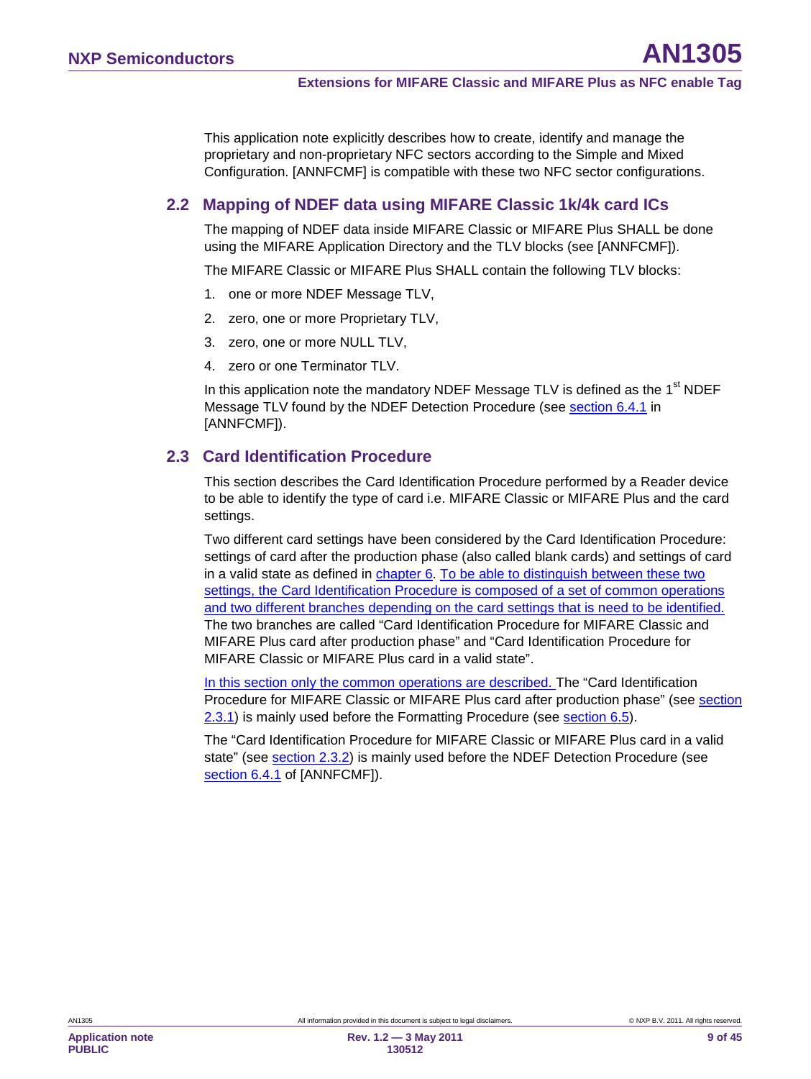This application note explicitly describes how to create, identify and manage the proprietary and non-proprietary NFC sectors according to the Simple and Mixed Configuration. [ANNFCMF] is compatible with these two NFC sector configurations.

### <span id="page-8-1"></span>**2.2 Mapping of NDEF data using MIFARE Classic 1k/4k card ICs**

The mapping of NDEF data inside MIFARE Classic or MIFARE Plus SHALL be done using the MIFARE Application Directory and the TLV blocks (see [ANNFCMF]).

The MIFARE Classic or MIFARE Plus SHALL contain the following TLV blocks:

- 1. one or more NDEF Message TLV,
- 2. zero, one or more Proprietary TLV,
- 3. zero, one or more NULL TLV,
- 4. zero or one Terminator TLV.

In this application note the mandatory NDEF Message TLV is defined as the  $1<sup>st</sup>$  NDEF Message TLV found by the NDEF Detection Procedure (see <u>section 6.4.1</u> in [ANNFCMF]).

### <span id="page-8-0"></span>**2.3 Card Identification Procedure**

This section describes the Card Identification Procedure performed by a Reader device to be able to identify the type of card i.e. MIFARE Classic or MIFARE Plus and the card settings.

Two different card settings have been considered by the Card Identification Procedure: settings of card after the production phase (also called blank cards) and settings of card in a valid state as defined in chapter [6.](#page-14-1) To be able to distinguish between these two settings, the Card Identification Procedure is composed of a set of common operations and two different branches depending on the card settings that is need to be identified. The two branches are called "Card Identification Procedure for MIFARE Classic and MIFARE Plus card after production phase" and "Card Identification Procedure for MIFARE Classic or MIFARE Plus card in a valid state".

In this section only the common operations are described. The "Card Identification Procedure for MIFARE Classic or MIFARE Plus card after production phase" (see section [2.3.1\)](#page-10-0) is mainly used before the Formatting Procedure (see **section [6.5](#page-30-0)**).

The "Card Identification Procedure for MIFARE Classic or MIFARE Plus card in a valid state" (see <u>section 2.3.2</u>) is mainly used before the NDEF Detection Procedure (see section 6.4.1 of [ANNFCMF]).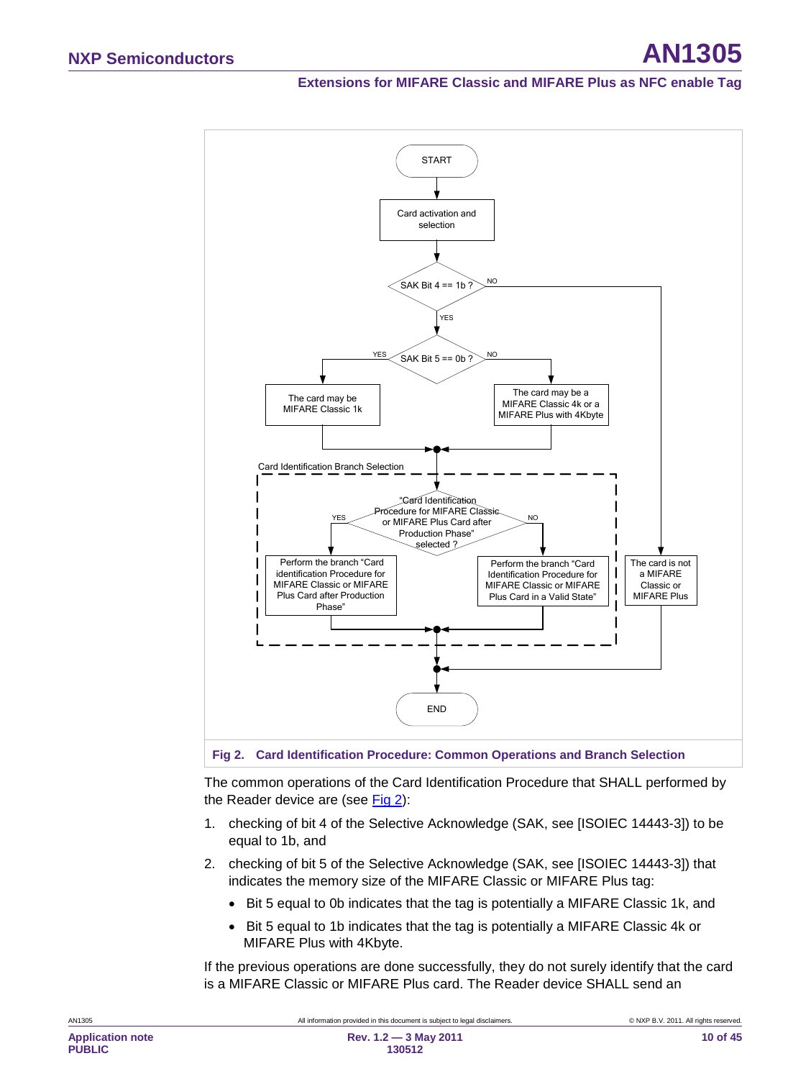#### **Extensions for MIFARE Classic and MIFARE Plus as NFC enable Tag**



<span id="page-9-0"></span>**Fig 2. Card Identification Procedure: Common Operations and Branch Selection**

The common operations of the Card Identification Procedure that SHALL performed by the Reader device are (see [Fig 2\)](#page-9-0):

- 1. checking of bit 4 of the Selective Acknowledge (SAK, see [ISOIEC 14443-3]) to be equal to 1b, and
- 2. checking of bit 5 of the Selective Acknowledge (SAK, see [ISOIEC 14443-3]) that indicates the memory size of the MIFARE Classic or MIFARE Plus tag:
	- Bit 5 equal to 0b indicates that the tag is potentially a MIFARE Classic 1k, and
	- Bit 5 equal to 1b indicates that the tag is potentially a MIFARE Classic 4k or MIFARE Plus with 4Kbyte.

If the previous operations are done successfully, they do not surely identify that the card is a MIFARE Classic or MIFARE Plus card. The Reader device SHALL send an

**PUBLIC**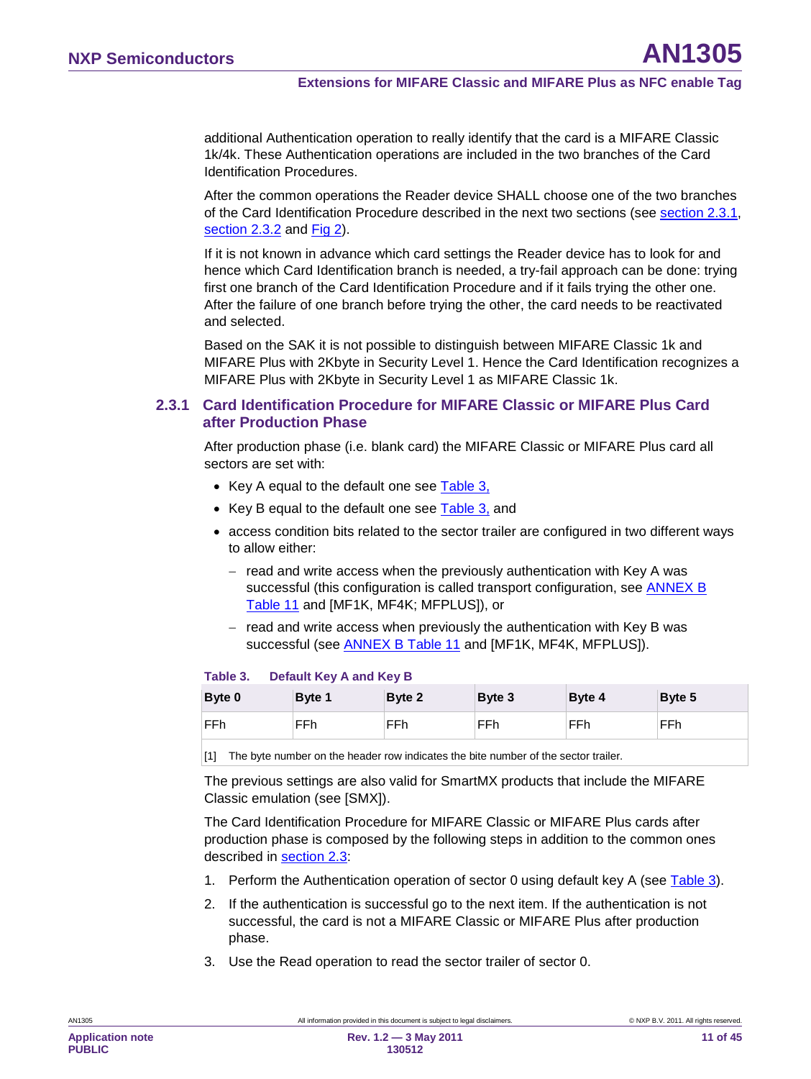additional Authentication operation to really identify that the card is a MIFARE Classic 1k/4k. These Authentication operations are included in the two branches of the Card Identification Procedures.

After the common operations the Reader device SHALL choose one of the two branches of the Card Identification Procedure described in the next two sections (see section [2.3.1,](#page-10-0) section [2.3.2](#page-13-0) and [Fig 2\)](#page-9-0).

If it is not known in advance which card settings the Reader device has to look for and hence which Card Identification branch is needed, a try-fail approach can be done: trying first one branch of the Card Identification Procedure and if it fails trying the other one. After the failure of one branch before trying the other, the card needs to be reactivated and selected.

Based on the SAK it is not possible to distinguish between MIFARE Classic 1k and MIFARE Plus with 2Kbyte in Security Level 1. Hence the Card Identification recognizes a MIFARE Plus with 2Kbyte in Security Level 1 as MIFARE Classic 1k.

#### <span id="page-10-0"></span>**2.3.1 Card Identification Procedure for MIFARE Classic or MIFARE Plus Card after Production Phase**

After production phase (i.e. blank card) the MIFARE Classic or MIFARE Plus card all sectors are set with:

- Key A equal to the default one see <u>[Table 3,](#page-10-1)</u>
- Key B equal to the default one see <u>[Table 3,](#page-10-1)</u> and
- access condition bits related to the sector trailer are configured in two different ways to allow either:
	- − read and write access when the previously authentication with Key A was successful (this configuration is called transport configuration, see **ANNEX B** [Table 11](#page-40-0) and [MF1K, MF4K; MFPLUS]), or
	- − read and write access when previously the authentication with Key B was successful (see <u>ANNEX B [Table 11](#page-40-0)</u> and [MF1K, MF4K, MFPLUS]).

#### <span id="page-10-1"></span>**Table 3. Default Key A and Key B**

| Byte 0 | Byte 1 | Byte 2 | Byte 3 | Byte 4 | Byte 5 |
|--------|--------|--------|--------|--------|--------|
| FFh    | FFh    | FFh    | FFh    | FFh    | FFh    |

[1] The byte number on the header row indicates the bite number of the sector trailer.

The previous settings are also valid for SmartMX products that include the MIFARE Classic emulation (see [SMX]).

The Card Identification Procedure for MIFARE Classic or MIFARE Plus cards after production phase is composed by the following steps in addition to the common ones described in **section [2.3](#page-8-0)**:

- 1. Perform the Authentication operation of sector 0 using default key A (see [Table 3\)](#page-10-1).
- 2. If the authentication is successful go to the next item. If the authentication is not successful, the card is not a MIFARE Classic or MIFARE Plus after production phase.
- 3. Use the Read operation to read the sector trailer of sector 0.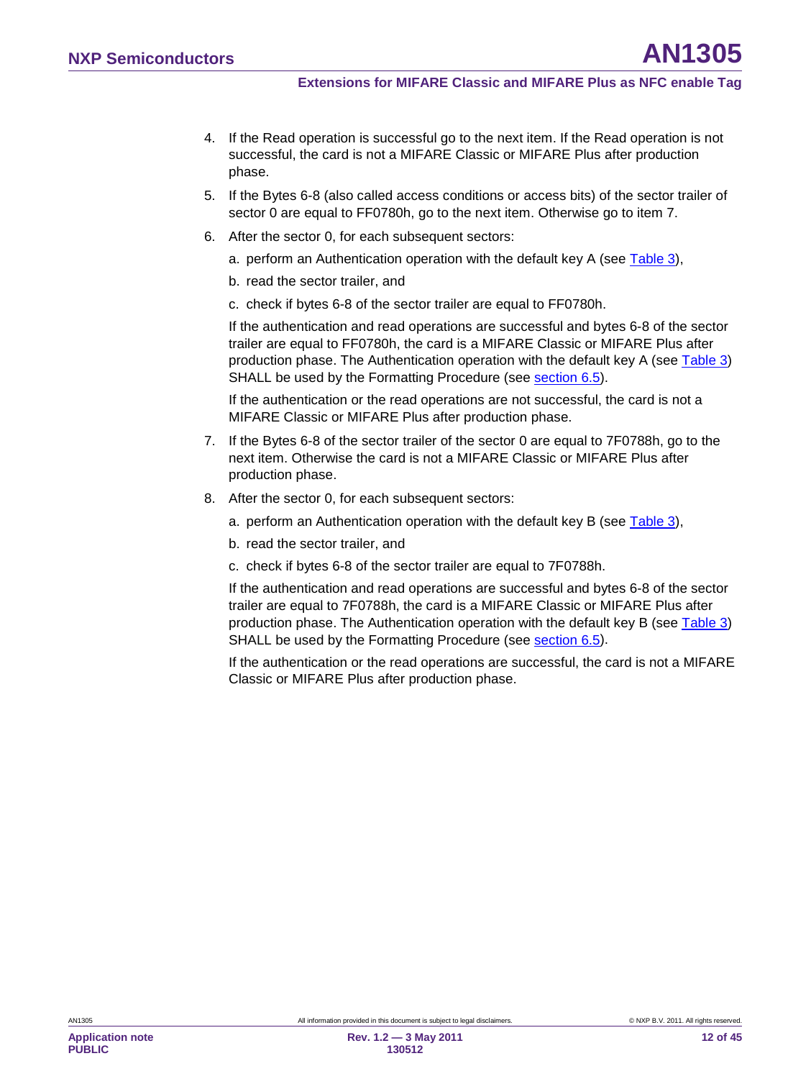- 4. If the Read operation is successful go to the next item. If the Read operation is not successful, the card is not a MIFARE Classic or MIFARE Plus after production phase.
- 5. If the Bytes 6-8 (also called access conditions or access bits) of the sector trailer of sector 0 are equal to FF0780h, go to the next item. Otherwise go to item 7.
- 6. After the sector 0, for each subsequent sectors:
	- a. perform an Authentication operation with the default key A (see [Table 3\)](#page-10-1),
	- b. read the sector trailer, and
	- c. check if bytes 6-8 of the sector trailer are equal to FF0780h.

If the authentication and read operations are successful and bytes 6-8 of the sector trailer are equal to FF0780h, the card is a MIFARE Classic or MIFARE Plus after production phase. The Authentication operation with the default key A (see [Table 3\)](#page-10-1) SHALL be used by the Formatting Procedure (see <u>section [6.5](#page-30-0)</u>).

If the authentication or the read operations are not successful, the card is not a MIFARE Classic or MIFARE Plus after production phase.

- 7. If the Bytes 6-8 of the sector trailer of the sector 0 are equal to 7F0788h, go to the next item. Otherwise the card is not a MIFARE Classic or MIFARE Plus after production phase.
- 8. After the sector 0, for each subsequent sectors:
	- a. perform an Authentication operation with the default key B (see [Table 3\)](#page-10-1),
	- b. read the sector trailer, and
	- c. check if bytes 6-8 of the sector trailer are equal to 7F0788h.

If the authentication and read operations are successful and bytes 6-8 of the sector trailer are equal to 7F0788h, the card is a MIFARE Classic or MIFARE Plus after production phase. The Authentication operation with the default key B (see [Table 3\)](#page-10-1) SHALL be used by the Formatting Procedure (see <u>section [6.5](#page-30-0)</u>).

If the authentication or the read operations are successful, the card is not a MIFARE Classic or MIFARE Plus after production phase.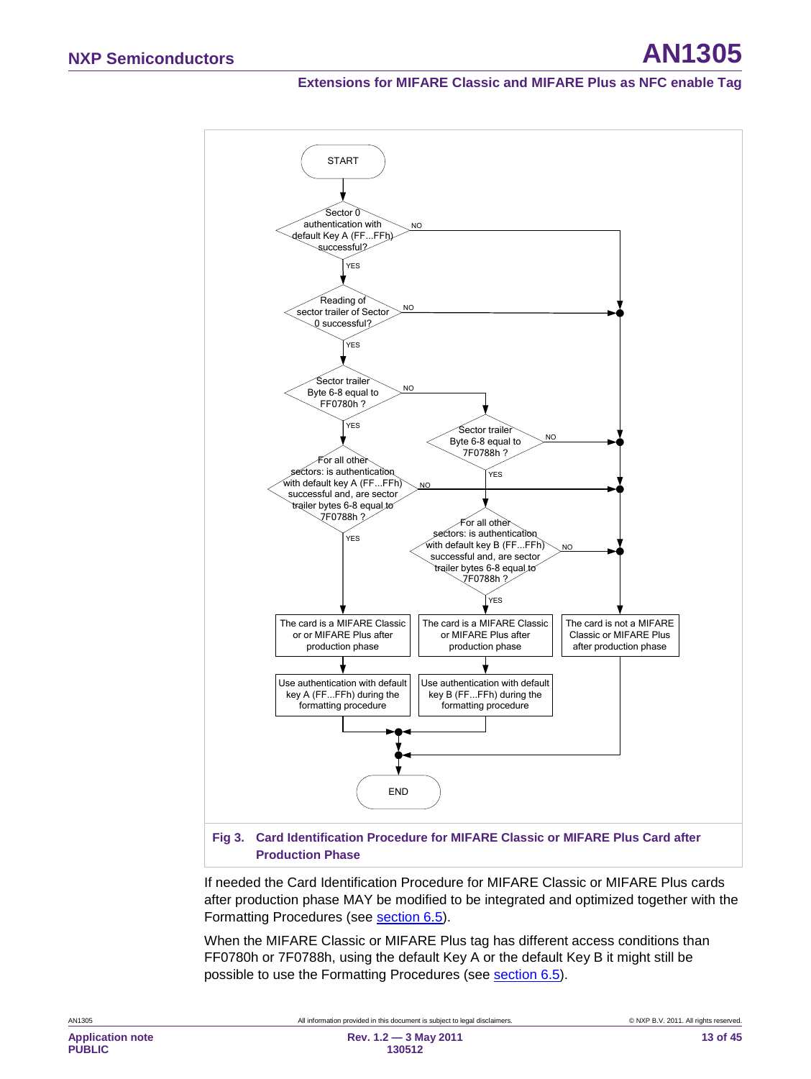### **Extensions for MIFARE Classic and MIFARE Plus as NFC enable Tag**



If needed the Card Identification Procedure for MIFARE Classic or MIFARE Plus cards after production phase MAY be modified to be integrated and optimized together with the Formatting Procedures (see **section [6.5](#page-30-0)**).

When the MIFARE Classic or MIFARE Plus tag has different access conditions than FF0780h or 7F0788h, using the default Key A or the default Key B it might still be possible to use the Formatting Procedures (see **section [6.5\)](#page-30-0)**.

AN1305 **All information provided in this document is subject to legal disclaimers.** © NXP B.V. 2011. All rights reserved.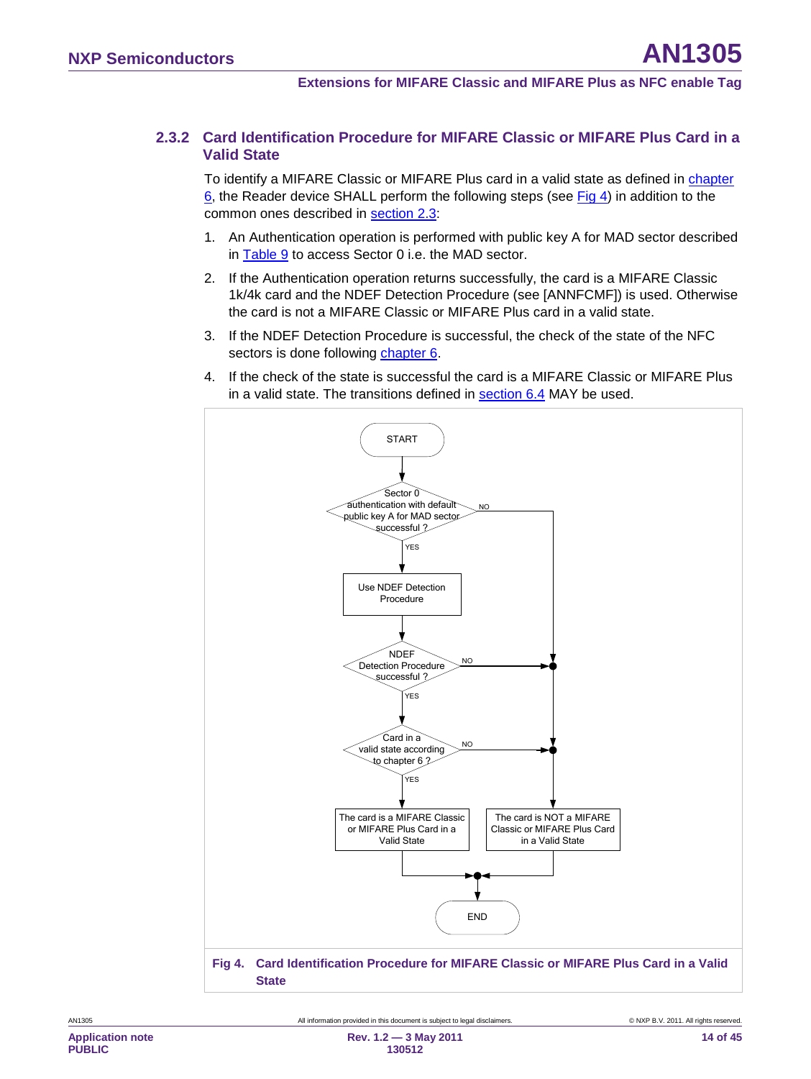#### **2.3.2 Card Identification Procedure for MIFARE Classic or MIFARE Plus Card in a Valid State**

<span id="page-13-0"></span>To identify a MIFARE Classic or MIFARE Plus card in a valid state as defined in chapter [6,](#page-14-1) the Reader device SHALL perform the following steps (see [Fig 4\)](#page-13-1) in addition to the common ones described in <u>section [2.3](#page-8-0)</u>:

- 1. An Authentication operation is performed with public key A for MAD sector described in <u>[Table 9](#page-20-0)</u> to access Sector 0 i.e. the MAD sector.
- 2. If the Authentication operation returns successfully, the card is a MIFARE Classic 1k/4k card and the NDEF Detection Procedure (see [ANNFCMF]) is used. Otherwise the card is not a MIFARE Classic or MIFARE Plus card in a valid state.
- 3. If the NDEF Detection Procedure is successful, the check of the state of the NFC sectors is done following <u>chapter [6](#page-14-1)</u>.
- 4. If the check of the state is successful the card is a MIFARE Classic or MIFARE Plus in a valid state. The transitions defined in <u>section [6.4](#page-26-0)</u> MAY be used.

<span id="page-13-1"></span>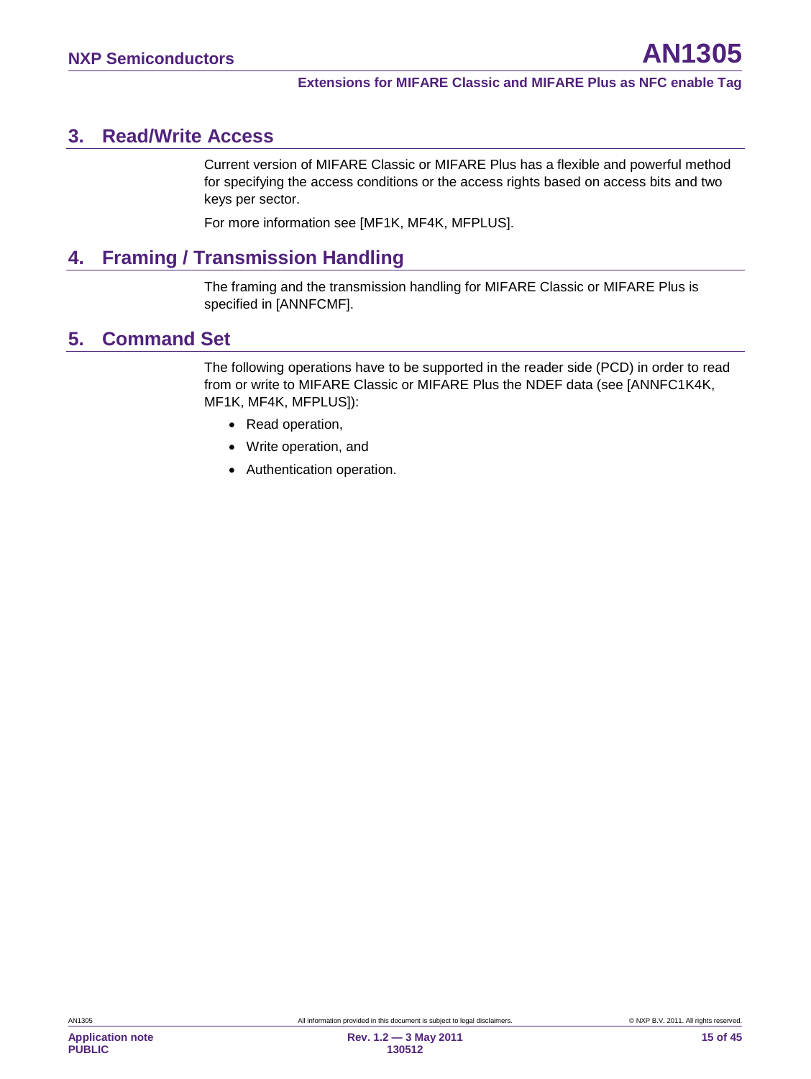# <span id="page-14-2"></span>**3. Read/Write Access**

Current version of MIFARE Classic or MIFARE Plus has a flexible and powerful method for specifying the access conditions or the access rights based on access bits and two keys per sector.

For more information see [MF1K, MF4K, MFPLUS].

# <span id="page-14-3"></span>**4. Framing / Transmission Handling**

The framing and the transmission handling for MIFARE Classic or MIFARE Plus is specified in [ANNFCMF].

# <span id="page-14-0"></span>**5. Command Set**

The following operations have to be supported in the reader side (PCD) in order to read from or write to MIFARE Classic or MIFARE Plus the NDEF data (see [ANNFC1K4K, MF1K, MF4K, MFPLUS]):

- Read operation,
- Write operation, and
- <span id="page-14-1"></span>• Authentication operation.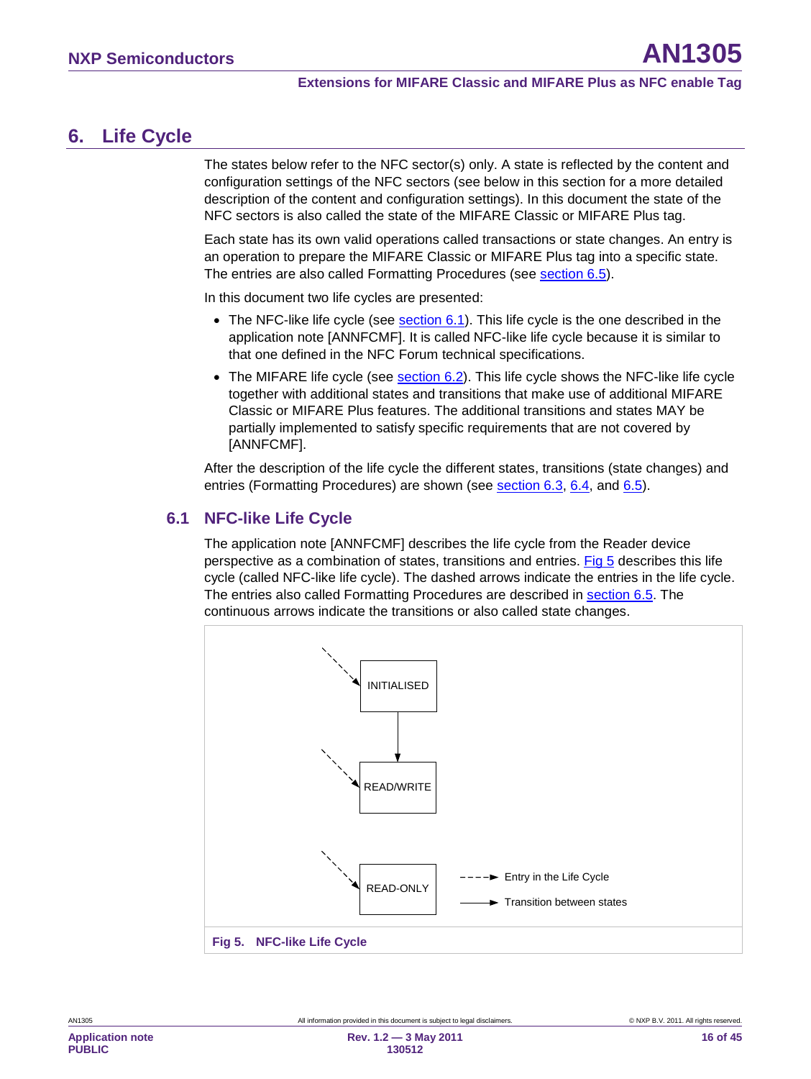# <span id="page-15-2"></span>**6. Life Cycle**

The states below refer to the NFC sector(s) only. A state is reflected by the content and configuration settings of the NFC sectors (see below in this section for a more detailed description of the content and configuration settings). In this document the state of the NFC sectors is also called the state of the MIFARE Classic or MIFARE Plus tag.

Each state has its own valid operations called transactions or state changes. An entry is an operation to prepare the MIFARE Classic or MIFARE Plus tag into a specific state. The entries are also called Formatting Procedures (see <u>section [6.5](#page-30-0)</u>).

In this document two life cycles are presented:

- $\bullet~$  The NFC-like life cycle (see  $\underline{\textrm{section 6.1}}$  $\underline{\textrm{section 6.1}}$  $\underline{\textrm{section 6.1}}$ ). This life cycle is the one described in the application note [ANNFCMF]. It is called NFC-like life cycle because it is similar to that one defined in the NFC Forum technical specifications.
- $\bullet~$  The MIFARE life cycle (see  $\frac{\text{section 6.2}}{\text{Section 6.2}}$  $\frac{\text{section 6.2}}{\text{Section 6.2}}$  $\frac{\text{section 6.2}}{\text{Section 6.2}}$  This life cycle shows the NFC-like life cycle together with additional states and transitions that make use of additional MIFARE Classic or MIFARE Plus features. The additional transitions and states MAY be partially implemented to satisfy specific requirements that are not covered by [ANNFCMF].

After the description of the life cycle the different states, transitions (state changes) and entries (Formatting Procedures) are shown (see <u>section [6.3,](#page-21-1) 6.4</u>, and <u>6.5</u>).

### <span id="page-15-0"></span>**6.1 NFC-like Life Cycle**

The application note [ANNFCMF] describes the life cycle from the Reader device perspective as a combination of states, transitions and entries. [Fig 5](#page-15-1) describes this life cycle (called NFC-like life cycle). The dashed arrows indicate the entries in the life cycle. The entries also called Formatting Procedures are described in **section [6.5](#page-30-0)**. The continuous arrows indicate the transitions or also called state changes.

<span id="page-15-1"></span>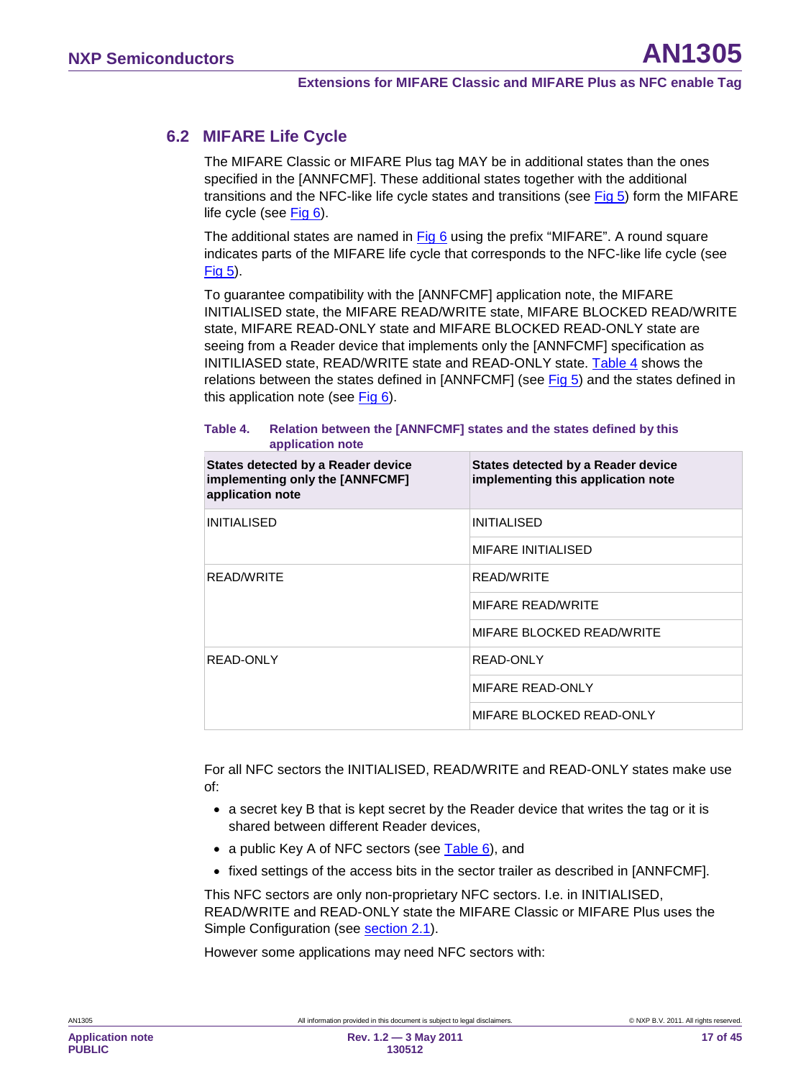### **6.2 MIFARE Life Cycle**

<span id="page-16-0"></span>The MIFARE Classic or MIFARE Plus tag MAY be in additional states than the ones specified in the [ANNFCMF]. These additional states together with the additional transitions and the NFC-like life cycle states and transitions (see [Fig 5\)](#page-15-1) form the MIFARE life cycle (see [Fig 6\)](#page-17-0).

The additional states are named in [Fig 6](#page-17-0) using the prefix "MIFARE". A round square indicates parts of the MIFARE life cycle that corresponds to the NFC-like life cycle (see [Fig 5\)](#page-15-1).

To guarantee compatibility with the [ANNFCMF] application note, the MIFARE INITIALISED state, the MIFARE READ/WRITE state, MIFARE BLOCKED READ/WRITE state, MIFARE READ-ONLY state and MIFARE BLOCKED READ-ONLY state are seeing from a Reader device that implements only the [ANNFCMF] specification as INITILIASED state, READ/WRITE state and READ-ONLY state. [Table 4](#page-16-1) shows the relations between the states defined in [ANNFCMF] (see [Fig 5\)](#page-15-1) and the states defined in this application note (see [Fig 6\)](#page-17-0).

#### <span id="page-16-1"></span>**Table 4. Relation between the [ANNFCMF] states and the states defined by this application note**

| States detected by a Reader device<br>implementing only the [ANNFCMF]<br>application note | States detected by a Reader device<br>implementing this application note |
|-------------------------------------------------------------------------------------------|--------------------------------------------------------------------------|
| <b>INITIALISED</b>                                                                        | <b>INITIALISED</b>                                                       |
|                                                                                           | <b>MIFARE INITIALISED</b>                                                |
| <b>READ/WRITE</b>                                                                         | <b>READ/WRITE</b>                                                        |
|                                                                                           | <b>MIFARE READ/WRITE</b>                                                 |
|                                                                                           | MIFARE BLOCKED READ/WRITE                                                |
| READ-ONLY                                                                                 | READ-ONLY                                                                |
|                                                                                           | MIFARE READ-ONLY                                                         |
|                                                                                           | MIFARE BLOCKED READ-ONLY                                                 |

For all NFC sectors the INITIALISED, READ/WRITE and READ-ONLY states make use of:

- a secret key B that is kept secret by the Reader device that writes the tag or it is shared between different Reader devices,
- a public Key A of NFC sectors (see [Table 6\)](#page-19-0), and
- fixed settings of the access bits in the sector trailer as described in [ANNFCMF].

This NFC sectors are only non-proprietary NFC sectors. I.e. in INITIALISED, READ/WRITE and READ-ONLY state the MIFARE Classic or MIFARE Plus uses the Simple Configuration (see **section [2.1](#page-6-1)**).

However some applications may need NFC sectors with: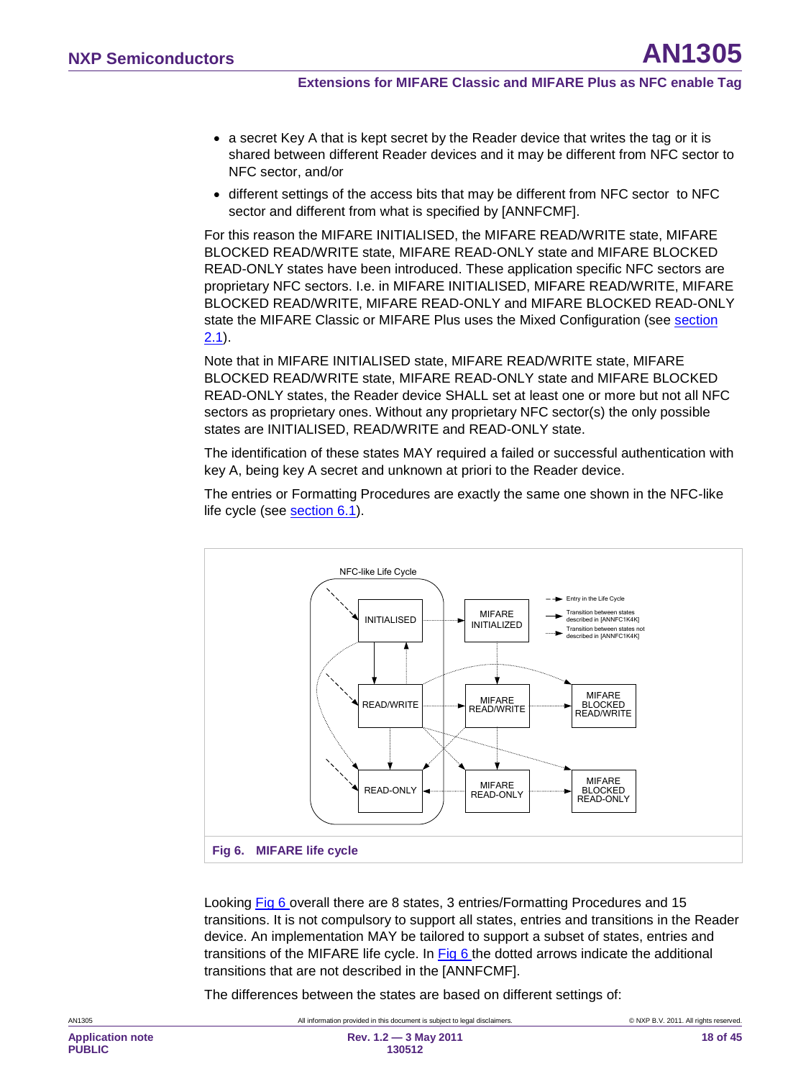- a secret Key A that is kept secret by the Reader device that writes the tag or it is shared between different Reader devices and it may be different from NFC sector to NFC sector, and/or
- different settings of the access bits that may be different from NFC sector to NFC sector and different from what is specified by [ANNFCMF].

For this reason the MIFARE INITIALISED, the MIFARE READ/WRITE state, MIFARE BLOCKED READ/WRITE state, MIFARE READ-ONLY state and MIFARE BLOCKED READ-ONLY states have been introduced. These application specific NFC sectors are proprietary NFC sectors. I.e. in MIFARE INITIALISED, MIFARE READ/WRITE, MIFARE BLOCKED READ/WRITE, MIFARE READ-ONLY and MIFARE BLOCKED READ-ONLY state the MIFARE Classic or MIFARE Plus uses the Mixed Configuration (see section <u>[2.1](#page-6-1)</u>).

Note that in MIFARE INITIALISED state, MIFARE READ/WRITE state, MIFARE BLOCKED READ/WRITE state, MIFARE READ-ONLY state and MIFARE BLOCKED READ-ONLY states, the Reader device SHALL set at least one or more but not all NFC sectors as proprietary ones. Without any proprietary NFC sector(s) the only possible states are INITIALISED, READ/WRITE and READ-ONLY state.

The identification of these states MAY required a failed or successful authentication with key A, being key A secret and unknown at priori to the Reader device.

The entries or Formatting Procedures are exactly the same one shown in the NFC-like life cycle (see section [6.1\)](#page-15-0).



<span id="page-17-0"></span>Looking [Fig 6](#page-17-0) overall there are 8 states, 3 entries/Formatting Procedures and 15 transitions. It is not compulsory to support all states, entries and transitions in the Reader device. An implementation MAY be tailored to support a subset of states, entries and transitions of the MIFARE life cycle. In **Fig 6** the dotted arrows indicate the additional transitions that are not described in the [ANNFCMF].

The differences between the states are based on different settings of: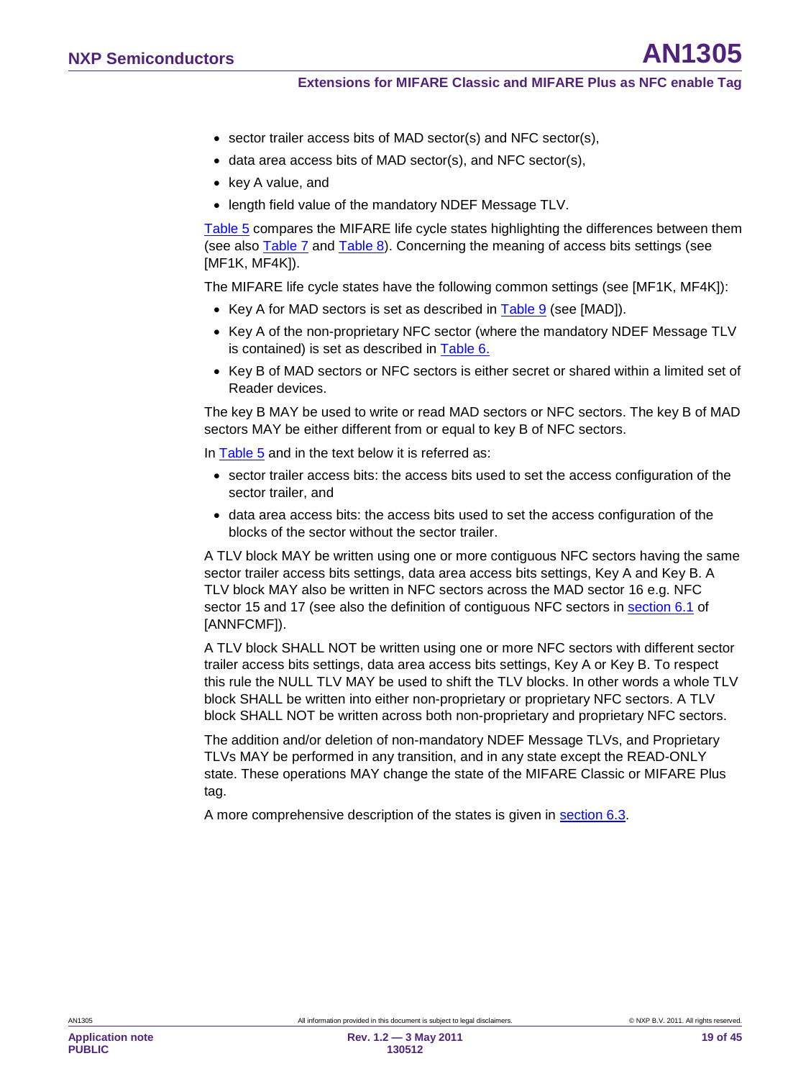- sector trailer access bits of MAD sector(s) and NFC sector(s),
- data area access bits of MAD sector(s), and NFC sector(s),
- key A value, and
- length field value of the mandatory NDEF Message TLV.

[Table 5](#page-19-1) compares the MIFARE life cycle states highlighting the differences between them (see also [Table 7](#page-19-2) and [Table 8\)](#page-20-1). Concerning the meaning of access bits settings (see [MF1K, MF4K]).

The MIFARE life cycle states have the following common settings (see [MF1K, MF4K]):

- Key A for MAD sectors is set as described in **Table 9** (see [MAD]).
- Key A of the non-proprietary NFC sector (where the mandatory NDEF Message TLV is contained) is set as described in <u>[Table 6.](#page-19-0)</u>
- Key B of MAD sectors or NFC sectors is either secret or shared within a limited set of Reader devices.

The key B MAY be used to write or read MAD sectors or NFC sectors. The key B of MAD sectors MAY be either different from or equal to key B of NFC sectors.

In [Table 5](#page-19-1) and in the text below it is referred as:

- sector trailer access bits: the access bits used to set the access configuration of the sector trailer, and
- data area access bits: the access bits used to set the access configuration of the blocks of the sector without the sector trailer.

A TLV block MAY be written using one or more contiguous NFC sectors having the same sector trailer access bits settings, data area access bits settings, Key A and Key B. A TLV block MAY also be written in NFC sectors across the MAD sector 16 e.g. NFC sector 15 and 17 (see also the definition of contiguous NFC sectors in <u>section 6.1</u> of [ANNFCMF]).

A TLV block SHALL NOT be written using one or more NFC sectors with different sector trailer access bits settings, data area access bits settings, Key A or Key B. To respect this rule the NULL TLV MAY be used to shift the TLV blocks. In other words a whole TLV block SHALL be written into either non-proprietary or proprietary NFC sectors. A TLV block SHALL NOT be written across both non-proprietary and proprietary NFC sectors.

The addition and/or deletion of non-mandatory NDEF Message TLVs, and Proprietary TLVs MAY be performed in any transition, and in any state except the READ-ONLY state. These operations MAY change the state of the MIFARE Classic or MIFARE Plus tag.

A more comprehensive description of the states is given in section [6.3.](#page-21-1)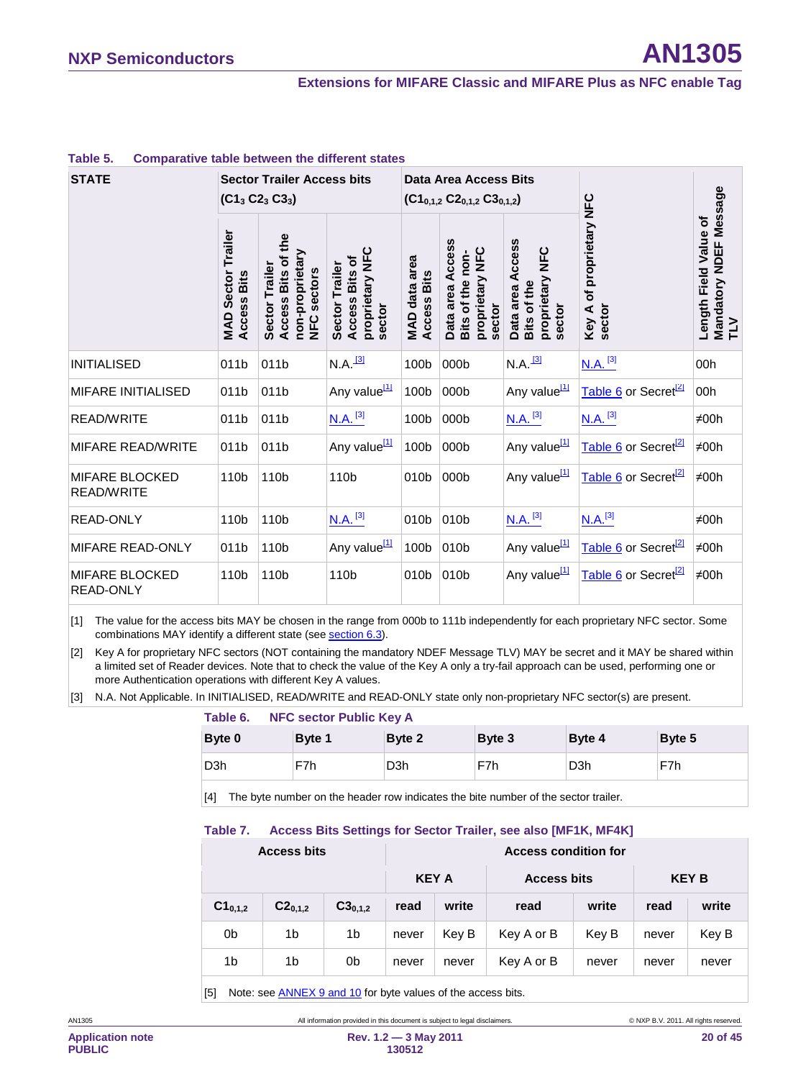#### **Extensions for MIFARE Classic and MIFARE Plus as NFC enable Tag**

| <b>STATE</b>                               | <b>Sector Trailer Access bits</b><br>$(C13 C23 C33)$  |                                                                        |                                                                              | Data Area Access Bits<br>$(C1_{0,1,2} C2_{0,1,2} C3_{0,1,2})$ |                                                                   |                                                              |                                                             |                                                        |
|--------------------------------------------|-------------------------------------------------------|------------------------------------------------------------------------|------------------------------------------------------------------------------|---------------------------------------------------------------|-------------------------------------------------------------------|--------------------------------------------------------------|-------------------------------------------------------------|--------------------------------------------------------|
|                                            | Trailer<br><b>Sector</b><br><b>Access Bits</b><br>MAD | Access Bits of the<br>non-proprietary<br>Sector Trailer<br>NFC sectors | <b>U</b><br>NFZ<br>Access Bits of<br>Sector Trailer<br>proprietary<br>sector | MAD data area<br><b>Access Bits</b>                           | Data area Access<br>proprietary NFC<br>Bits of the non-<br>sector | Data area Access<br>proprietary NFC<br>Bits of the<br>sector | of proprietary NFC<br>sector<br>$\blacktriangleleft$<br>Key | Mandatory NDEF Message<br>TLV<br>Length Field Value of |
| <b>INITIALISED</b>                         | 011b                                                  | 011b                                                                   | $N.A.$ <sup>[3]</sup>                                                        | 100b                                                          | 000b                                                              | $N.A.$ <sup>[3]</sup>                                        | $N.A.$ <sup>[3]</sup>                                       | 00h                                                    |
| <b>MIFARE INITIALISED</b>                  | 011b                                                  | 011b                                                                   | Any value <sup>[1]</sup>                                                     | 100b                                                          | 000b                                                              | Any value <sup>[1]</sup>                                     | Table 6 or Secret <sup>[2]</sup>                            | 00h                                                    |
| <b>READ/WRITE</b>                          | 011b                                                  | 011b                                                                   | $N.A.$ <sup>[3]</sup>                                                        | 100b                                                          | 000b                                                              | $N.A.$ <sup>[3]</sup>                                        | $N.A.$ <sup>[3]</sup>                                       | ≠00h                                                   |
| <b>MIFARE READ/WRITE</b>                   | 011b                                                  | 011b                                                                   | Any value <sup>[1]</sup>                                                     | 100b                                                          | 000b                                                              | Any value <sup>[1]</sup>                                     | Table 6 or Secret <sup>[2]</sup>                            | $\neq$ 00h                                             |
| <b>MIFARE BLOCKED</b><br><b>READ/WRITE</b> | 110b                                                  | 110b                                                                   | 110b                                                                         | 010b                                                          | 000b                                                              | Any value <sup>[1]</sup>                                     | Table 6 or Secret <sup>[2]</sup>                            | $\neq$ 00h                                             |
| <b>READ-ONLY</b>                           | 110b                                                  | 110b                                                                   | $N.A.$ <sup>[3]</sup>                                                        | 010b                                                          | 010b                                                              | $N.A.$ <sup>[3]</sup>                                        | $N.A.$ <sup>[3]</sup>                                       | ≠00h                                                   |
| MIFARE READ-ONLY                           | 011b                                                  | 110b                                                                   | Any value <sup>[1]</sup>                                                     | 100b                                                          | 010b                                                              | Any value <sup>[1]</sup>                                     | Table 6 or Secret <sup>[2]</sup>                            | $\neq$ 00h                                             |
| MIFARE BLOCKED<br>READ-ONLY                | 110b                                                  | 110b                                                                   | 110b                                                                         | 010 <sub>b</sub>                                              | 010b                                                              | Any value <sup>[1]</sup>                                     | Table 6 or Secret <sup>[2]</sup>                            | $\neq$ 00h                                             |

#### <span id="page-19-1"></span>**Table 5. Comparative table between the different states**

<span id="page-19-4"></span>[1] The value for the access bits MAY be chosen in the range from 000b to 111b independently for each proprietary NFC sector. Some combinations MAY identify a different state (see <u>sectio[n 6.3](#page-21-1)</u>).

<span id="page-19-5"></span>[2] Key A for proprietary NFC sectors (NOT containing the mandatory NDEF Message TLV) MAY be secret and it MAY be shared within a limited set of Reader devices. Note that to check the value of the Key A only a try-fail approach can be used, performing one or more Authentication operations with different Key A values.

<span id="page-19-3"></span>[3] N.A. Not Applicable. In INITIALISED, READ/WRITE and READ-ONLY state only non-proprietary NFC sector(s) are present.

#### <span id="page-19-0"></span>**Table 6. NFC sector Public Key A**

| Byte 0           | Byte 1 | Byte 2           | Byte 3<br>Byte 4 |                  | Byte 5 |  |
|------------------|--------|------------------|------------------|------------------|--------|--|
| D <sub>3</sub> h | F7h    | D <sub>3</sub> h | F7h              | D <sub>3</sub> h | F7h    |  |

<span id="page-19-2"></span>[4] The byte number on the header row indicates the bite number of the sector trailer.

#### **Table 7. Access Bits Settings for Sector Trailer, see also [MF1K, MF4K]**

| <b>Access bits</b> |              |                | <b>Access condition for</b> |       |                    |       |              |       |
|--------------------|--------------|----------------|-----------------------------|-------|--------------------|-------|--------------|-------|
|                    |              |                | <b>KEY A</b>                |       | <b>Access bits</b> |       | <b>KEY B</b> |       |
| $C1_{0,1,2}$       | $C2_{0,1,2}$ | $C3_{0,1,2}$   | read                        | write | read               | write | read         | write |
| 0b                 | 1b           | 1 <sub>b</sub> | never                       | Key B | Key A or B         | Key B | never        | Key B |
| 1b                 | 1b           | 0b             | never                       | never | Key A or B         | never | never        | never |

[5] Note: see ANNE[X 9](#page-39-0) an[d 10](#page-40-1) for byte values of the access bits.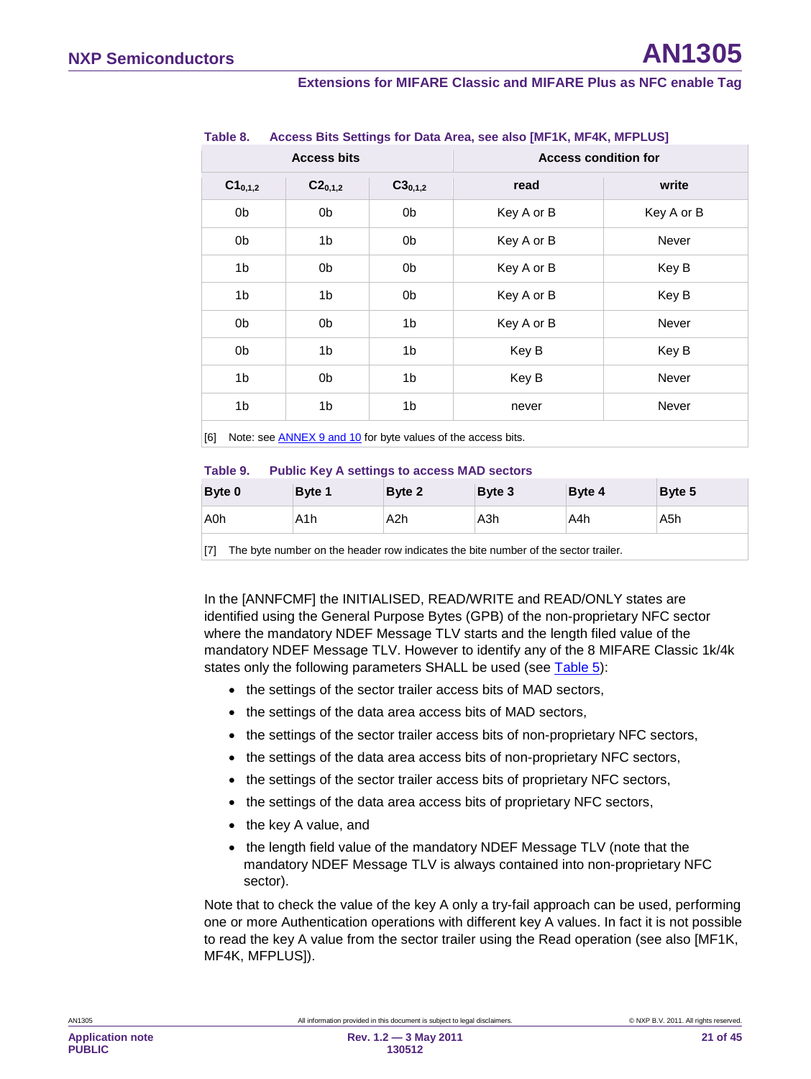#### **Extensions for MIFARE Classic and MIFARE Plus as NFC enable Tag**

|                | <b>Access bits</b> |                | <b>Access condition for</b> |              |  |
|----------------|--------------------|----------------|-----------------------------|--------------|--|
| $C1_{0,1,2}$   | $C2_{0,1,2}$       | $C3_{0,1,2}$   | read                        | write        |  |
| 0b             | 0b                 | 0b             | Key A or B                  | Key A or B   |  |
| 0b             | 1b                 | 0b             | Key A or B                  | <b>Never</b> |  |
| 1 <sub>b</sub> | 0b                 | 0b             | Key A or B                  | Key B        |  |
| 1b             | 1b                 | 0b             | Key A or B                  | Key B        |  |
| 0b             | 0b                 | 1 <sub>b</sub> | Key A or B                  | Never        |  |
| 0b             | 1b                 | 1 <sub>b</sub> | Key B                       | Key B        |  |
| 1 <sub>b</sub> | 0b                 | 1b             | Key B                       | Never        |  |
| 1b             | 1b                 | 1 <sub>b</sub> | never                       | Never        |  |

#### <span id="page-20-1"></span>**Table 8. Access Bits Settings for Data Area, see also [MF1K, MF4K, MFPLUS]**

<span id="page-20-0"></span>[6] Note: see **ANNE[X 9](#page-39-0) an[d 10](#page-40-1)** for byte values of the access bits.

#### **Table 9. Public Key A settings to access MAD sectors**

| Byte 0 | Byte 1 | Byte 2 | Byte 3           | Byte 4 | Byte 5 |
|--------|--------|--------|------------------|--------|--------|
| A0h    | A1h    | A2h    | A <sub>3</sub> h | A4h    | A5h    |
|        |        |        |                  |        |        |

[7] The byte number on the header row indicates the bite number of the sector trailer.

In the [ANNFCMF] the INITIALISED, READ/WRITE and READ/ONLY states are identified using the General Purpose Bytes (GPB) of the non-proprietary NFC sector where the mandatory NDEF Message TLV starts and the length filed value of the mandatory NDEF Message TLV. However to identify any of the 8 MIFARE Classic 1k/4k states only the following parameters SHALL be used (see [Table 5\)](#page-19-1):

- the settings of the sector trailer access bits of MAD sectors,
- the settings of the data area access bits of MAD sectors,
- the settings of the sector trailer access bits of non-proprietary NFC sectors,
- the settings of the data area access bits of non-proprietary NFC sectors,
- the settings of the sector trailer access bits of proprietary NFC sectors,
- the settings of the data area access bits of proprietary NFC sectors,
- the key A value, and
- the length field value of the mandatory NDEF Message TLV (note that the mandatory NDEF Message TLV is always contained into non-proprietary NFC sector).

Note that to check the value of the key A only a try-fail approach can be used, performing one or more Authentication operations with different key A values. In fact it is not possible to read the key A value from the sector trailer using the Read operation (see also [MF1K, MF4K, MFPLUS]).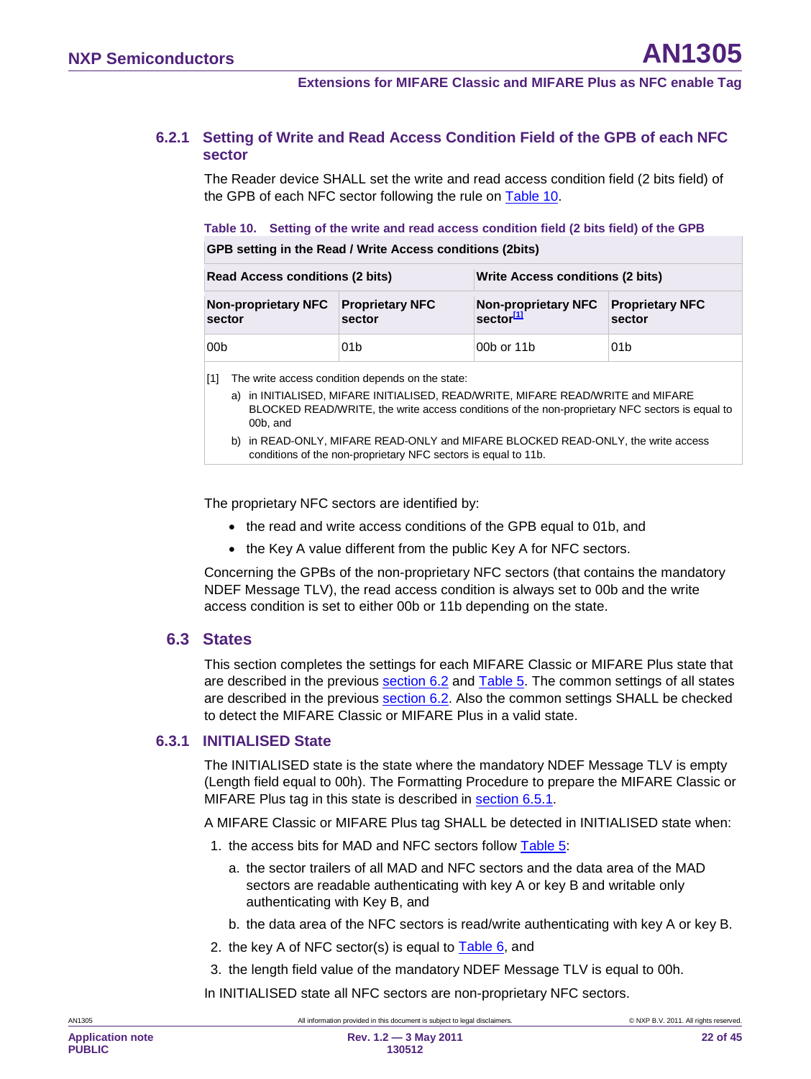#### **6.2.1 Setting of Write and Read Access Condition Field of the GPB of each NFC sector**

<span id="page-21-0"></span>The Reader device SHALL set the write and read access condition field (2 bits field) of the GPB of each NFC sector following the rule on [Table 10.](#page-21-2)

<span id="page-21-2"></span>**Table 10. Setting of the write and read access condition field (2 bits field) of the GPB**

**GPB setting in the Read / Write Access conditions (2bits)**

| <b>Read Access conditions (2 bits)</b>        |                 | Write Access conditions (2 bits)                    |                                  |  |  |
|-----------------------------------------------|-----------------|-----------------------------------------------------|----------------------------------|--|--|
| Non-proprietary NFC Proprietary NFC<br>sector | sector          | <b>Non-proprietary NFC</b><br>sector <sup>[1]</sup> | <b>Proprietary NFC</b><br>sector |  |  |
| 00b                                           | 01 <sub>b</sub> | 00b or 11b                                          | 01 <sub>b</sub>                  |  |  |

<span id="page-21-3"></span>[1] The write access condition depends on the state:

- a) in INITIALISED, MIFARE INITIALISED, READ/WRITE, MIFARE READ/WRITE and MIFARE BLOCKED READ/WRITE, the write access conditions of the non-proprietary NFC sectors is equal to 00b, and
- b) in READ-ONLY, MIFARE READ-ONLY and MIFARE BLOCKED READ-ONLY, the write access conditions of the non-proprietary NFC sectors is equal to 11b.

The proprietary NFC sectors are identified by:

- the read and write access conditions of the GPB equal to 01b, and
- the Key A value different from the public Key A for NFC sectors.

Concerning the GPBs of the non-proprietary NFC sectors (that contains the mandatory NDEF Message TLV), the read access condition is always set to 00b and the write access condition is set to either 00b or 11b depending on the state.

#### <span id="page-21-1"></span>**6.3 States**

This section completes the settings for each MIFARE Classic or MIFARE Plus state that are described in the previous section [6.2](#page-16-0) and [Table 5.](#page-19-1) The common settings of all states are described in the previous **section [6.2](#page-16-0)**. Also the common settings SHALL be checked to detect the MIFARE Classic or MIFARE Plus in a valid state.

#### **6.3.1 INITIALISED State**

<span id="page-21-4"></span>The INITIALISED state is the state where the mandatory NDEF Message TLV is empty (Length field equal to 00h). The Formatting Procedure to prepare the MIFARE Classic or MIFARE Plus tag in this state is described in **section [6.5.1](#page-30-1)**.

A MIFARE Classic or MIFARE Plus tag SHALL be detected in INITIALISED state when:

- 1. the access bits for MAD and NFC sectors follow [Table 5:](#page-19-1)
	- a. the sector trailers of all MAD and NFC sectors and the data area of the MAD sectors are readable authenticating with key A or key B and writable only authenticating with Key B, and
	- b. the data area of the NFC sectors is read/write authenticating with key A or key B.
- 2. the key A of NFC sector(s) is equal to  $Table 6$ , and
- 3. the length field value of the mandatory NDEF Message TLV is equal to 00h.

In INITIALISED state all NFC sectors are non-proprietary NFC sectors.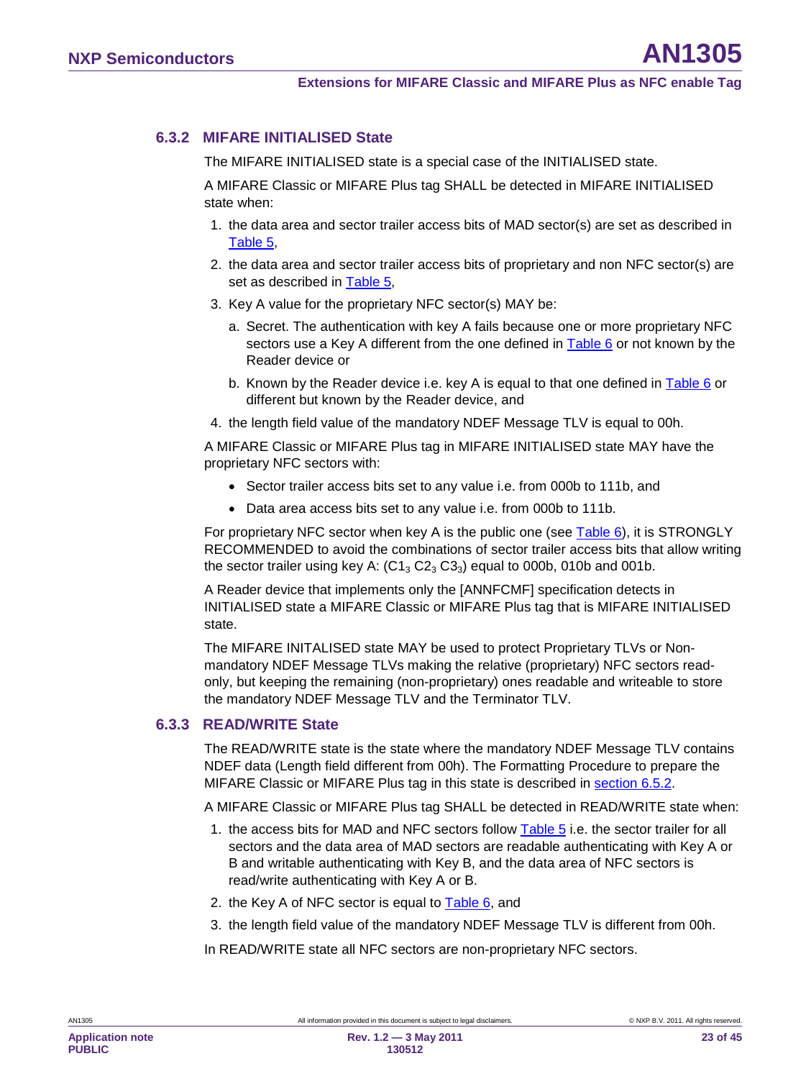### **6.3.2 MIFARE INITIALISED State**

<span id="page-22-0"></span>The MIFARE INITIALISED state is a special case of the INITIALISED state.

A MIFARE Classic or MIFARE Plus tag SHALL be detected in MIFARE INITIALISED state when:

- 1. the data area and sector trailer access bits of MAD sector(s) are set as described in [Table 5,](#page-19-1)
- 2. the data area and sector trailer access bits of proprietary and non NFC sector(s) are set as described in [Table 5,](#page-19-1)
- 3. Key A value for the proprietary NFC sector(s) MAY be:
	- a. Secret. The authentication with key A fails because one or more proprietary NFC sectors use a Key A different from the one defined in Table  $6$  or not known by the Reader device or
	- b. Known by the Reader device i.e. key A is equal to that one defined in  $Table 6$  or different but known by the Reader device, and
- 4. the length field value of the mandatory NDEF Message TLV is equal to 00h.

A MIFARE Classic or MIFARE Plus tag in MIFARE INITIALISED state MAY have the proprietary NFC sectors with:

- Sector trailer access bits set to any value i.e. from 000b to 111b, and
- Data area access bits set to any value i.e. from 000b to 111b.

For proprietary NFC sector when key A is the public one (see [Table 6\)](#page-19-0), it is STRONGLY RECOMMENDED to avoid the combinations of sector trailer access bits that allow writing the sector trailer using key A:  $(C1<sub>3</sub> C2<sub>3</sub> C3<sub>3</sub>)$  equal to 000b, 010b and 001b.

A Reader device that implements only the [ANNFCMF] specification detects in INITIALISED state a MIFARE Classic or MIFARE Plus tag that is MIFARE INITIALISED state.

The MIFARE INITALISED state MAY be used to protect Proprietary TLVs or Nonmandatory NDEF Message TLVs making the relative (proprietary) NFC sectors readonly, but keeping the remaining (non-proprietary) ones readable and writeable to store the mandatory NDEF Message TLV and the Terminator TLV.

### **6.3.3 READ/WRITE State**

<span id="page-22-1"></span>The READ/WRITE state is the state where the mandatory NDEF Message TLV contains NDEF data (Length field different from 00h). The Formatting Procedure to prepare the MIFARE Classic or MIFARE Plus tag in this state is described in **section [6.5.2](#page-32-0)**.

A MIFARE Classic or MIFARE Plus tag SHALL be detected in READ/WRITE state when:

- 1. the access bits for MAD and NFC sectors follow [Table 5](#page-19-1) i.e. the sector trailer for all sectors and the data area of MAD sectors are readable authenticating with Key A or B and writable authenticating with Key B, and the data area of NFC sectors is read/write authenticating with Key A or B.
- 2. the Key A of NFC sector is equal to [Table 6,](#page-19-0) and
- 3. the length field value of the mandatory NDEF Message TLV is different from 00h.

In READ/WRITE state all NFC sectors are non-proprietary NFC sectors.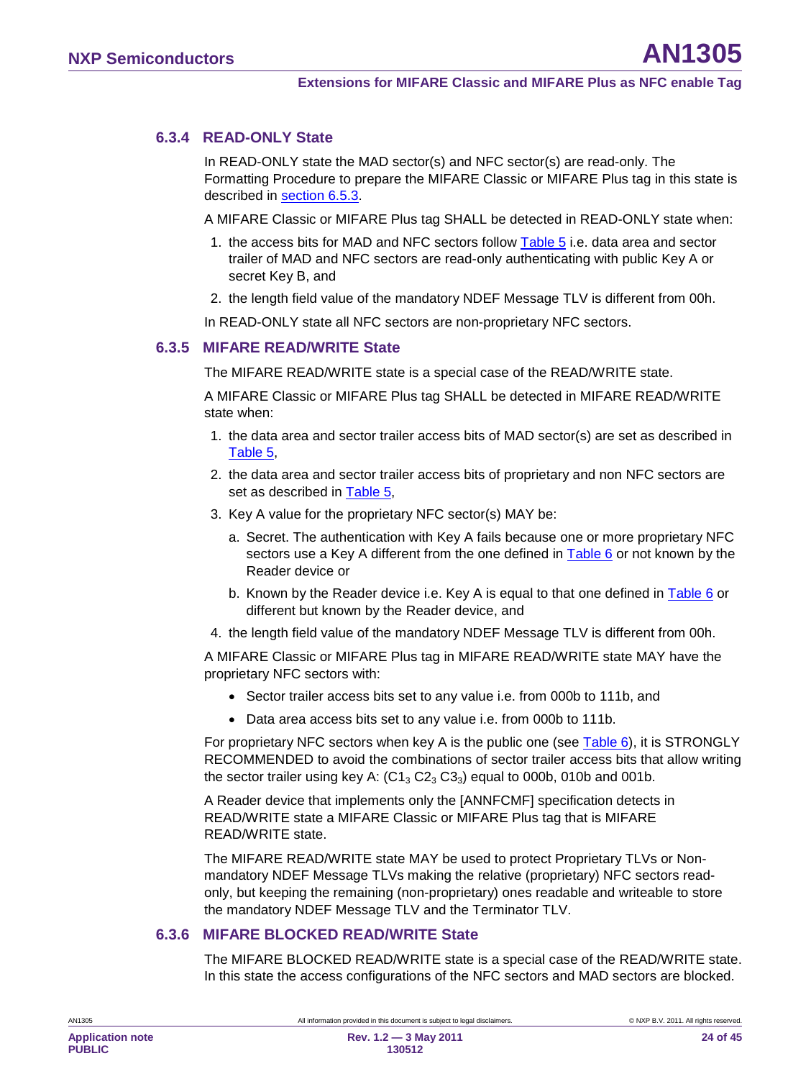#### **6.3.4 READ-ONLY State**

<span id="page-23-0"></span>In READ-ONLY state the MAD sector(s) and NFC sector(s) are read-only. The Formatting Procedure to prepare the MIFARE Classic or MIFARE Plus tag in this state is described in <u>section [6.5.3](#page-32-1)</u>.

A MIFARE Classic or MIFARE Plus tag SHALL be detected in READ-ONLY state when:

- 1. the access bits for MAD and NFC sectors follow [Table 5](#page-19-1) i.e. data area and sector trailer of MAD and NFC sectors are read-only authenticating with public Key A or secret Key B, and
- 2. the length field value of the mandatory NDEF Message TLV is different from 00h.

<span id="page-23-1"></span>In READ-ONLY state all NFC sectors are non-proprietary NFC sectors.

#### **6.3.5 MIFARE READ/WRITE State**

The MIFARE READ/WRITE state is a special case of the READ/WRITE state.

A MIFARE Classic or MIFARE Plus tag SHALL be detected in MIFARE READ/WRITE state when:

- 1. the data area and sector trailer access bits of MAD sector(s) are set as described in [Table 5,](#page-19-1)
- 2. the data area and sector trailer access bits of proprietary and non NFC sectors are set as described in [Table 5,](#page-19-1)
- 3. Key A value for the proprietary NFC sector(s) MAY be:
	- a. Secret. The authentication with Key A fails because one or more proprietary NFC sectors use a Key A different from the one defined in Table  $6$  or not known by the Reader device or
	- b. Known by the Reader device i.e. Key A is equal to that one defined in [Table 6](#page-19-0) or different but known by the Reader device, and
- 4. the length field value of the mandatory NDEF Message TLV is different from 00h.

A MIFARE Classic or MIFARE Plus tag in MIFARE READ/WRITE state MAY have the proprietary NFC sectors with:

- Sector trailer access bits set to any value i.e. from 000b to 111b, and
- Data area access bits set to any value i.e. from 000b to 111b.

For proprietary NFC sectors when key A is the public one (see [Table 6\)](#page-19-0), it is STRONGLY RECOMMENDED to avoid the combinations of sector trailer access bits that allow writing the sector trailer using key A:  $(C1<sub>3</sub> C2<sub>3</sub> C3<sub>3</sub>)$  equal to 000b, 010b and 001b.

A Reader device that implements only the [ANNFCMF] specification detects in READ/WRITE state a MIFARE Classic or MIFARE Plus tag that is MIFARE READ/WRITE state.

The MIFARE READ/WRITE state MAY be used to protect Proprietary TLVs or Nonmandatory NDEF Message TLVs making the relative (proprietary) NFC sectors readonly, but keeping the remaining (non-proprietary) ones readable and writeable to store the mandatory NDEF Message TLV and the Terminator TLV.

#### **6.3.6 MIFARE BLOCKED READ/WRITE State**

<span id="page-23-2"></span>The MIFARE BLOCKED READ/WRITE state is a special case of the READ/WRITE state. In this state the access configurations of the NFC sectors and MAD sectors are blocked.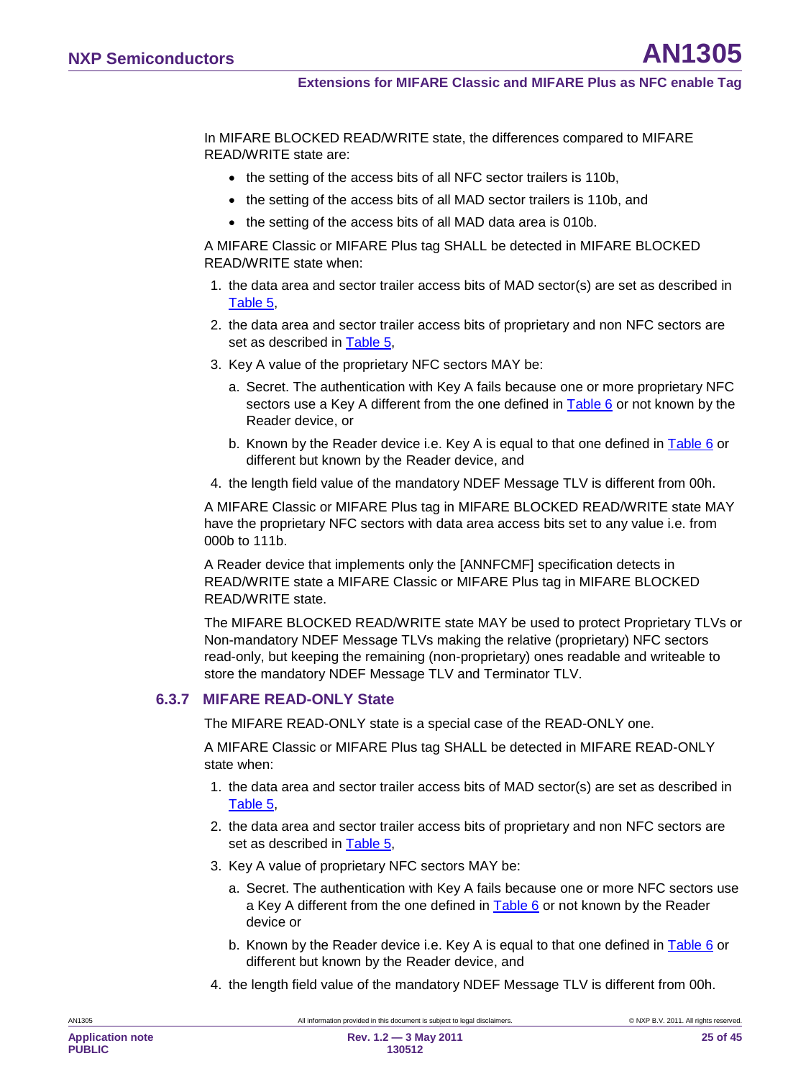In MIFARE BLOCKED READ/WRITE state, the differences compared to MIFARE READ/WRITE state are:

- the setting of the access bits of all NFC sector trailers is 110b.
- the setting of the access bits of all MAD sector trailers is 110b, and
- the setting of the access bits of all MAD data area is 010b.

A MIFARE Classic or MIFARE Plus tag SHALL be detected in MIFARE BLOCKED READ/WRITE state when:

- 1. the data area and sector trailer access bits of MAD sector(s) are set as described in [Table 5,](#page-19-1)
- 2. the data area and sector trailer access bits of proprietary and non NFC sectors are set as described in [Table 5,](#page-19-1)
- 3. Key A value of the proprietary NFC sectors MAY be:
	- a. Secret. The authentication with Key A fails because one or more proprietary NFC sectors use a Key A different from the one defined in [Table 6](#page-19-0) or not known by the Reader device, or
	- b. Known by the Reader device i.e. Key A is equal to that one defined in [Table 6](#page-19-0) or different but known by the Reader device, and
- 4. the length field value of the mandatory NDEF Message TLV is different from 00h.

A MIFARE Classic or MIFARE Plus tag in MIFARE BLOCKED READ/WRITE state MAY have the proprietary NFC sectors with data area access bits set to any value i.e. from 000b to 111b.

A Reader device that implements only the [ANNFCMF] specification detects in READ/WRITE state a MIFARE Classic or MIFARE Plus tag in MIFARE BLOCKED READ/WRITE state.

The MIFARE BLOCKED READ/WRITE state MAY be used to protect Proprietary TLVs or Non-mandatory NDEF Message TLVs making the relative (proprietary) NFC sectors read-only, but keeping the remaining (non-proprietary) ones readable and writeable to store the mandatory NDEF Message TLV and Terminator TLV.

#### **6.3.7 MIFARE READ-ONLY State**

<span id="page-24-0"></span>The MIFARE READ-ONLY state is a special case of the READ-ONLY one.

A MIFARE Classic or MIFARE Plus tag SHALL be detected in MIFARE READ-ONLY state when:

- 1. the data area and sector trailer access bits of MAD sector(s) are set as described in [Table 5,](#page-19-1)
- 2. the data area and sector trailer access bits of proprietary and non NFC sectors are set as described in [Table 5,](#page-19-1)
- 3. Key A value of proprietary NFC sectors MAY be:
	- a. Secret. The authentication with Key A fails because one or more NFC sectors use a Key A different from the one defined in [Table 6](#page-19-0) or not known by the Reader device or
	- b. Known by the Reader device i.e. Key A is equal to that one defined in [Table 6](#page-19-0) or different but known by the Reader device, and
- 4. the length field value of the mandatory NDEF Message TLV is different from 00h.

**130512**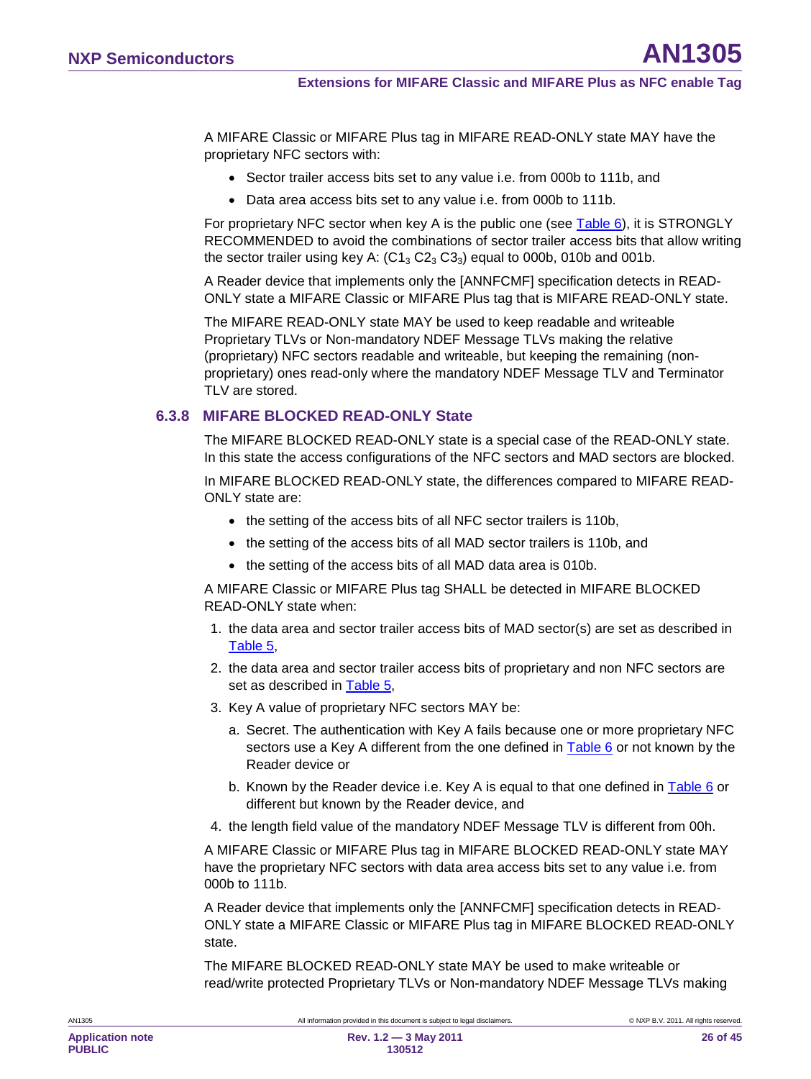A MIFARE Classic or MIFARE Plus tag in MIFARE READ-ONLY state MAY have the proprietary NFC sectors with:

- Sector trailer access bits set to any value i.e. from 000b to 111b, and
- Data area access bits set to any value i.e. from 000b to 111b.

For proprietary NFC sector when key A is the public one (see [Table 6\)](#page-19-0), it is STRONGLY RECOMMENDED to avoid the combinations of sector trailer access bits that allow writing the sector trailer using key A:  $(C1<sub>3</sub> C2<sub>3</sub> C3<sub>3</sub>)$  equal to 000b, 010b and 001b.

A Reader device that implements only the [ANNFCMF] specification detects in READ-ONLY state a MIFARE Classic or MIFARE Plus tag that is MIFARE READ-ONLY state.

The MIFARE READ-ONLY state MAY be used to keep readable and writeable Proprietary TLVs or Non-mandatory NDEF Message TLVs making the relative (proprietary) NFC sectors readable and writeable, but keeping the remaining (nonproprietary) ones read-only where the mandatory NDEF Message TLV and Terminator TLV are stored.

### **6.3.8 MIFARE BLOCKED READ-ONLY State**

<span id="page-25-0"></span>The MIFARE BLOCKED READ-ONLY state is a special case of the READ-ONLY state. In this state the access configurations of the NFC sectors and MAD sectors are blocked.

In MIFARE BLOCKED READ-ONLY state, the differences compared to MIFARE READ-ONLY state are:

- the setting of the access bits of all NFC sector trailers is 110b,
- the setting of the access bits of all MAD sector trailers is 110b, and
- the setting of the access bits of all MAD data area is 010b.

A MIFARE Classic or MIFARE Plus tag SHALL be detected in MIFARE BLOCKED READ-ONLY state when:

- 1. the data area and sector trailer access bits of MAD sector(s) are set as described in [Table 5,](#page-19-1)
- 2. the data area and sector trailer access bits of proprietary and non NFC sectors are set as described in [Table 5,](#page-19-1)
- 3. Key A value of proprietary NFC sectors MAY be:
	- a. Secret. The authentication with Key A fails because one or more proprietary NFC sectors use a Key A different from the one defined in [Table 6](#page-19-0) or not known by the Reader device or
	- b. Known by the Reader device i.e. Key A is equal to that one defined in [Table 6](#page-19-0) or different but known by the Reader device, and
- 4. the length field value of the mandatory NDEF Message TLV is different from 00h.

A MIFARE Classic or MIFARE Plus tag in MIFARE BLOCKED READ-ONLY state MAY have the proprietary NFC sectors with data area access bits set to any value i.e. from 000b to 111b.

A Reader device that implements only the [ANNFCMF] specification detects in READ-ONLY state a MIFARE Classic or MIFARE Plus tag in MIFARE BLOCKED READ-ONLY state.

The MIFARE BLOCKED READ-ONLY state MAY be used to make writeable or read/write protected Proprietary TLVs or Non-mandatory NDEF Message TLVs making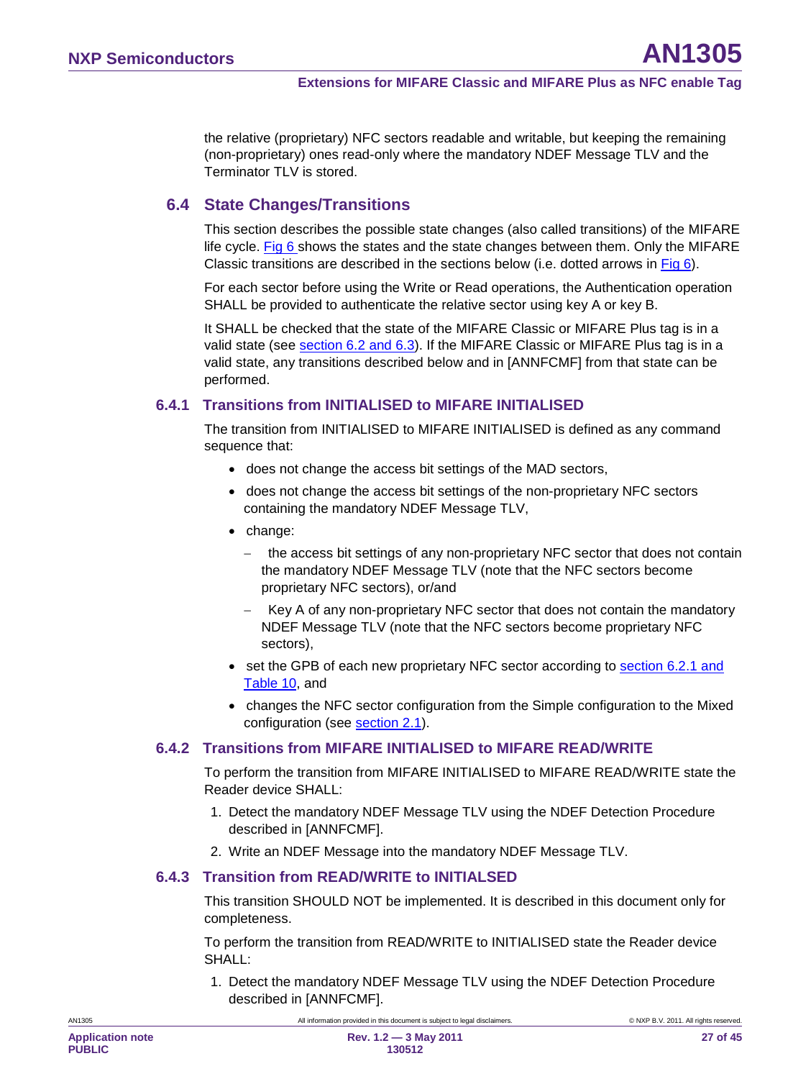the relative (proprietary) NFC sectors readable and writable, but keeping the remaining (non-proprietary) ones read-only where the mandatory NDEF Message TLV and the Terminator TLV is stored.

### <span id="page-26-0"></span>**6.4 State Changes/Transitions**

This section describes the possible state changes (also called transitions) of the MIFARE life cycle. [Fig 6](#page-17-0) shows the states and the state changes between them. Only the MIFARE Classic transitions are described in the sections below (i.e. dotted arrows in [Fig 6\)](#page-17-0).

For each sector before using the Write or Read operations, the Authentication operation SHALL be provided to authenticate the relative sector using key A or key B.

It SHALL be checked that the state of the MIFARE Classic or MIFARE Plus tag is in a valid state (see <u>section [6.2](#page-16-0) and [6.3](#page-21-1)</u>). If the MIFARE Classic or MIFARE Plus tag is in a valid state, any transitions described below and in [ANNFCMF] from that state can be performed.

### **6.4.1 Transitions from INITIALISED to MIFARE INITIALISED**

<span id="page-26-1"></span>The transition from INITIALISED to MIFARE INITIALISED is defined as any command sequence that:

- does not change the access bit settings of the MAD sectors,
- does not change the access bit settings of the non-proprietary NFC sectors containing the mandatory NDEF Message TLV,
- change:
	- the access bit settings of any non-proprietary NFC sector that does not contain the mandatory NDEF Message TLV (note that the NFC sectors become proprietary NFC sectors), or/and
	- − Key A of any non-proprietary NFC sector that does not contain the mandatory NDEF Message TLV (note that the NFC sectors become proprietary NFC sectors),
- set the GPB of each new proprietary NFC sector according to section [6.2.1](#page-21-0) and <u>[Table 10](#page-21-2)</u>, and
- changes the NFC sector configuration from the Simple configuration to the Mixed configuration (see <u>section [2.1](#page-6-1)</u>).

#### **6.4.2 Transitions from MIFARE INITIALISED to MIFARE READ/WRITE**

<span id="page-26-2"></span>To perform the transition from MIFARE INITIALISED to MIFARE READ/WRITE state the Reader device SHALL:

- 1. Detect the mandatory NDEF Message TLV using the NDEF Detection Procedure described in [ANNFCMF].
- <span id="page-26-3"></span>2. Write an NDEF Message into the mandatory NDEF Message TLV.

#### **6.4.3 Transition from READ/WRITE to INITIALSED**

This transition SHOULD NOT be implemented. It is described in this document only for completeness.

To perform the transition from READ/WRITE to INITIALISED state the Reader device SHALL:

1. Detect the mandatory NDEF Message TLV using the NDEF Detection Procedure described in [ANNFCMF].

All information provided in this document is subject to legal disclaimers. © NXP B.V. 2011. All rights reserved.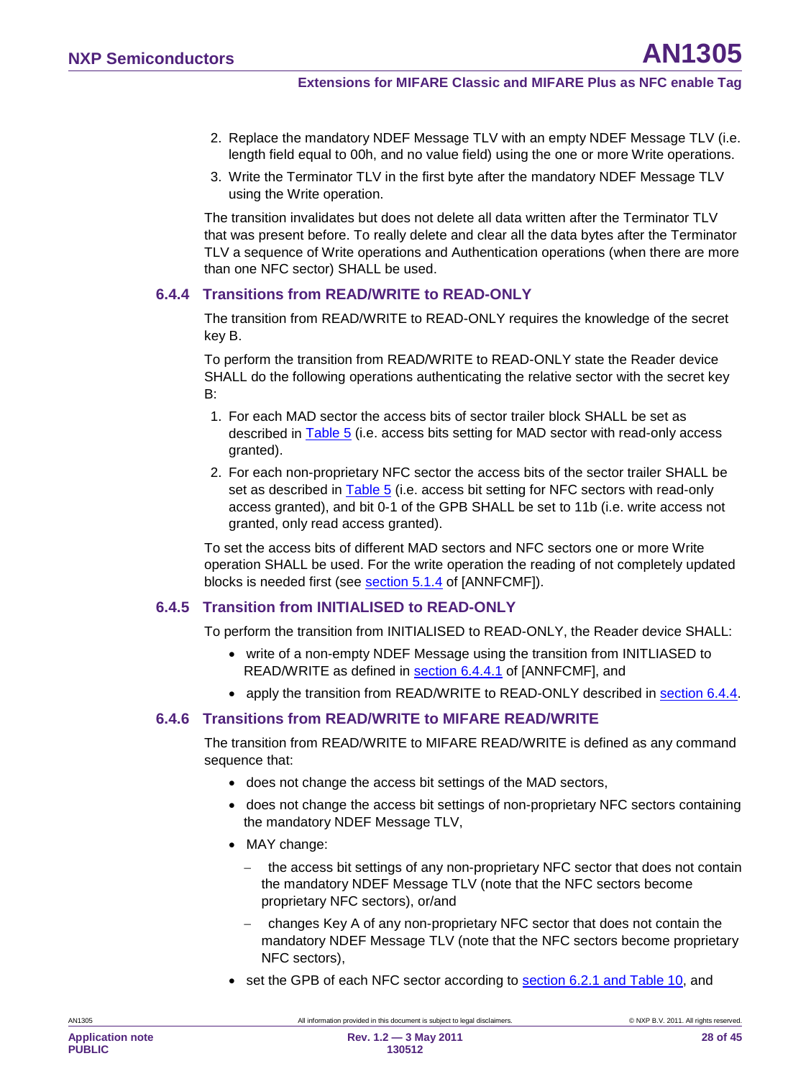- 2. Replace the mandatory NDEF Message TLV with an empty NDEF Message TLV (i.e. length field equal to 00h, and no value field) using the one or more Write operations.
- 3. Write the Terminator TLV in the first byte after the mandatory NDEF Message TLV using the Write operation.

The transition invalidates but does not delete all data written after the Terminator TLV that was present before. To really delete and clear all the data bytes after the Terminator TLV a sequence of Write operations and Authentication operations (when there are more than one NFC sector) SHALL be used.

#### **6.4.4 Transitions from READ/WRITE to READ-ONLY**

<span id="page-27-0"></span>The transition from READ/WRITE to READ-ONLY requires the knowledge of the secret key B.

To perform the transition from READ/WRITE to READ-ONLY state the Reader device SHALL do the following operations authenticating the relative sector with the secret key B:

- 1. For each MAD sector the access bits of sector trailer block SHALL be set as described in [Table 5](#page-19-1) (i.e. access bits setting for MAD sector with read-only access granted).
- 2. For each non-proprietary NFC sector the access bits of the sector trailer SHALL be set as described in **Table 5** (i.e. access bit setting for NFC sectors with read-only access granted), and bit 0-1 of the GPB SHALL be set to 11b (i.e. write access not granted, only read access granted).

To set the access bits of different MAD sectors and NFC sectors one or more Write operation SHALL be used. For the write operation the reading of not completely updated blocks is needed first (see <u>section 5.1.4</u> of [ANNFCMF]).

#### **6.4.5 Transition from INITIALISED to READ-ONLY**

<span id="page-27-2"></span>To perform the transition from INITIALISED to READ-ONLY, the Reader device SHALL:

- write of a non-empty NDEF Message using the transition from INITLIASED to READ/WRITE as defined in <u>section 6.4.4.1</u> of [ANNFCMF], and
- <span id="page-27-1"></span>• apply the transition from READ/WRITE to READ-ONLY described in **section [6.4.4](#page-27-0)**.

#### **6.4.6 Transitions from READ/WRITE to MIFARE READ/WRITE**

The transition from READ/WRITE to MIFARE READ/WRITE is defined as any command sequence that:

- does not change the access bit settings of the MAD sectors,
- does not change the access bit settings of non-proprietary NFC sectors containing the mandatory NDEF Message TLV,
- MAY change:
	- − the access bit settings of any non-proprietary NFC sector that does not contain the mandatory NDEF Message TLV (note that the NFC sectors become proprietary NFC sectors), or/and
	- − changes Key A of any non-proprietary NFC sector that does not contain the mandatory NDEF Message TLV (note that the NFC sectors become proprietary NFC sectors),
- set the GPB of each NFC sector according to section [6.2.1](#page-21-0) and [Table 10,](#page-21-2) and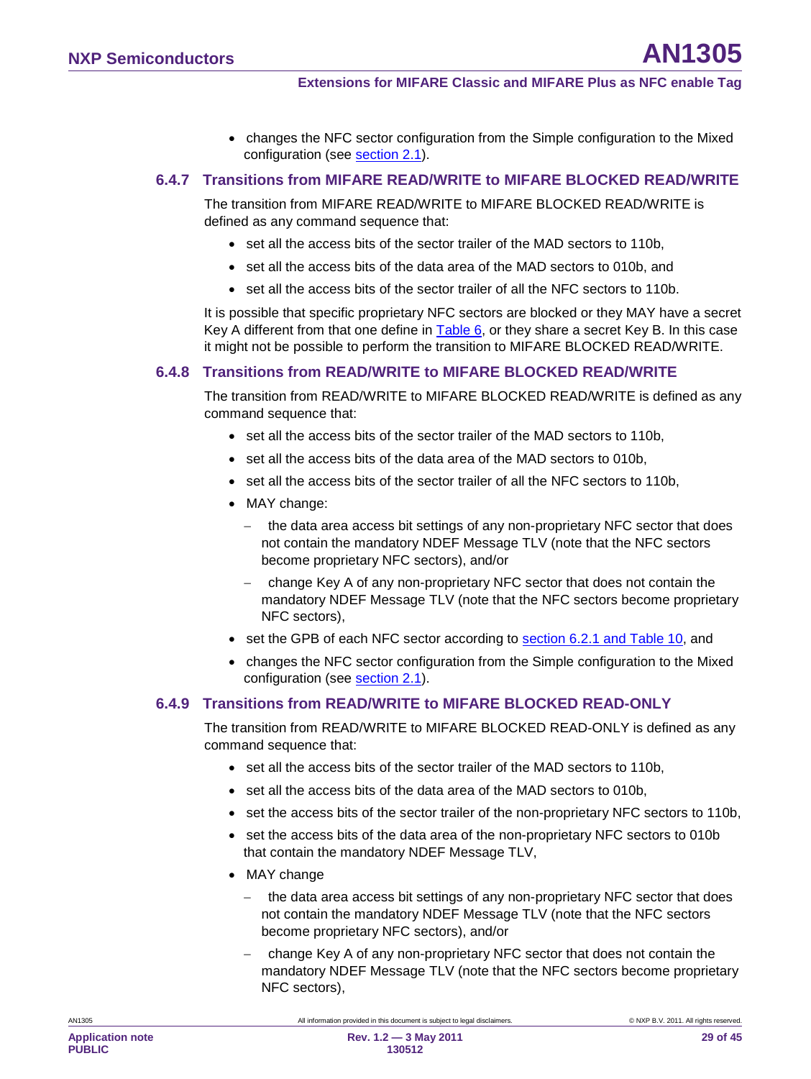• changes the NFC sector configuration from the Simple configuration to the Mixed configuration (see <u>section [2.1](#page-6-1)</u>).

#### **6.4.7 Transitions from MIFARE READ/WRITE to MIFARE BLOCKED READ/WRITE**

<span id="page-28-1"></span>The transition from MIFARE READ/WRITE to MIFARE BLOCKED READ/WRITE is defined as any command sequence that:

- set all the access bits of the sector trailer of the MAD sectors to 110b,
- set all the access bits of the data area of the MAD sectors to 010b, and
- set all the access bits of the sector trailer of all the NFC sectors to 110b.

It is possible that specific proprietary NFC sectors are blocked or they MAY have a secret Key A different from that one define in [Table 6,](#page-19-0) or they share a secret Key B. In this case it might not be possible to perform the transition to MIFARE BLOCKED READ/WRITE.

#### **6.4.8 Transitions from READ/WRITE to MIFARE BLOCKED READ/WRITE**

<span id="page-28-0"></span>The transition from READ/WRITE to MIFARE BLOCKED READ/WRITE is defined as any command sequence that:

- set all the access bits of the sector trailer of the MAD sectors to 110b,
- set all the access bits of the data area of the MAD sectors to 010b,
- set all the access bits of the sector trailer of all the NFC sectors to 110b,
- MAY change:
	- the data area access bit settings of any non-proprietary NFC sector that does not contain the mandatory NDEF Message TLV (note that the NFC sectors become proprietary NFC sectors), and/or
	- − change Key A of any non-proprietary NFC sector that does not contain the mandatory NDEF Message TLV (note that the NFC sectors become proprietary NFC sectors),
- set the GPB of each NFC sector according to **section [6.2.1](#page-21-0) and [Table 10](#page-21-2)**, and
- changes the NFC sector configuration from the Simple configuration to the Mixed configuration (see <u>section [2.1](#page-6-1)</u>).

#### **6.4.9 Transitions from READ/WRITE to MIFARE BLOCKED READ-ONLY**

<span id="page-28-2"></span>The transition from READ/WRITE to MIFARE BLOCKED READ-ONLY is defined as any command sequence that:

- set all the access bits of the sector trailer of the MAD sectors to 110b,
- set all the access bits of the data area of the MAD sectors to 010b,
- set the access bits of the sector trailer of the non-proprietary NFC sectors to 110b,
- set the access bits of the data area of the non-proprietary NFC sectors to 010b that contain the mandatory NDEF Message TLV,
- MAY change
	- − the data area access bit settings of any non-proprietary NFC sector that does not contain the mandatory NDEF Message TLV (note that the NFC sectors become proprietary NFC sectors), and/or
	- − change Key A of any non-proprietary NFC sector that does not contain the mandatory NDEF Message TLV (note that the NFC sectors become proprietary NFC sectors),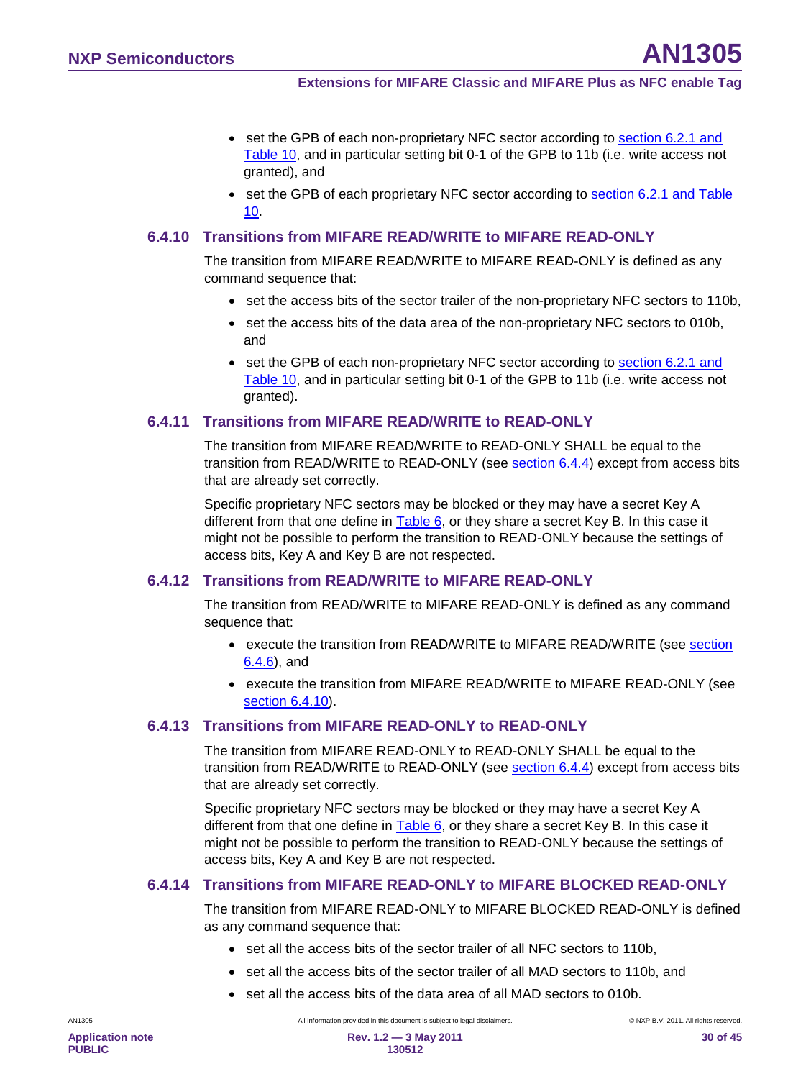- set the GPB of each non-proprietary NFC sector according to section [6.2.1](#page-21-0) and [Table 10](#page-21-2) , and in particular setting bit 0-1 of the GPB to 11b (i.e. write access not granted), and
- set the GPB of each proprietary NFC sector according to **section [6.2.1](#page-21-0) and Table** <u>[10](#page-21-2)</u>.

#### **6.4.10 Transitions from MIFARE READ/WRITE to MIFARE READ-ONLY**

<span id="page-29-0"></span>The transition from MIFARE READ/WRITE to MIFARE READ-ONLY is defined as any command sequence that:

- set the access bits of the sector trailer of the non-proprietary NFC sectors to 110b,
- set the access bits of the data area of the non-proprietary NFC sectors to 010b, and
- set the GPB of each non-proprietary NFC sector according to section [6.2.1](#page-21-0) and [Table 10](#page-21-2) , and in particular setting bit 0-1 of the GPB to 11b (i.e. write access not granted).

#### **6.4.11 Transitions from MIFARE READ/WRITE to READ-ONLY**

<span id="page-29-1"></span>The transition from MIFARE READ/WRITE to READ-ONLY SHALL be equal to the transition from READ/WRITE to READ-ONLY (see <u>section [6.4.4](#page-27-0)</u>) except from access bits that are already set correctly.

Specific proprietary NFC sectors may be blocked or they may have a secret Key A different from that one define in <u>[Table 6,](#page-19-0)</u> or they share a secret Key B. In this case it might not be possible to perform the transition to READ-ONLY because the settings of access bits, Key A and Key B are not respected.

#### **6.4.12 Transitions from READ/WRITE to MIFARE READ-ONLY**

<span id="page-29-2"></span>The transition from READ/WRITE to MIFARE READ-ONLY is defined as any command sequence that:

- execute the transition from READ/WRITE to MIFARE READ/WRITE (see section <u>[6.4.6](#page-27-1)</u>), and
- execute the transition from MIFARE READ/WRITE to MIFARE READ-ONLY (see section [6.4.10](#page-29-0) ).

#### **6.4.13 Transitions from MIFARE READ-ONLY to READ-ONLY**

<span id="page-29-3"></span>The transition from MIFARE READ-ONLY to READ-ONLY SHALL be equal to the transition from READ/WRITE to READ-ONLY (see <u>section [6.4.4](#page-27-0)</u>) except from access bits that are already set correctly.

Specific proprietary NFC sectors may be blocked or they may have a secret Key A different from that one define in [Table 6,](#page-19-0) or they share a secret Key B. In this case it might not be possible to perform the transition to READ-ONLY because the settings of access bits, Key A and Key B are not respected.

#### **6.4.14 Transitions from MIFARE READ-ONLY to MIFARE BLOCKED READ-ONLY**

<span id="page-29-4"></span>The transition from MIFARE READ-ONLY to MIFARE BLOCKED READ-ONLY is defined as any command sequence that:

- set all the access bits of the sector trailer of all NFC sectors to 110b,
- set all the access bits of the sector trailer of all MAD sectors to 110b, and
- set all the access bits of the data area of all MAD sectors to 010b.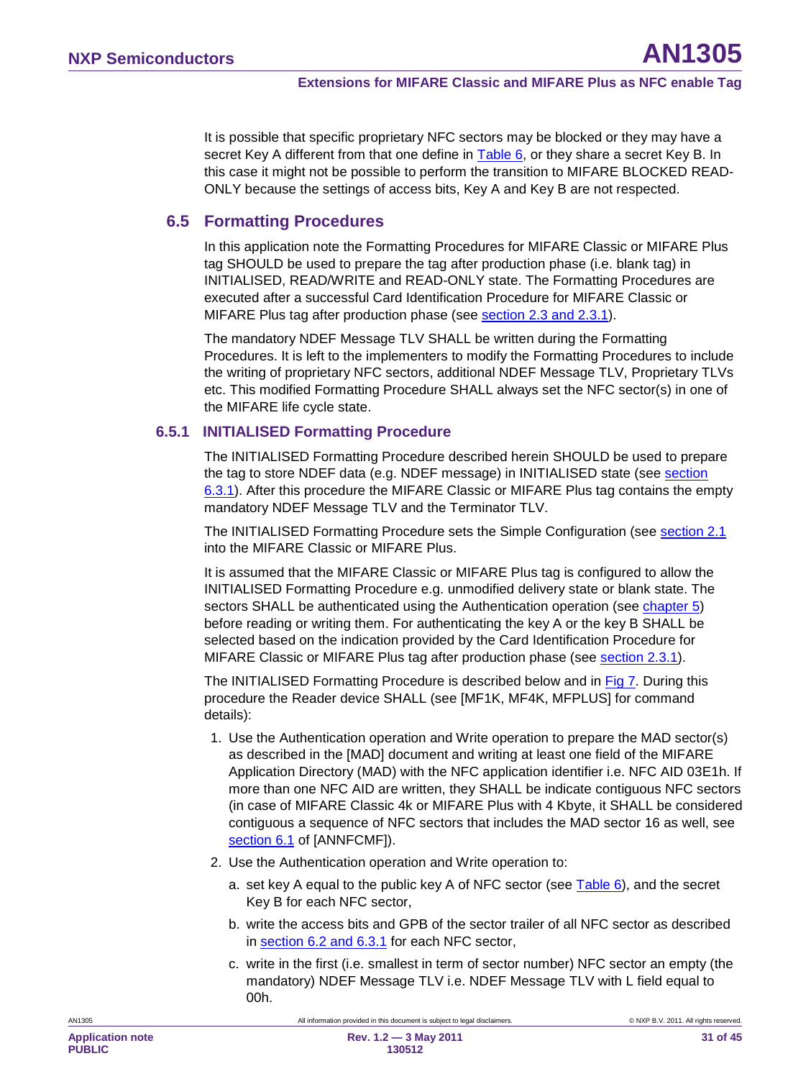It is possible that specific proprietary NFC sectors may be blocked or they may have a secret Key A different from that one define in [Table 6,](#page-19-0) or they share a secret Key B. In this case it might not be possible to perform the transition to MIFARE BLOCKED READ-ONLY because the settings of access bits, Key A and Key B are not respected.

### **6.5 Formatting Procedures**

<span id="page-30-0"></span>In this application note the Formatting Procedures for MIFARE Classic or MIFARE Plus tag SHOULD be used to prepare the tag after production phase (i.e. blank tag) in INITIALISED, READ/WRITE and READ-ONLY state. The Formatting Procedures are executed after a successful Card Identification Procedure for MIFARE Classic or MIFARE Plus tag after production phase (see <u>section [2.3](#page-8-0) and [2.3.1](#page-10-0)</u>).

The mandatory NDEF Message TLV SHALL be written during the Formatting Procedures. It is left to the implementers to modify the Formatting Procedures to include the writing of proprietary NFC sectors, additional NDEF Message TLV, Proprietary TLVs etc. This modified Formatting Procedure SHALL always set the NFC sector(s) in one of the MIFARE life cycle state.

#### **6.5.1 INITIALISED Formatting Procedure**

<span id="page-30-1"></span>The INITIALISED Formatting Procedure described herein SHOULD be used to prepare the tag to store NDEF data (e.g. NDEF message) in INITIALISED state (see section <u>[6.3.1](#page-21-4)</u>). After this procedure the MIFARE Classic or MIFARE Plus tag contains the empty mandatory NDEF Message TLV and the Terminator TLV.

The INITIALISED Formatting Procedure sets the Simple Configuration (see <u>section [2.1](#page-6-1)</u> into the MIFARE Classic or MIFARE Plus.

It is assumed that the MIFARE Classic or MIFARE Plus tag is configured to allow the INITIALISED Formatting Procedure e.g. unmodified delivery state or blank state. The sectors SHALL be authenticated using the Authentication operation (see **chapter 5**) before reading or writing them. For authenticating the key A or the key B SHALL be selected based on the indication provided by the Card Identification Procedure for MIFARE Classic or MIFARE Plus tag after production phase (see <u>section [2.3.1](#page-10-0)</u>).

The INITIALISED Formatting Procedure is described below and in <u>Fig 7</u>. During this procedure the Reader device SHALL (see [MF1K, MF4K, MFPLUS] for command details):

- 1. Use the Authentication operation and Write operation to prepare the MAD sector(s) as described in the [MAD] document and writing at least one field of the MIFARE Application Directory (MAD) with the NFC application identifier i.e. NFC AID 03E1h. If more than one NFC AID are written, they SHALL be indicate contiguous NFC sectors (in case of MIFARE Classic 4k or MIFARE Plus with 4 Kbyte, it SHALL be considered contiguous a sequence of NFC sectors that includes the MAD sector 16 as well, see <u>section 6.1</u> of [ANNFCMF]).
- 2. Use the Authentication operation and Write operation to:
	- a. set key A equal to the public key A of NFC sector (see [Table 6\)](#page-19-0), and the secret Key B for each NFC sector,
	- b. write the access bits and GPB of the sector trailer of all NFC sector as described in <u>section [6.2](#page-16-0) and [6.3.1](#page-21-4)</u> for each NFC sector,
	- c. write in the first (i.e. smallest in term of sector number) NFC sector an empty (the mandatory) NDEF Message TLV i.e. NDEF Message TLV with L field equal to 00h.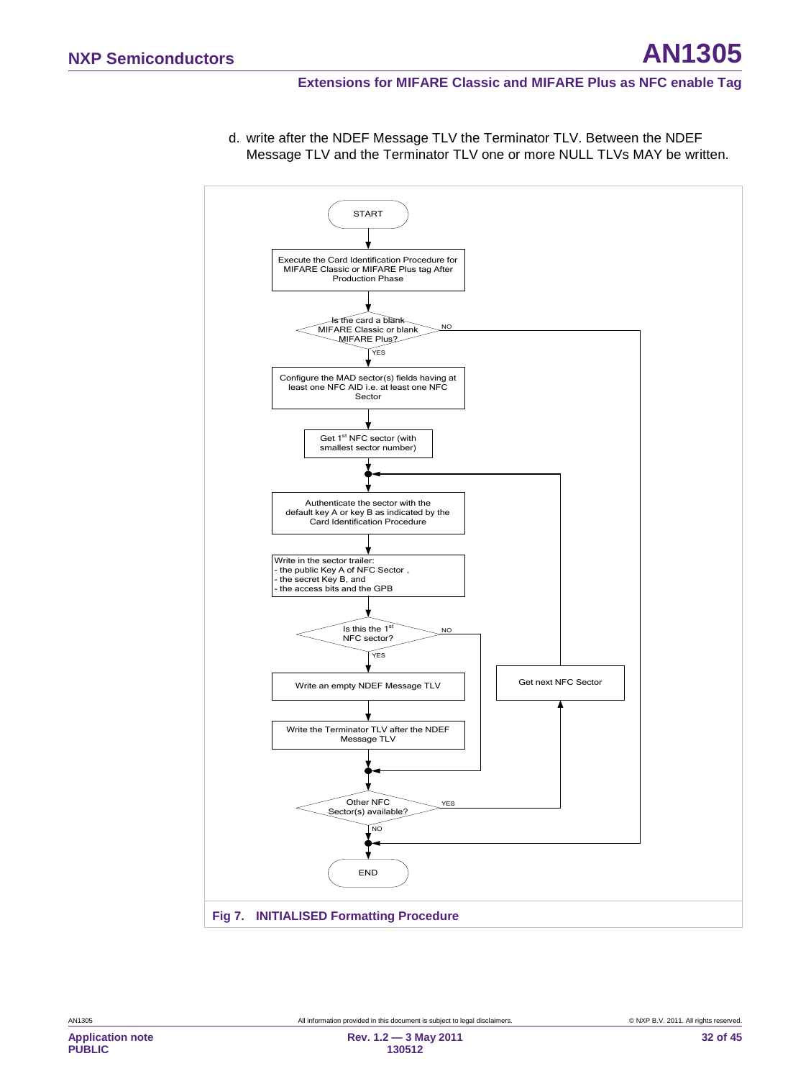#### **Extensions for MIFARE Classic and MIFARE Plus as NFC enable Tag**

<span id="page-31-0"></span>

d. write after the NDEF Message TLV the Terminator TLV. Between the NDEF Message TLV and the Terminator TLV one or more NULL TLVs MAY be written.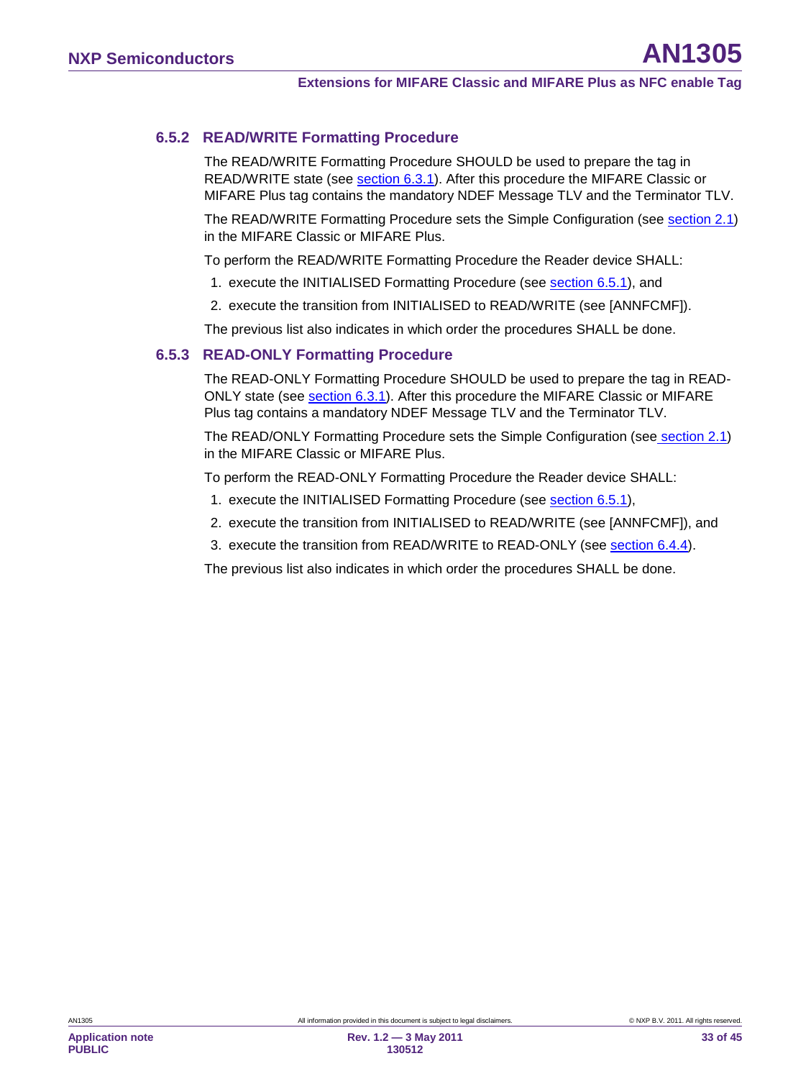### **6.5.2 READ/WRITE Formatting Procedure**

<span id="page-32-0"></span>The READ/WRITE Formatting Procedure SHOULD be used to prepare the tag in READ/WRITE state (see <u>section [6.3.1](#page-21-4)</u>). After this procedure the MIFARE Classic or MIFARE Plus tag contains the mandatory NDEF Message TLV and the Terminator TLV.

The READ/WRITE Formatting Procedure sets the Simple Configuration (see <u>section [2.1](#page-6-1)</u>) in the MIFARE Classic or MIFARE Plus.

To perform the READ/WRITE Formatting Procedure the Reader device SHALL:

- 1. execute the INITIALISED Formatting Procedure (see <u>section [6.5.1](#page-30-1)</u>), and
- 2. execute the transition from INITIALISED to READ/WRITE (see [ANNFCMF]).

<span id="page-32-1"></span>The previous list also indicates in which order the procedures SHALL be done.

### **6.5.3 READ-ONLY Formatting Procedure**

The READ-ONLY Formatting Procedure SHOULD be used to prepare the tag in READ-ONLY state (see <u>section [6.3.1](#page-21-4)</u>). After this procedure the MIFARE Classic or MIFARE Plus tag contains a mandatory NDEF Message TLV and the Terminator TLV.

The READ/ONLY Formatting Procedure sets the Simple Configuration (see<u> section [2.1](#page-6-1)</u>) in the MIFARE Classic or MIFARE Plus.

To perform the READ-ONLY Formatting Procedure the Reader device SHALL:

- 1. execute the INITIALISED Formatting Procedure (see **section [6.5.1](#page-30-1)**),
- 2. execute the transition from INITIALISED to READ/WRITE (see [ANNFCMF]), and
- 3. execute the transition from READ/WRITE to READ-ONLY (see <u>section [6.4.4](#page-27-0)</u>).

The previous list also indicates in which order the procedures SHALL be done.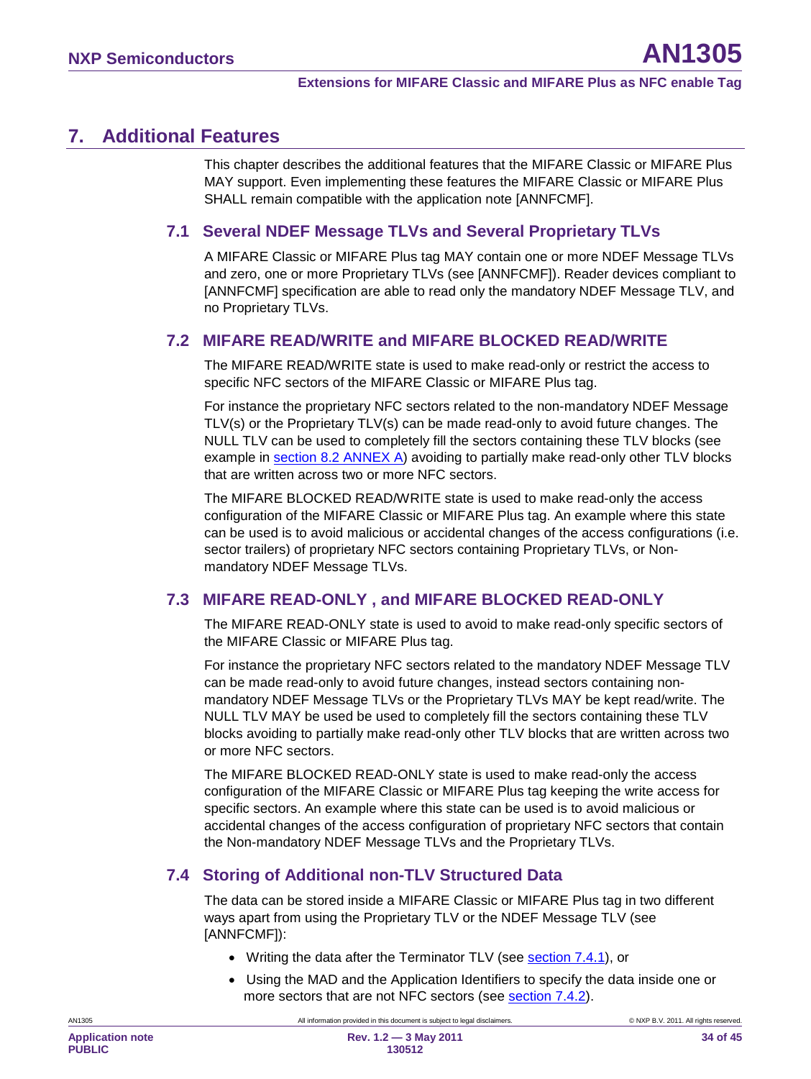# <span id="page-33-0"></span>**7. Additional Features**

This chapter describes the additional features that the MIFARE Classic or MIFARE Plus MAY support. Even implementing these features the MIFARE Classic or MIFARE Plus SHALL remain compatible with the application note [ANNFCMF].

# <span id="page-33-1"></span>**7.1 Several NDEF Message TLVs and Several Proprietary TLVs**

A MIFARE Classic or MIFARE Plus tag MAY contain one or more NDEF Message TLVs and zero, one or more Proprietary TLVs (see [ANNFCMF]). Reader devices compliant to [ANNFCMF] specification are able to read only the mandatory NDEF Message TLV, and no Proprietary TLVs.

# <span id="page-33-2"></span>**7.2 MIFARE READ/WRITE and MIFARE BLOCKED READ/WRITE**

The MIFARE READ/WRITE state is used to make read-only or restrict the access to specific NFC sectors of the MIFARE Classic or MIFARE Plus tag.

For instance the proprietary NFC sectors related to the non-mandatory NDEF Message TLV(s) or the Proprietary TLV(s) can be made read-only to avoid future changes. The NULL TLV can be used to completely fill the sectors containing these TLV blocks (see example in section [8.2](#page-38-0) ANNEX A) avoiding to partially make read-only other TLV blocks that are written across two or more NFC sectors.

The MIFARE BLOCKED READ/WRITE state is used to make read-only the access configuration of the MIFARE Classic or MIFARE Plus tag. An example where this state can be used is to avoid malicious or accidental changes of the access configurations (i.e. sector trailers) of proprietary NFC sectors containing Proprietary TLVs, or Nonmandatory NDEF Message TLVs.

# **7.3 MIFARE READ-ONLY , and MIFARE BLOCKED READ-ONLY**

<span id="page-33-3"></span>The MIFARE READ-ONLY state is used to avoid to make read-only specific sectors of the MIFARE Classic or MIFARE Plus tag.

For instance the proprietary NFC sectors related to the mandatory NDEF Message TLV can be made read-only to avoid future changes, instead sectors containing nonmandatory NDEF Message TLVs or the Proprietary TLVs MAY be kept read/write. The NULL TLV MAY be used be used to completely fill the sectors containing these TLV blocks avoiding to partially make read-only other TLV blocks that are written across two or more NFC sectors.

The MIFARE BLOCKED READ-ONLY state is used to make read-only the access configuration of the MIFARE Classic or MIFARE Plus tag keeping the write access for specific sectors. An example where this state can be used is to avoid malicious or accidental changes of the access configuration of proprietary NFC sectors that contain the Non-mandatory NDEF Message TLVs and the Proprietary TLVs.

# <span id="page-33-4"></span>**7.4 Storing of Additional non-TLV Structured Data**

The data can be stored inside a MIFARE Classic or MIFARE Plus tag in two different ways apart from using the Proprietary TLV or the NDEF Message TLV (see [ANNFCMF]):

- Writing the data after the Terminator TLV (see **section [7.4.1](#page-34-0)**), or
- Using the MAD and the Application Identifiers to specify the data inside one or more sectors that are not NFC sectors (see **section 7.4.2**).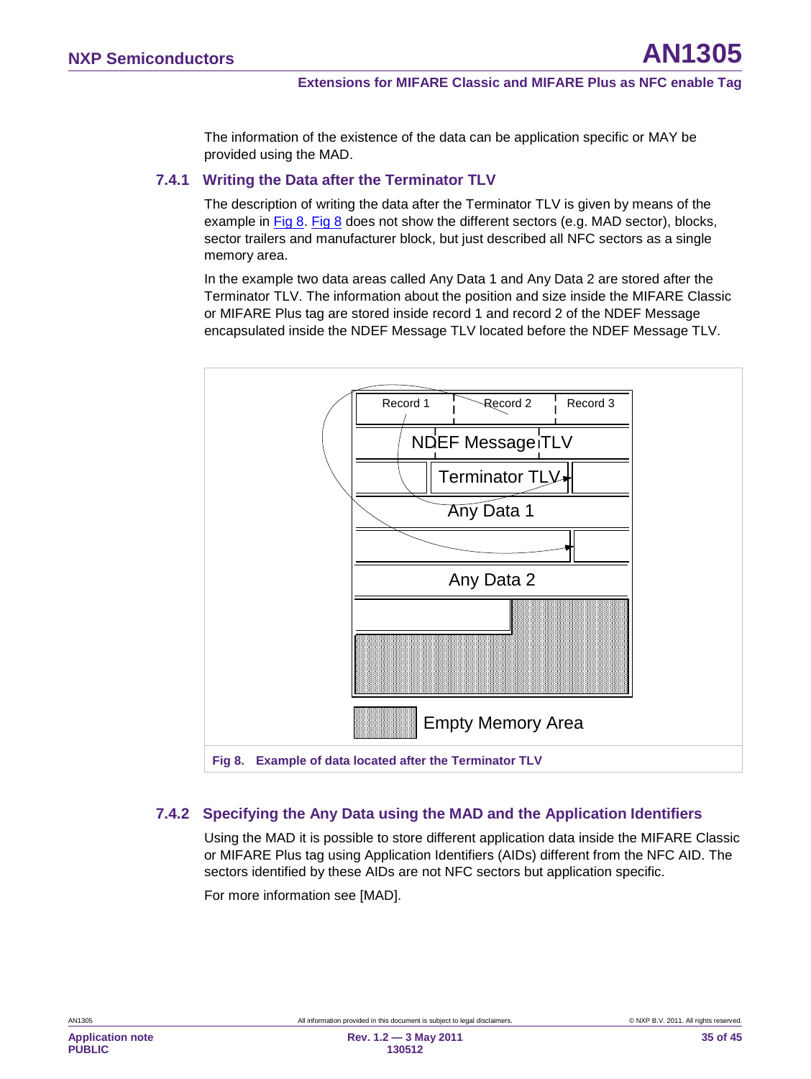The information of the existence of the data can be application specific or MAY be provided using the MAD.

#### **7.4.1 Writing the Data after the Terminator TLV**

<span id="page-34-0"></span>The description of writing the data after the Terminator TLV is given by means of the example in [Fig 8. Fig 8](#page-34-2) does not show the different sectors (e.g. MAD sector), blocks, sector trailers and manufacturer block, but just described all NFC sectors as a single memory area.

In the example two data areas called Any Data 1 and Any Data 2 are stored after the Terminator TLV. The information about the position and size inside the MIFARE Classic or MIFARE Plus tag are stored inside record 1 and record 2 of the NDEF Message encapsulated inside the NDEF Message TLV located before the NDEF Message TLV.



### <span id="page-34-2"></span>**7.4.2 Specifying the Any Data using the MAD and the Application Identifiers**

<span id="page-34-1"></span>Using the MAD it is possible to store different application data inside the MIFARE Classic or MIFARE Plus tag using Application Identifiers (AIDs) different from the NFC AID. The sectors identified by these AIDs are not NFC sectors but application specific.

For more information see [MAD].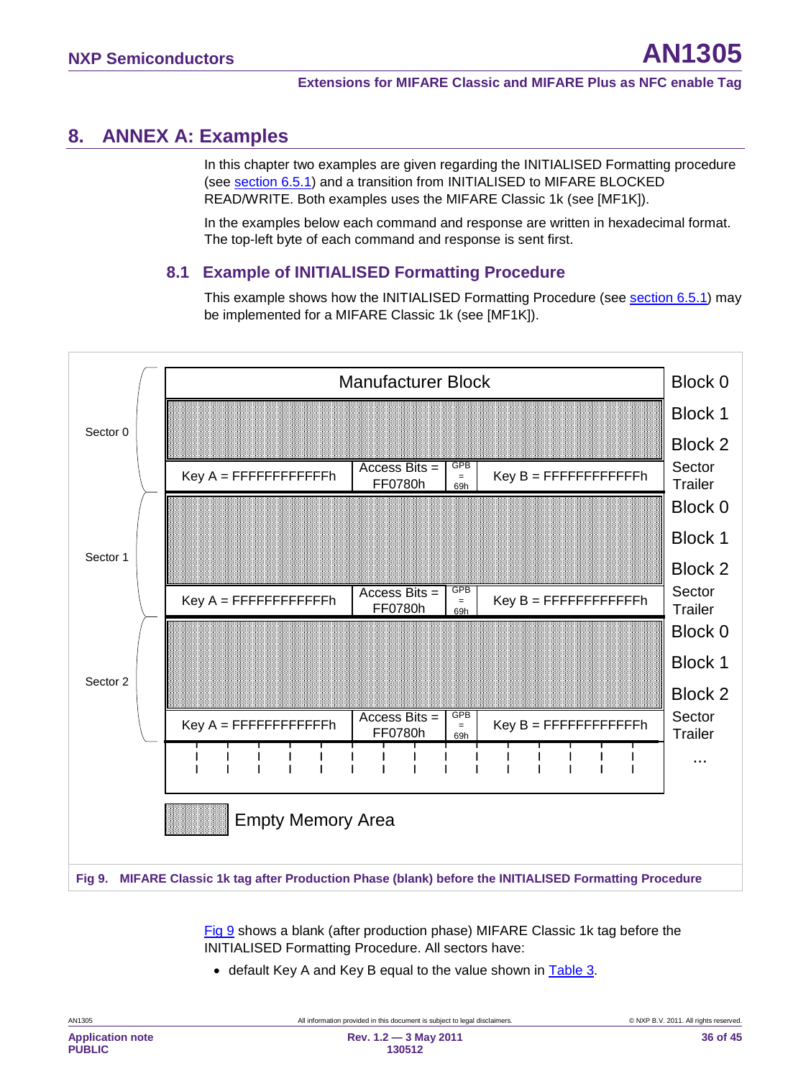# <span id="page-35-1"></span>**8. ANNEX A: Examples**

In this chapter two examples are given regarding the INITIALISED Formatting procedure (see <u>section [6.5.1](#page-30-1)</u>) and a transition from INITIALISED to MIFARE BLOCKED READ/WRITE. Both examples uses the MIFARE Classic 1k (see [MF1K]).

In the examples below each command and response are written in hexadecimal format. The top-left byte of each command and response is sent first.

### **8.1 Example of INITIALISED Formatting Procedure**

<span id="page-35-2"></span>This example shows how the INITIALISED Formatting Procedure (see section [6.5.1\)](#page-30-1) may be implemented for a MIFARE Classic 1k (see [MF1K]).



<span id="page-35-0"></span>[Fig 9](#page-35-0) shows a blank (after production phase) MIFARE Classic 1k tag before the INITIALISED Formatting Procedure. All sectors have:

• default Key A and Key B equal to the value shown in [Table 3.](#page-10-1)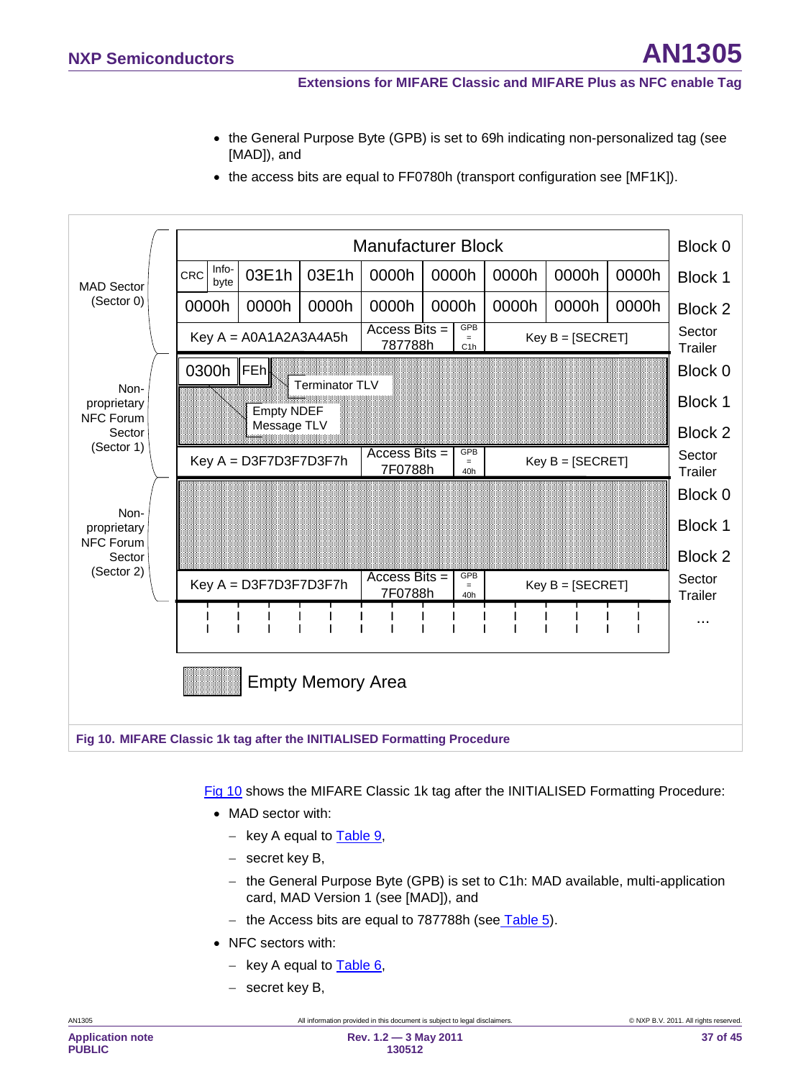- the General Purpose Byte (GPB) is set to 69h indicating non-personalized tag (see [MAD]), and
- the access bits are equal to FF0780h (transport configuration see [MF1K]).



<span id="page-36-0"></span>[Fig 10](#page-36-0) shows the MIFARE Classic 1k tag after the INITIALISED Formatting Procedure:

- MAD sector with:
	- − key A equal to [Table 9,](#page-20-0)
	- − secret key B,
	- − the General Purpose Byte (GPB) is set to C1h: MAD available, multi-application card, MAD Version 1 (see [MAD]), and
	- − the Access bits are equal to 787788h (see<u> [Table 5](#page-19-1)</u>).
- NFC sectors with:
	- − key A equal to [Table 6,](#page-19-0)
	- − secret key B,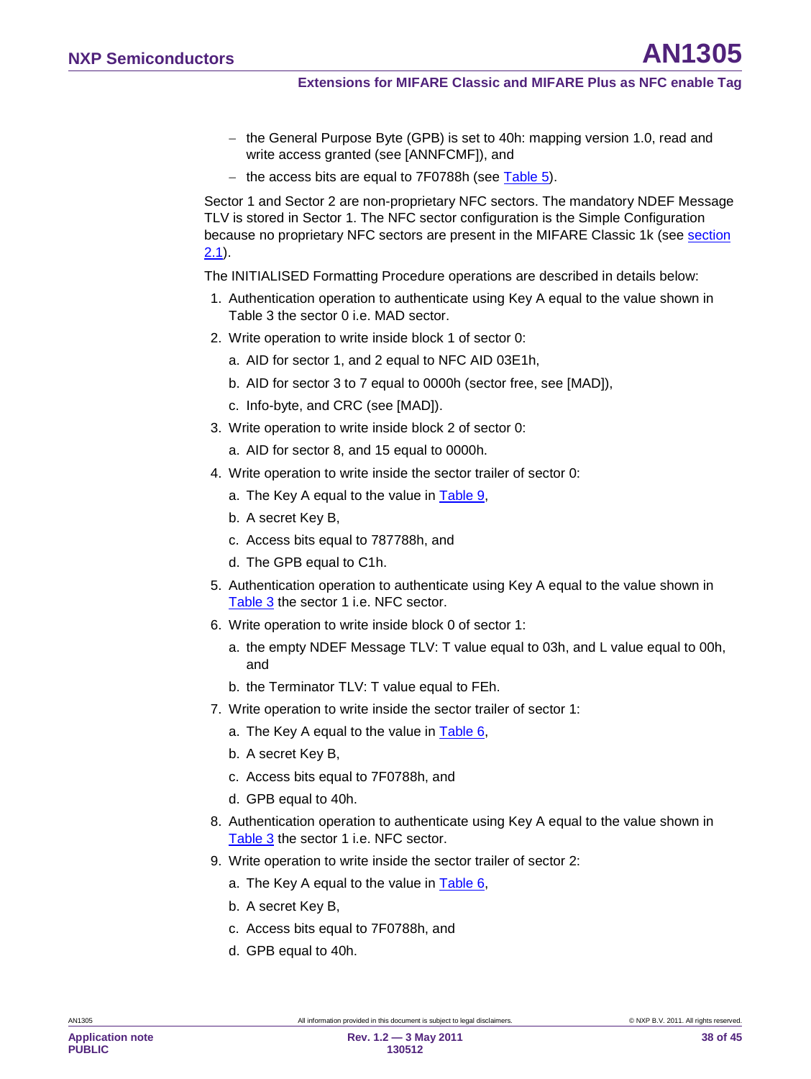- − the General Purpose Byte (GPB) is set to 40h: mapping version 1.0, read and write access granted (see [ANNFCMF]), and
- − the access bits are equal to 7F0788h (see [Table 5\)](#page-19-1).

Sector 1 and Sector 2 are non-proprietary NFC sectors. The mandatory NDEF Message TLV is stored in Sector 1. The NFC sector configuration is the Simple Configuration because no proprietary NFC sectors are present in the MIFARE Classic 1k (see section <u>[2.1](#page-6-1)</u>).

The INITIALISED Formatting Procedure operations are described in details below:

- 1. Authentication operation to authenticate using Key A equal to the value shown in [Table 3](#page-10-1) the sector 0 i.e. MAD sector.
- 2. Write operation to write inside block 1 of sector 0:
	- a. AID for sector 1, and 2 equal to NFC AID 03E1h,
	- b. AID for sector 3 to 7 equal to 0000h (sector free, see [MAD]),
	- c. Info-byte, and CRC (see [MAD]).
- 3. Write operation to write inside block 2 of sector 0:
	- a. AID for sector 8, and 15 equal to 0000h.
- 4. Write operation to write inside the sector trailer of sector 0:
	- a. The Key A equal to the value in [Table 9,](#page-20-0)
	- b. A secret Key B,
	- c. Access bits equal to 787788h, and
	- d. The GPB equal to C1h.
- 5. Authentication operation to authenticate using Key A equal to the value shown in [Table 3](#page-10-1) the sector 1 i.e. NFC sector.
- 6. Write operation to write inside block 0 of sector 1:
	- a. the empty NDEF Message TLV: T value equal to 03h, and L value equal to 00h, and
	- b. the Terminator TLV: T value equal to FEh.
- 7. Write operation to write inside the sector trailer of sector 1:
	- a. The Key A equal to the value in [Table 6,](#page-19-0)
	- b. A secret Key B,
	- c. Access bits equal to 7F0788h, and
	- d. GPB equal to 40h.
- 8. Authentication operation to authenticate using Key A equal to the value shown in [Table 3](#page-10-1) the sector 1 i.e. NFC sector.
- 9. Write operation to write inside the sector trailer of sector 2:
	- a. The Key A equal to the value in **Table 6**,
	- b. A secret Key B,
	- c. Access bits equal to 7F0788h, and
	- d. GPB equal to 40h.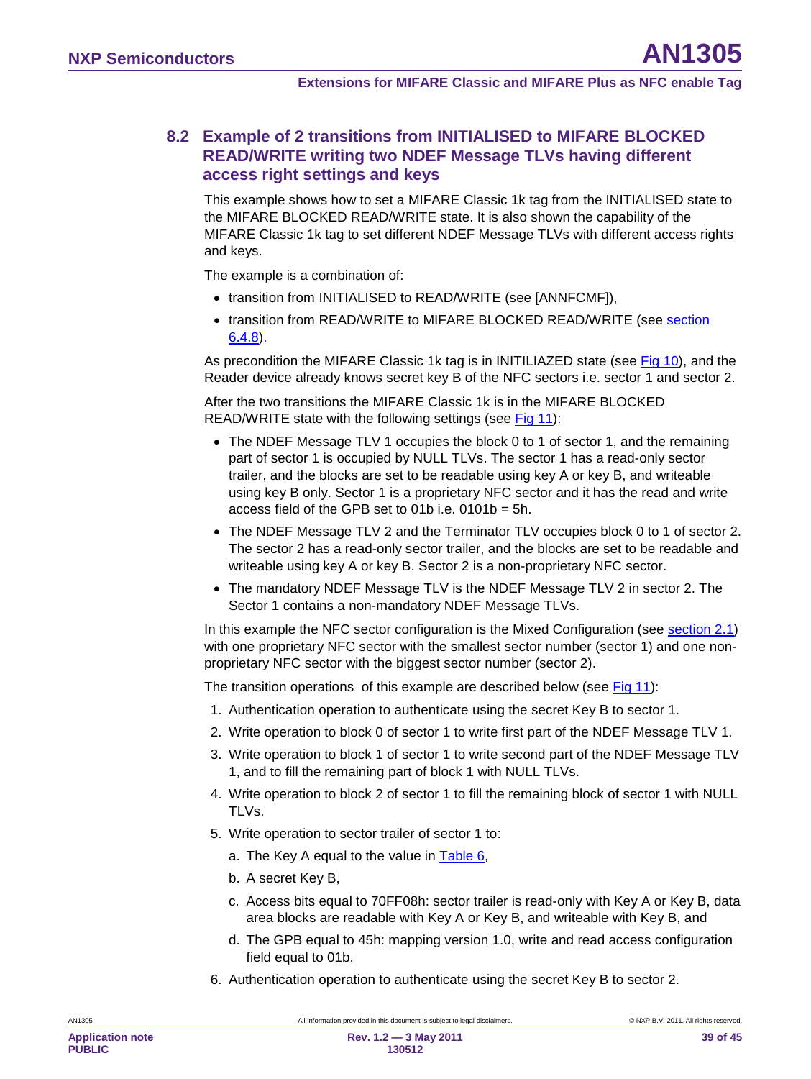### <span id="page-38-0"></span>**8.2 Example of 2 transitions from INITIALISED to MIFARE BLOCKED READ/WRITE writing two NDEF Message TLVs having different access right settings and keys**

This example shows how to set a MIFARE Classic 1k tag from the INITIALISED state to the MIFARE BLOCKED READ/WRITE state. It is also shown the capability of the MIFARE Classic 1k tag to set different NDEF Message TLVs with different access rights and keys.

The example is a combination of:

- transition from INITIALISED to READ/WRITE (see [ANNFCMF]),
- transition from READ/WRITE to MIFARE BLOCKED READ/WRITE (see section <u>[6.4.8](#page-28-0)</u>).

As precondition the MIFARE Classic 1k tag is in INITILIAZED state (see <u>[Fig 10\)](#page-36-0),</u> and the Reader device already knows secret key B of the NFC sectors i.e. sector 1 and sector 2.

After the two transitions the MIFARE Classic 1k is in the MIFARE BLOCKED READ/WRITE state with the following settings (see [Fig 11\)](#page-39-1):

- The NDEF Message TLV 1 occupies the block 0 to 1 of sector 1, and the remaining part of sector 1 is occupied by NULL TLVs. The sector 1 has a read-only sector trailer, and the blocks are set to be readable using key A or key B, and writeable using key B only. Sector 1 is a proprietary NFC sector and it has the read and write access field of the GPB set to 01b i.e. 0101b = 5h.
- The NDEF Message TLV 2 and the Terminator TLV occupies block 0 to 1 of sector 2. The sector 2 has a read-only sector trailer, and the blocks are set to be readable and writeable using key A or key B. Sector 2 is a non-proprietary NFC sector.
- The mandatory NDEF Message TLV is the NDEF Message TLV 2 in sector 2. The Sector 1 contains a non-mandatory NDEF Message TLVs.

In this example the NFC sector configuration is the Mixed Configuration (see <u>section [2.1](#page-6-1)</u>) with one proprietary NFC sector with the smallest sector number (sector 1) and one nonproprietary NFC sector with the biggest sector number (sector 2).

The transition operations of this example are described below (see [Fig 11\)](#page-39-1):

- 1. Authentication operation to authenticate using the secret Key B to sector 1.
- 2. Write operation to block 0 of sector 1 to write first part of the NDEF Message TLV 1.
- 3. Write operation to block 1 of sector 1 to write second part of the NDEF Message TLV 1, and to fill the remaining part of block 1 with NULL TLVs.
- 4. Write operation to block 2 of sector 1 to fill the remaining block of sector 1 with NULL TLVs.
- 5. Write operation to sector trailer of sector 1 to:
	- a. The Key A equal to the value in [Table 6,](#page-19-0)
	- b. A secret Key B,
	- c. Access bits equal to 70FF08h: sector trailer is read-only with Key A or Key B, data area blocks are readable with Key A or Key B, and writeable with Key B, and
	- d. The GPB equal to 45h: mapping version 1.0, write and read access configuration field equal to 01b.
- 6. Authentication operation to authenticate using the secret Key B to sector 2.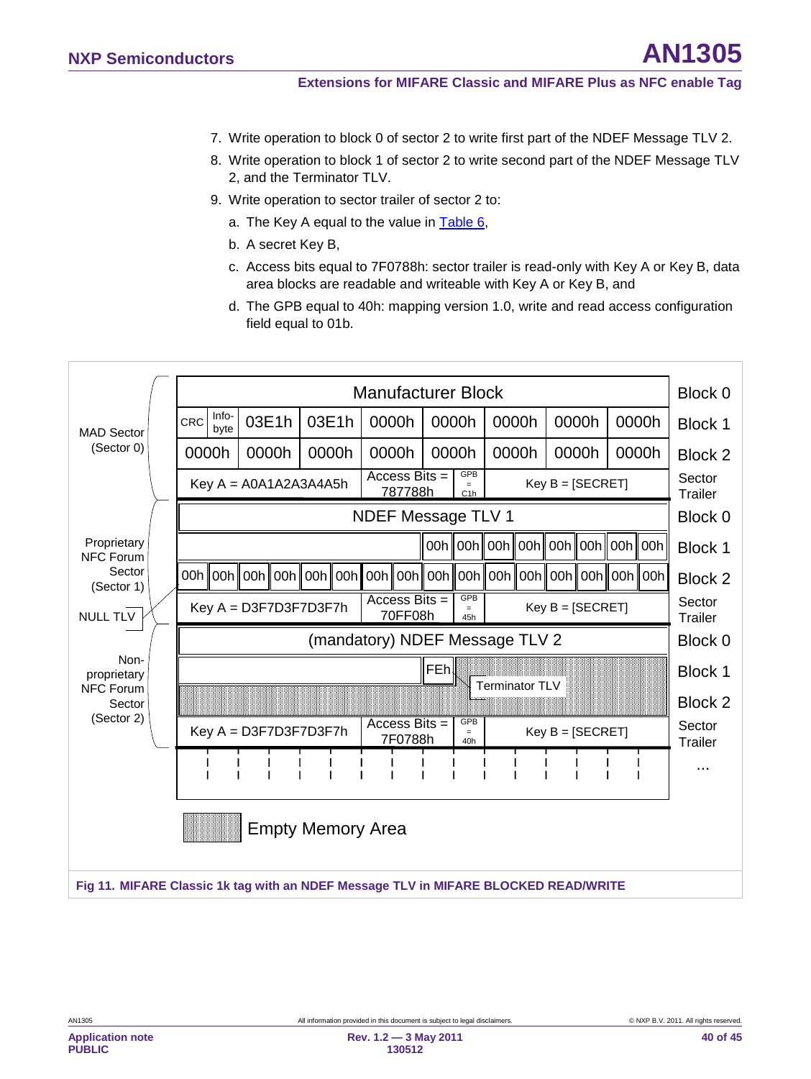- 7. Write operation to block 0 of sector 2 to write first part of the NDEF Message TLV 2.
- 8. Write operation to block 1 of sector 2 to write second part of the NDEF Message TLV 2, and the Terminator TLV.
- 9. Write operation to sector trailer of sector 2 to:
	- a. The Key A equal to the value in [Table 6,](#page-19-0)
	- b. A secret Key B,
	- c. Access bits equal to 7F0788h: sector trailer is read-only with Key A or Key B, data area blocks are readable and writeable with Key A or Key B, and
	- d. The GPB equal to 40h: mapping version 1.0, write and read access configuration field equal to 01b.

<span id="page-39-1"></span><span id="page-39-0"></span>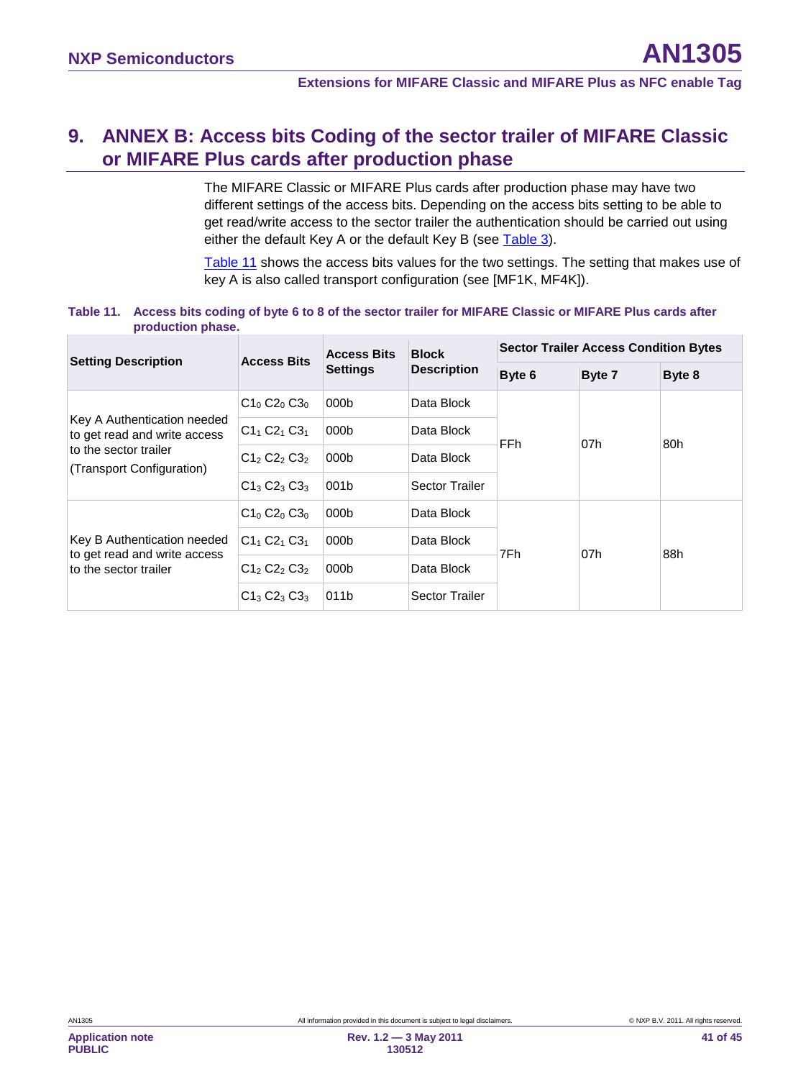# <span id="page-40-2"></span>**9. ANNEX B: Access bits Coding of the sector trailer of MIFARE Classic or MIFARE Plus cards after production phase**

The MIFARE Classic or MIFARE Plus cards after production phase may have two different settings of the access bits. Depending on the access bits setting to be able to get read/write access to the sector trailer the authentication should be carried out using either the default Key A or the default Key B (see [Table 3\)](#page-10-1).

[Table 11](#page-40-0) shows the access bits values for the two settings. The setting that makes use of key A is also called transport configuration (see [MF1K, MF4K]).

#### <span id="page-40-0"></span>**Table 11. Access bits coding of byte 6 to 8 of the sector trailer for MIFARE Classic or MIFARE Plus cards after production phase.**

<span id="page-40-1"></span>

| <b>Setting Description</b>                                  | <b>Access Bits</b> | <b>Access Bits</b> | <b>Block</b>          | <b>Sector Trailer Access Condition Bytes</b> |        |        |  |
|-------------------------------------------------------------|--------------------|--------------------|-----------------------|----------------------------------------------|--------|--------|--|
|                                                             |                    | <b>Settings</b>    | <b>Description</b>    | Byte 6                                       | Byte 7 | Byte 8 |  |
|                                                             | $C1_0 C2_0 C3_0$   | 000 <sub>b</sub>   | Data Block            | FFh                                          | 07h    | 80h    |  |
| Key A Authentication needed<br>to get read and write access | $C1_1 C2_1 C3_1$   | 000 <sub>b</sub>   | Data Block            |                                              |        |        |  |
| to the sector trailer<br>(Transport Configuration)          | $C12 C22 C32$      | 000 <sub>b</sub>   | Data Block            |                                              |        |        |  |
|                                                             | $C1_3 C2_3 C3_3$   | 001b               | <b>Sector Trailer</b> |                                              |        |        |  |
|                                                             | $C1_0 C2_0 C3_0$   | 000 <sub>b</sub>   | Data Block            | 7Fh                                          | 07h    | 88h    |  |
| Key B Authentication needed<br>to get read and write access | $C1_1 C2_1 C3_1$   | 000 <sub>b</sub>   | Data Block            |                                              |        |        |  |
| to the sector trailer                                       | $C12 C22 C32$      | 000b               | Data Block            |                                              |        |        |  |
|                                                             | $C1_3 C2_3 C3_3$   | 011b               | <b>Sector Trailer</b> |                                              |        |        |  |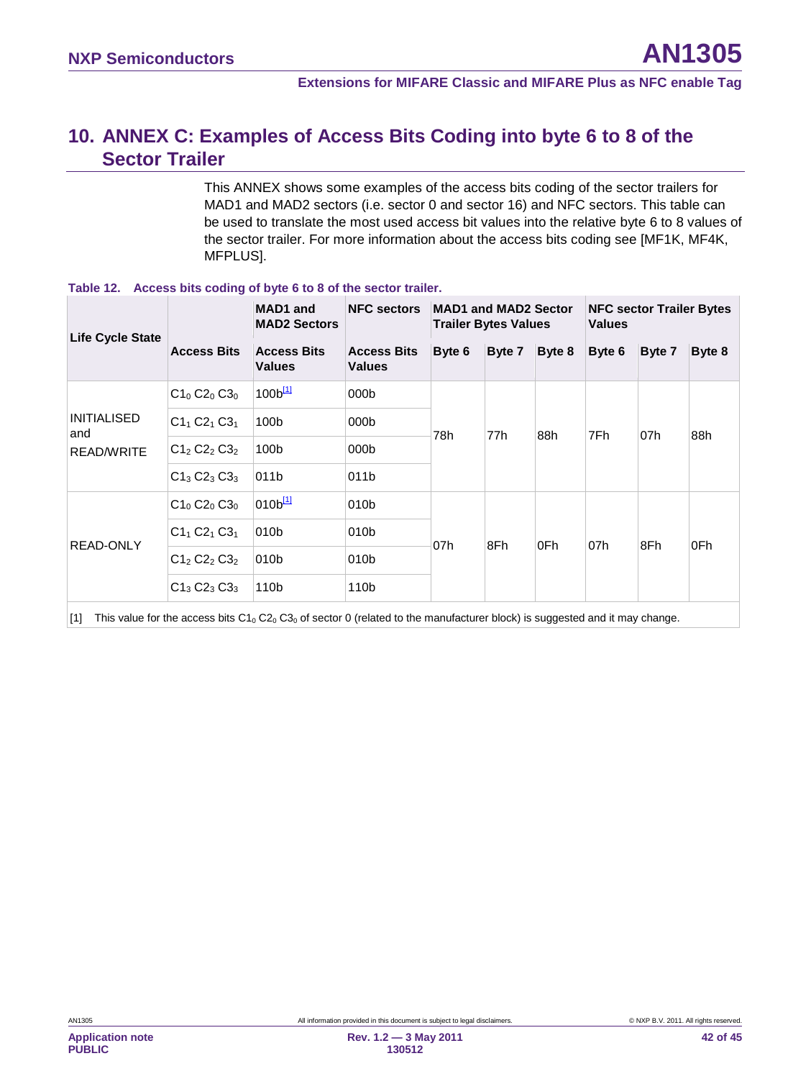# <span id="page-41-1"></span>**10. ANNEX C: Examples of Access Bits Coding into byte 6 to 8 of the Sector Trailer**

This ANNEX shows some examples of the access bits coding of the sector trailers for MAD1 and MAD2 sectors (i.e. sector 0 and sector 16) and NFC sectors. This table can be used to translate the most used access bit values into the relative byte 6 to 8 values of the sector trailer. For more information about the access bits coding see [MF1K, MF4K, MFPLUS].

| <b>MAD1</b> and<br><b>MAD2 Sectors</b> |                     | <b>NFC sectors</b><br><b>MAD1 and MAD2 Sector</b><br><b>Trailer Bytes Values</b>                      |        |        |        | <b>NFC sector Trailer Bytes</b><br><b>Values</b> |        |        |
|----------------------------------------|---------------------|-------------------------------------------------------------------------------------------------------|--------|--------|--------|--------------------------------------------------|--------|--------|
| <b>Access Bits</b>                     | <b>Values</b>       | <b>Access Bits</b><br><b>Values</b>                                                                   | Byte 6 | Byte 7 | Byte 8 | Byte 6                                           | Byte 7 | Byte 8 |
| $C1_0 C2_0 C3_0$                       | 100 <sup>[11]</sup> | 000 <sub>b</sub>                                                                                      | 78h    | 77h    | 88h    | 7Fh                                              | 07h    | 88h    |
| $C1_1 C2_1 C3_1$                       |                     | 000 <sub>b</sub>                                                                                      |        |        |        |                                                  |        |        |
| $C1_2 C2_2 C3_2$                       |                     | 000 <sub>b</sub>                                                                                      |        |        |        |                                                  |        |        |
| $C1_3 C2_3 C3_3$                       |                     | 011b                                                                                                  |        |        |        |                                                  |        |        |
| $C1_0 C2_0 C3_0$                       |                     | 010b                                                                                                  |        | 8Fh    | 0Fh    | 07h                                              | 8Fh    | 0Fh    |
| $C1_1 C2_1 C3_1$                       |                     | 010 <sub>b</sub>                                                                                      |        |        |        |                                                  |        |        |
| $C1_2 C2_2 C3_2$                       |                     | 010 <sub>b</sub>                                                                                      |        |        |        |                                                  |        |        |
| $C1_3 C2_3 C3_3$                       |                     | 110b                                                                                                  |        |        |        |                                                  |        |        |
|                                        |                     | <b>Access Bits</b><br>100b<br>100b<br>011b<br>010 <sup>[11]</sup><br>010 <sub>b</sub><br>010b<br>110b |        | 07h    |        |                                                  |        |        |

#### **Table 12. Access bits coding of byte 6 to 8 of the sector trailer.**

<span id="page-41-0"></span>[1] This value for the access bits  $C1_0 C2_0 C3_0$  of sector 0 (related to the manufacturer block) is suggested and it may change.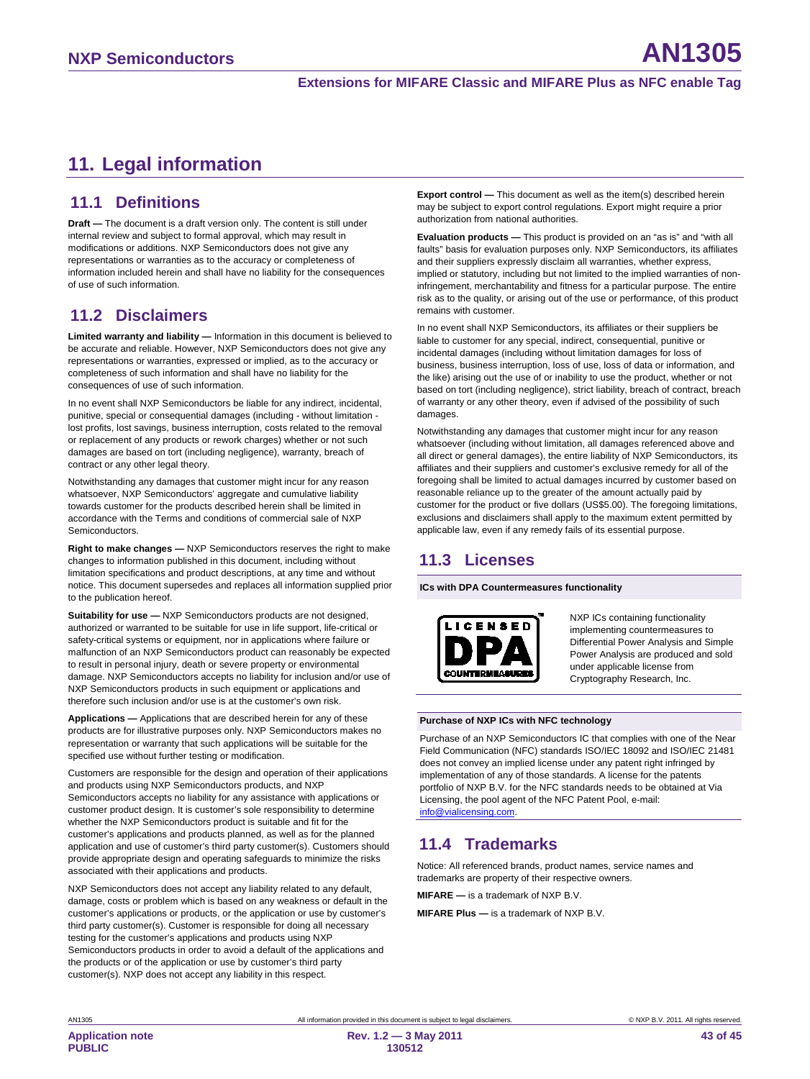# <span id="page-42-0"></span>**11. Legal information**

### <span id="page-42-1"></span>**11.1 Definitions**

**Draft —** The document is a draft version only. The content is still under internal review and subject to formal approval, which may result in modifications or additions. NXP Semiconductors does not give any representations or warranties as to the accuracy or completeness of information included herein and shall have no liability for the consequences of use of such information.

# <span id="page-42-2"></span>**11.2 Disclaimers**

**Limited warranty and liability —** Information in this document is believed to be accurate and reliable. However, NXP Semiconductors does not give any representations or warranties, expressed or implied, as to the accuracy or completeness of such information and shall have no liability for the consequences of use of such information.

In no event shall NXP Semiconductors be liable for any indirect, incidental, punitive, special or consequential damages (including - without limitation lost profits, lost savings, business interruption, costs related to the removal or replacement of any products or rework charges) whether or not such damages are based on tort (including negligence), warranty, breach of contract or any other legal theory.

Notwithstanding any damages that customer might incur for any reason whatsoever, NXP Semiconductors' aggregate and cumulative liability towards customer for the products described herein shall be limited in accordance with the Terms and conditions of commercial sale of NXP **Semiconductors** 

**Right to make changes —** NXP Semiconductors reserves the right to make changes to information published in this document, including without limitation specifications and product descriptions, at any time and without notice. This document supersedes and replaces all information supplied prior to the publication hereof.

**Suitability for use - NXP Semiconductors products are not designed,** authorized or warranted to be suitable for use in life support, life-critical or safety-critical systems or equipment, nor in applications where failure or malfunction of an NXP Semiconductors product can reasonably be expected to result in personal injury, death or severe property or environmental damage. NXP Semiconductors accepts no liability for inclusion and/or use of NXP Semiconductors products in such equipment or applications and therefore such inclusion and/or use is at the customer's own risk.

**Applications —** Applications that are described herein for any of these products are for illustrative purposes only. NXP Semiconductors makes no representation or warranty that such applications will be suitable for the specified use without further testing or modification.

Customers are responsible for the design and operation of their applications and products using NXP Semiconductors products, and NXP Semiconductors accepts no liability for any assistance with applications or customer product design. It is customer's sole responsibility to determine whether the NXP Semiconductors product is suitable and fit for the customer's applications and products planned, as well as for the planned application and use of customer's third party customer(s). Customers should provide appropriate design and operating safeguards to minimize the risks associated with their applications and products.

NXP Semiconductors does not accept any liability related to any default, damage, costs or problem which is based on any weakness or default in the customer's applications or products, or the application or use by customer's third party customer(s). Customer is responsible for doing all necessary testing for the customer's applications and products using NXP Semiconductors products in order to avoid a default of the applications and the products or of the application or use by customer's third party customer(s). NXP does not accept any liability in this respect.

**Export control —** This document as well as the item(s) described herein may be subject to export control regulations. Export might require a prior authorization from national authorities.

**Evaluation products —** This product is provided on an "as is" and "with all faults" basis for evaluation purposes only. NXP Semiconductors, its affiliates and their suppliers expressly disclaim all warranties, whether express, implied or statutory, including but not limited to the implied warranties of noninfringement, merchantability and fitness for a particular purpose. The entire risk as to the quality, or arising out of the use or performance, of this product remains with customer.

In no event shall NXP Semiconductors, its affiliates or their suppliers be liable to customer for any special, indirect, consequential, punitive or incidental damages (including without limitation damages for loss of business, business interruption, loss of use, loss of data or information, and the like) arising out the use of or inability to use the product, whether or not based on tort (including negligence), strict liability, breach of contract, breach of warranty or any other theory, even if advised of the possibility of such damages.

Notwithstanding any damages that customer might incur for any reason whatsoever (including without limitation, all damages referenced above and all direct or general damages), the entire liability of NXP Semiconductors, its affiliates and their suppliers and customer's exclusive remedy for all of the foregoing shall be limited to actual damages incurred by customer based on reasonable reliance up to the greater of the amount actually paid by customer for the product or five dollars (US\$5.00). The foregoing limitations, exclusions and disclaimers shall apply to the maximum extent permitted by applicable law, even if any remedy fails of its essential purpose.

# <span id="page-42-3"></span>**11.3 Licenses**

**ICs with DPA Countermeasures functionality**



NXP ICs containing functionality implementing countermeasures to Differential Power Analysis and Simple Power Analysis are produced and sold under applicable license from Cryptography Research, Inc.

#### **Purchase of NXP ICs with NFC technology**

Purchase of an NXP Semiconductors IC that complies with one of the Near Field Communication (NFC) standards ISO/IEC 18092 and ISO/IEC 21481 does not convey an implied license under any patent right infringed by implementation of any of those standards. A license for the patents portfolio of NXP B.V. for the NFC standards needs to be obtained at Via Licensing, the pool agent of the NFC Patent Pool, e-mail: [info@vialicensing.com.](mailto:info@vialicensing.com)

### <span id="page-42-4"></span>**11.4 Trademarks**

Notice: All referenced brands, product names, service names and trademarks are property of their respective owners.

**MIFARE —** is a trademark of NXP B.V.

**MIFARE Plus —** is a trademark of NXP B.V.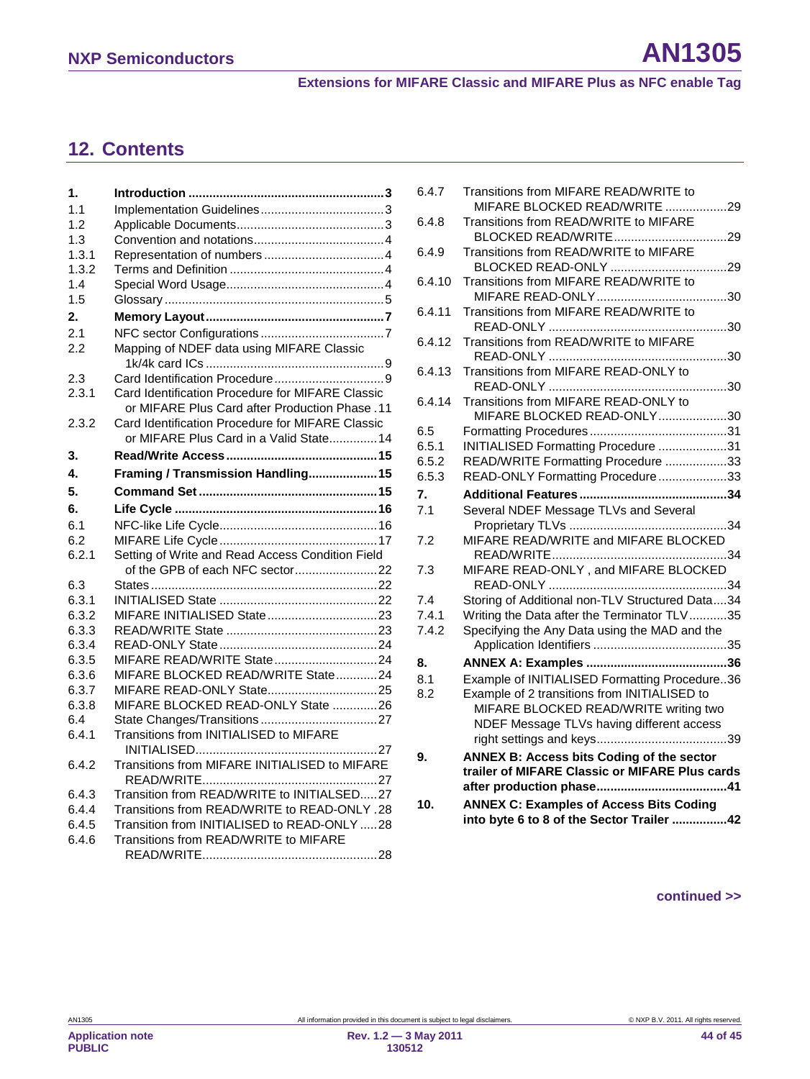# <span id="page-43-0"></span>**12. Contents**

| 1.    |                                                                                                   |
|-------|---------------------------------------------------------------------------------------------------|
| 1.1   |                                                                                                   |
| 1.2   |                                                                                                   |
| 1.3   |                                                                                                   |
| 1.3.1 |                                                                                                   |
| 1.3.2 |                                                                                                   |
| 1.4   |                                                                                                   |
| 1.5   |                                                                                                   |
| 2.    |                                                                                                   |
| 2.1   |                                                                                                   |
| 2.2   | Mapping of NDEF data using MIFARE Classic                                                         |
| 2.3   |                                                                                                   |
| 2.3.1 | Card Identification Procedure for MIFARE Classic<br>or MIFARE Plus Card after Production Phase.11 |
| 2.3.2 | Card Identification Procedure for MIFARE Classic                                                  |
|       | or MIFARE Plus Card in a Valid State 14                                                           |
| 3.    |                                                                                                   |
| 4.    | Framing / Transmission Handling15                                                                 |
| 5.    |                                                                                                   |
| 6.    |                                                                                                   |
| 6.1   |                                                                                                   |
| 6.2   |                                                                                                   |
| 6.2.1 | Setting of Write and Read Access Condition Field                                                  |
|       |                                                                                                   |
| 6.3   |                                                                                                   |
| 6.3.1 |                                                                                                   |
| 6.3.2 |                                                                                                   |
| 6.3.3 |                                                                                                   |
| 6.3.4 |                                                                                                   |
| 6.3.5 | MIFARE READ/WRITE State24                                                                         |
| 6.3.6 | MIFARE BLOCKED READ/WRITE State24                                                                 |
| 6.3.7 |                                                                                                   |
| 6.3.8 | MIFARE BLOCKED READ-ONLY State 26                                                                 |
| 6.4   |                                                                                                   |
| 6.4.1 | Transitions from INITIALISED to MIFARE                                                            |
| 6.4.2 | Transitions from MIFARE INITIALISED to MIFARE                                                     |
| 6.4.3 | Transition from READ/WRITE to INITIALSED27                                                        |
| 6.4.4 | Transitions from READ/WRITE to READ-ONLY .28                                                      |
| 6.4.5 | Transition from INITIALISED to READ-ONLY 28                                                       |
| 6.4.6 | Transitions from READ/WRITE to MIFARE                                                             |
|       |                                                                                                   |

| 6.4.7          | Transitions from MIFARE READ/WRITE to                                  |
|----------------|------------------------------------------------------------------------|
| 6.4.8          | MIFARE BLOCKED READ/WRITE 29<br>Transitions from READ/WRITE to MIFARE  |
|                |                                                                        |
| 6.4.9          | Transitions from READ/WRITE to MIFARE                                  |
|                |                                                                        |
| 6.4.10         | Transitions from MIFARE READ/WRITE to                                  |
| 6.4.11         | Transitions from MIFARE READ/WRITE to                                  |
|                |                                                                        |
| 6.4.12         | Transitions from READ/WRITE to MIFARE                                  |
|                |                                                                        |
| 6.4.13         | Transitions from MIFARE READ-ONLY to                                   |
|                |                                                                        |
| 6.4.14         | Transitions from MIFARE READ-ONLY to                                   |
|                | MIFARE BLOCKED READ-ONLY30                                             |
| 6.5            |                                                                        |
| 6.5.1<br>6.5.2 | INITIALISED Formatting Procedure 31                                    |
| 6.5.3          | READ/WRITE Formatting Procedure 33<br>READ-ONLY Formatting Procedure33 |
|                |                                                                        |
| 7.             |                                                                        |
| 7.1            | Several NDEF Message TLVs and Several                                  |
| 7.2            | MIFARE READ/WRITE and MIFARE BLOCKED                                   |
| 7.3            | MIFARE READ-ONLY, and MIFARE BLOCKED                                   |
|                |                                                                        |
| 7.4            | Storing of Additional non-TLV Structured Data34                        |
| 7.4.1          | Writing the Data after the Terminator TLV35                            |
| 7.4.2          | Specifying the Any Data using the MAD and the                          |
|                |                                                                        |
| 8.             |                                                                        |
| 8.1            | Example of INITIALISED Formatting Procedure36                          |
| 8.2            | Example of 2 transitions from INITIALISED to                           |
|                | MIFARE BLOCKED READ/WRITE writing two                                  |
|                | NDEF Message TLVs having different access                              |
|                |                                                                        |
| 9.             | <b>ANNEX B: Access bits Coding of the sector</b>                       |
|                | trailer of MIFARE Classic or MIFARE Plus cards                         |
|                |                                                                        |
| 10.            | <b>ANNEX C: Examples of Access Bits Coding</b>                         |
|                | into byte 6 to 8 of the Sector Trailer 42                              |

#### **continued >>**